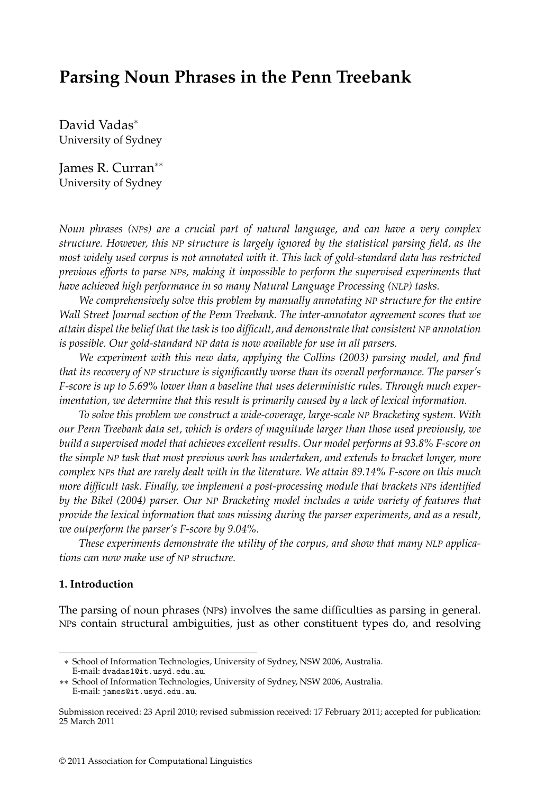# **Parsing Noun Phrases in the Penn Treebank**

David Vadas<sup>∗</sup> University of Sydney

James R. Curran∗∗ University of Sydney

*Noun phrases (NPs) are a crucial part of natural language, and can have a very complex structure. However, this NP structure is largely ignored by the statistical parsing field, as the most widely used corpus is not annotated with it. This lack of gold-standard data has restricted previous efforts to parse NPs, making it impossible to perform the supervised experiments that have achieved high performance in so many Natural Language Processing (NLP) tasks.*

*We comprehensively solve this problem by manually annotating NP structure for the entire Wall Street Journal section of the Penn Treebank. The inter-annotator agreement scores that we attain dispel the belief that the task is too difficult, and demonstrate that consistent NP annotation is possible. Our gold-standard NP data is now available for use in all parsers.*

*We experiment with this new data, applying the Collins (2003) parsing model, and find that its recovery of NP structure is significantly worse than its overall performance. The parser's F-score is up to 5.69% lower than a baseline that uses deterministic rules. Through much experimentation, we determine that this result is primarily caused by a lack of lexical information.*

*To solve this problem we construct a wide-coverage, large-scale NP Bracketing system. With our Penn Treebank data set, which is orders of magnitude larger than those used previously, we build a supervised model that achieves excellent results. Our model performs at 93.8% F-score on the simple NP task that most previous work has undertaken, and extends to bracket longer, more complex NPs that are rarely dealt with in the literature. We attain 89.14% F-score on this much more difficult task. Finally, we implement a post-processing module that brackets NPs identified by the Bikel (2004) parser. Our NP Bracketing model includes a wide variety of features that provide the lexical information that was missing during the parser experiments, and as a result, we outperform the parser's F-score by 9.04%.*

*These experiments demonstrate the utility of the corpus, and show that many NLP applications can now make use of NP structure.*

#### **1. Introduction**

The parsing of noun phrases (NPs) involves the same difficulties as parsing in general. NPs contain structural ambiguities, just as other constituent types do, and resolving

<sup>∗</sup> School of Information Technologies, University of Sydney, NSW 2006, Australia. E-mail: dvadas1@it.usyd.edu.au.

<sup>∗∗</sup> School of Information Technologies, University of Sydney, NSW 2006, Australia. E-mail: james@it.usyd.edu.au.

Submission received: 23 April 2010; revised submission received: 17 February 2011; accepted for publication: 25 March 2011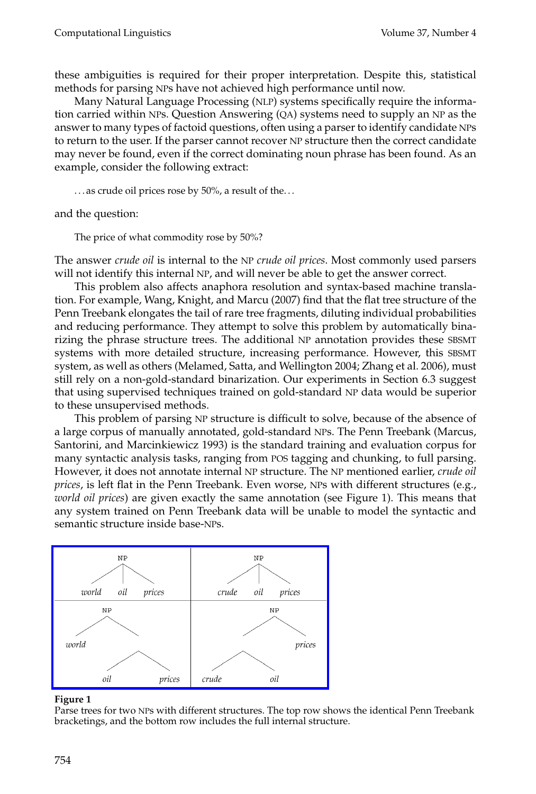Computational Linguistics Volume 37, Number 4

these ambiguities is required for their proper interpretation. Despite this, statistical methods for parsing NPs have not achieved high performance until now.

Many Natural Language Processing (NLP) systems specifically require the information carried within NPs. Question Answering (QA) systems need to supply an NP as the answer to many types of factoid questions, often using a parser to identify candidate NPs to return to the user. If the parser cannot recover NP structure then the correct candidate may never be found, even if the correct dominating noun phrase has been found. As an example, consider the following extract:

... as crude oil prices rose by 50%, a result of the...

and the question:

The price of what commodity rose by 50%?

The answer *crude oil* is internal to the NP *crude oil prices*. Most commonly used parsers will not identify this internal NP, and will never be able to get the answer correct.

This problem also affects anaphora resolution and syntax-based machine translation. For example, Wang, Knight, and Marcu (2007) find that the flat tree structure of the Penn Treebank elongates the tail of rare tree fragments, diluting individual probabilities and reducing performance. They attempt to solve this problem by automatically binarizing the phrase structure trees. The additional NP annotation provides these SBSMT systems with more detailed structure, increasing performance. However, this SBSMT system, as well as others (Melamed, Satta, and Wellington 2004; Zhang et al. 2006), must still rely on a non-gold-standard binarization. Our experiments in Section 6.3 suggest that using supervised techniques trained on gold-standard NP data would be superior to these unsupervised methods.

This problem of parsing NP structure is difficult to solve, because of the absence of a large corpus of manually annotated, gold-standard NPs. The Penn Treebank (Marcus, Santorini, and Marcinkiewicz 1993) is the standard training and evaluation corpus for many syntactic analysis tasks, ranging from POS tagging and chunking, to full parsing. However, it does not annotate internal NP structure. The NP mentioned earlier, *crude oil prices*, is left flat in the Penn Treebank. Even worse, NPs with different structures (e.g., *world oil prices*) are given exactly the same annotation (see Figure 1). This means that [any system trained on Penn Treebank data will be una](http://www.mitpressjournals.org/action/showImage?doi=10.1162/COLI_a_00076&iName=master.img-000.png&w=246&h=125)ble to model the syntactic and semantic structure inside base-NPs.



#### **Figure 1**

Parse trees for two NPs with different structures. The top row shows the identical Penn Treebank bracketings, and the bottom row includes the full internal structure.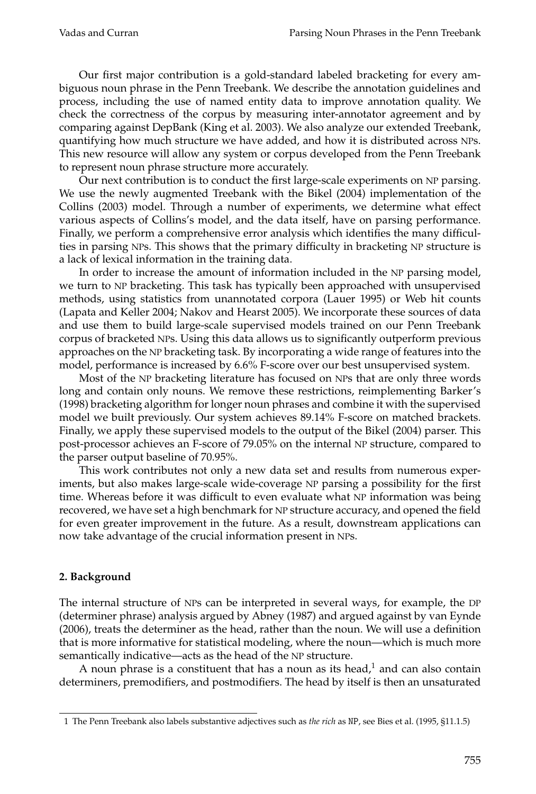Our first major contribution is a gold-standard labeled bracketing for every ambiguous noun phrase in the Penn Treebank. We describe the annotation guidelines and process, including the use of named entity data to improve annotation quality. We check the correctness of the corpus by measuring inter-annotator agreement and by comparing against DepBank (King et al. 2003). We also analyze our extended Treebank, quantifying how much structure we have added, and how it is distributed across NPs. This new resource will allow any system or corpus developed from the Penn Treebank to represent noun phrase structure more accurately.

Our next contribution is to conduct the first large-scale experiments on NP parsing. We use the newly augmented Treebank with the Bikel (2004) implementation of the Collins (2003) model. Through a number of experiments, we determine what effect various aspects of Collins's model, and the data itself, have on parsing performance. Finally, we perform a comprehensive error analysis which identifies the many difficulties in parsing NPs. This shows that the primary difficulty in bracketing NP structure is a lack of lexical information in the training data.

In order to increase the amount of information included in the NP parsing model, we turn to NP bracketing. This task has typically been approached with unsupervised methods, using statistics from unannotated corpora (Lauer 1995) or Web hit counts (Lapata and Keller 2004; Nakov and Hearst 2005). We incorporate these sources of data and use them to build large-scale supervised models trained on our Penn Treebank corpus of bracketed NPs. Using this data allows us to significantly outperform previous approaches on the NP bracketing task. By incorporating a wide range of features into the model, performance is increased by 6.6% F-score over our best unsupervised system.

Most of the NP bracketing literature has focused on NPs that are only three words long and contain only nouns. We remove these restrictions, reimplementing Barker's (1998) bracketing algorithm for longer noun phrases and combine it with the supervised model we built previously. Our system achieves 89.14% F-score on matched brackets. Finally, we apply these supervised models to the output of the Bikel (2004) parser. This post-processor achieves an F-score of 79.05% on the internal NP structure, compared to the parser output baseline of 70.95%.

This work contributes not only a new data set and results from numerous experiments, but also makes large-scale wide-coverage NP parsing a possibility for the first time. Whereas before it was difficult to even evaluate what NP information was being recovered, we have set a high benchmark for NP structure accuracy, and opened the field for even greater improvement in the future. As a result, downstream applications can now take advantage of the crucial information present in NPs.

## **2. Background**

The internal structure of NPs can be interpreted in several ways, for example, the DP (determiner phrase) analysis argued by Abney (1987) and argued against by van Eynde (2006), treats the determiner as the head, rather than the noun. We will use a definition that is more informative for statistical modeling, where the noun—which is much more semantically indicative—acts as the head of the NP structure.

A noun phrase is a constituent that has a noun as its head, $<sup>1</sup>$  and can also contain</sup> determiners, premodifiers, and postmodifiers. The head by itself is then an unsaturated

<sup>1</sup> The Penn Treebank also labels substantive adjectives such as *the rich* as NP, see Bies et al. (1995, §11.1.5)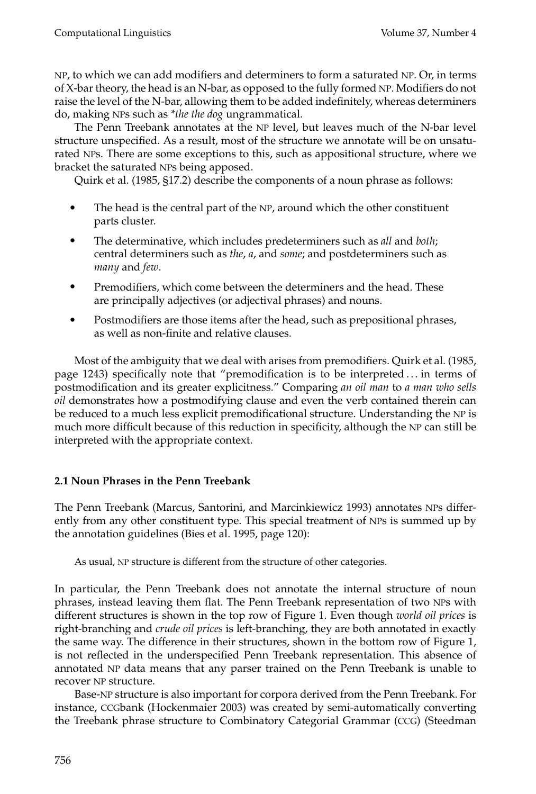NP, to which we can add modifiers and determiners to form a saturated NP. Or, in terms of X-bar theory, the head is an N-bar, as opposed to the fully formed NP. Modifiers do not raise the level of the N-bar, allowing them to be added indefinitely, whereas determiners do, making NPs such as *\*the the dog* ungrammatical.

The Penn Treebank annotates at the NP level, but leaves much of the N-bar level structure unspecified. As a result, most of the structure we annotate will be on unsaturated NPs. There are some exceptions to this, such as appositional structure, where we bracket the saturated NPs being apposed.

Quirk et al. (1985, §17.2) describe the components of a noun phrase as follows:

- - The head is the central part of the NP, around which the other constituent parts cluster.
- - The determinative, which includes predeterminers such as *all* and *both*; central determiners such as *the*, *a*, and *some*; and postdeterminers such as *many* and *few*.
- - Premodifiers, which come between the determiners and the head. These are principally adjectives (or adjectival phrases) and nouns.
- - Postmodifiers are those items after the head, such as prepositional phrases, as well as non-finite and relative clauses.

Most of the ambiguity that we deal with arises from premodifiers. Quirk et al. (1985, page 1243) specifically note that "premodification is to be interpreted . . . in terms of postmodification and its greater explicitness." Comparing *an oil man* to *a man who sells oil* demonstrates how a postmodifying clause and even the verb contained therein can be reduced to a much less explicit premodificational structure. Understanding the NP is much more difficult because of this reduction in specificity, although the NP can still be interpreted with the appropriate context.

# **2.1 Noun Phrases in the Penn Treebank**

The Penn Treebank (Marcus, Santorini, and Marcinkiewicz 1993) annotates NPs differently from any other constituent type. This special treatment of NPs is summed up by the annotation guidelines (Bies et al. 1995, page 120):

As usual, NP structure is different from the structure of other categories.

In particular, the Penn Treebank does not annotate the internal structure of noun phrases, instead leaving them flat. The Penn Treebank representation of two NPs with different structures is shown in the top row of Figure 1. Even though *world oil prices* is right-branching and *crude oil prices* is left-branching, they are both annotated in exactly the same way. The difference in their structures, shown in the bottom row of Figure 1, is not reflected in the underspecified Penn Treebank representation. This absence of annotated NP data means that any parser trained on the Penn Treebank is unable to recover NP structure.

Base-NP structure is also important for corpora derived from the Penn Treebank. For instance, CCGbank (Hockenmaier 2003) was created by semi-automatically converting the Treebank phrase structure to Combinatory Categorial Grammar (CCG) (Steedman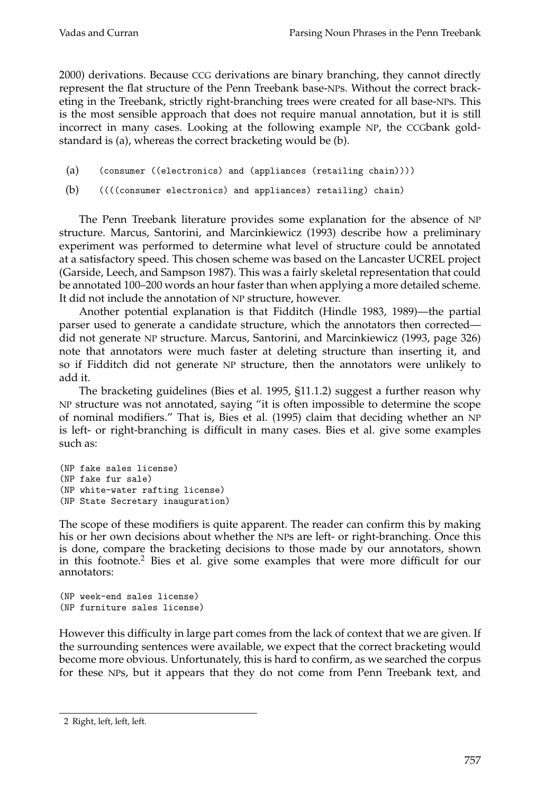2000) derivations. Because CCG derivations are binary branching, they cannot directly represent the flat structure of the Penn Treebank base-NPs. Without the correct bracketing in the Treebank, strictly right-branching trees were created for all base-NPs. This is the most sensible approach that does not require manual annotation, but it is still incorrect in many cases. Looking at the following example NP, the CCGbank goldstandard is (a), whereas the correct bracketing would be (b).

```
(a) (consumer ((electronics) and (appliances (retailing chain))))
```

```
(b) ((((consumer electronics) and appliances) retailing) chain)
```
The Penn Treebank literature provides some explanation for the absence of NP structure. Marcus, Santorini, and Marcinkiewicz (1993) describe how a preliminary experiment was performed to determine what level of structure could be annotated at a satisfactory speed. This chosen scheme was based on the Lancaster UCREL project (Garside, Leech, and Sampson 1987). This was a fairly skeletal representation that could be annotated 100–200 words an hour faster than when applying a more detailed scheme. It did not include the annotation of NP structure, however.

Another potential explanation is that Fidditch (Hindle 1983, 1989)—the partial parser used to generate a candidate structure, which the annotators then corrected did not generate NP structure. Marcus, Santorini, and Marcinkiewicz (1993, page 326) note that annotators were much faster at deleting structure than inserting it, and so if Fidditch did not generate NP structure, then the annotators were unlikely to add it.

The bracketing guidelines (Bies et al. 1995, §11.1.2) suggest a further reason why NP structure was not annotated, saying "it is often impossible to determine the scope of nominal modifiers." That is, Bies et al. (1995) claim that deciding whether an NP is left- or right-branching is difficult in many cases. Bies et al. give some examples such as:

```
(NP fake sales license)
(NP fake fur sale)
(NP white-water rafting license)
(NP State Secretary inauguration)
```
The scope of these modifiers is quite apparent. The reader can confirm this by making his or her own decisions about whether the NPs are left- or right-branching. Once this is done, compare the bracketing decisions to those made by our annotators, shown in this footnote.<sup>2</sup> Bies et al. give some examples that were more difficult for our annotators:

```
(NP week-end sales license)
(NP furniture sales license)
```
However this difficulty in large part comes from the lack of context that we are given. If the surrounding sentences were available, we expect that the correct bracketing would become more obvious. Unfortunately, this is hard to confirm, as we searched the corpus for these NPs, but it appears that they do not come from Penn Treebank text, and

<sup>2</sup> Right, left, left, left.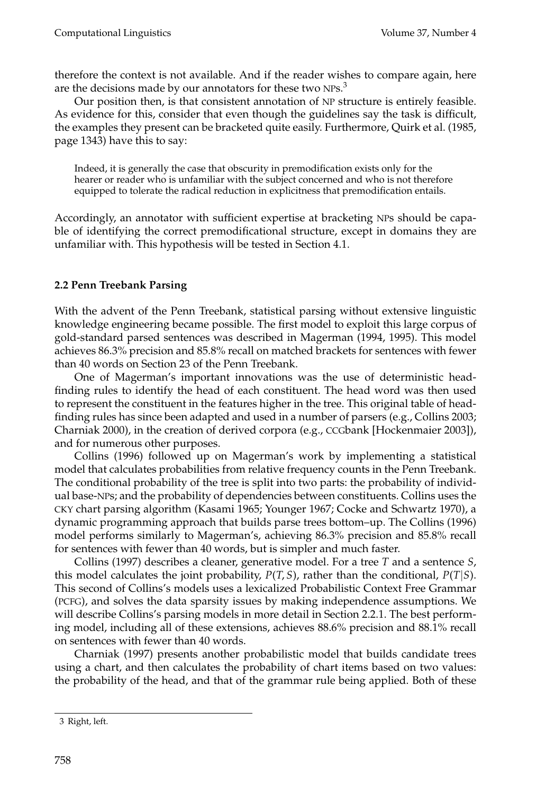therefore the context is not available. And if the reader wishes to compare again, here are the decisions made by our annotators for these two NPs.<sup>3</sup>

Our position then, is that consistent annotation of NP structure is entirely feasible. As evidence for this, consider that even though the guidelines say the task is difficult, the examples they present can be bracketed quite easily. Furthermore, Quirk et al. (1985, page 1343) have this to say:

Indeed, it is generally the case that obscurity in premodification exists only for the hearer or reader who is unfamiliar with the subject concerned and who is not therefore equipped to tolerate the radical reduction in explicitness that premodification entails.

Accordingly, an annotator with sufficient expertise at bracketing NPs should be capable of identifying the correct premodificational structure, except in domains they are unfamiliar with. This hypothesis will be tested in Section 4.1.

## **2.2 Penn Treebank Parsing**

With the advent of the Penn Treebank, statistical parsing without extensive linguistic knowledge engineering became possible. The first model to exploit this large corpus of gold-standard parsed sentences was described in Magerman (1994, 1995). This model achieves 86.3% precision and 85.8% recall on matched brackets for sentences with fewer than 40 words on Section 23 of the Penn Treebank.

One of Magerman's important innovations was the use of deterministic headfinding rules to identify the head of each constituent. The head word was then used to represent the constituent in the features higher in the tree. This original table of headfinding rules has since been adapted and used in a number of parsers (e.g., Collins 2003; Charniak 2000), in the creation of derived corpora (e.g., CCGbank [Hockenmaier 2003]), and for numerous other purposes.

Collins (1996) followed up on Magerman's work by implementing a statistical model that calculates probabilities from relative frequency counts in the Penn Treebank. The conditional probability of the tree is split into two parts: the probability of individual base-NPs; and the probability of dependencies between constituents. Collins uses the CKY chart parsing algorithm (Kasami 1965; Younger 1967; Cocke and Schwartz 1970), a dynamic programming approach that builds parse trees bottom–up. The Collins (1996) model performs similarly to Magerman's, achieving 86.3% precision and 85.8% recall for sentences with fewer than 40 words, but is simpler and much faster.

Collins (1997) describes a cleaner, generative model. For a tree *T* and a sentence *S*, this model calculates the joint probability,  $P(T, S)$ , rather than the conditional,  $P(T|S)$ . This second of Collins's models uses a lexicalized Probabilistic Context Free Grammar (PCFG), and solves the data sparsity issues by making independence assumptions. We will describe Collins's parsing models in more detail in Section 2.2.1. The best performing model, including all of these extensions, achieves 88.6% precision and 88.1% recall on sentences with fewer than 40 words.

Charniak (1997) presents another probabilistic model that builds candidate trees using a chart, and then calculates the probability of chart items based on two values: the probability of the head, and that of the grammar rule being applied. Both of these

<sup>3</sup> Right, left.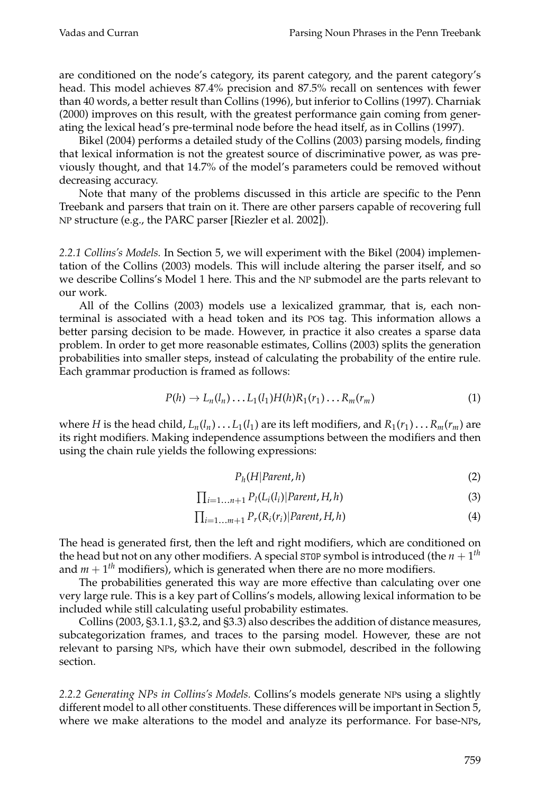are conditioned on the node's category, its parent category, and the parent category's head. This model achieves 87.4% precision and 87.5% recall on sentences with fewer than 40 words, a better result than Collins (1996), but inferior to Collins (1997). Charniak (2000) improves on this result, with the greatest performance gain coming from generating the lexical head's pre-terminal node before the head itself, as in Collins (1997).

Bikel (2004) performs a detailed study of the Collins (2003) parsing models, finding that lexical information is not the greatest source of discriminative power, as was previously thought, and that 14.7% of the model's parameters could be removed without decreasing accuracy.

Note that many of the problems discussed in this article are specific to the Penn Treebank and parsers that train on it. There are other parsers capable of recovering full NP structure (e.g., the PARC parser [Riezler et al. 2002]).

*2.2.1 Collins's Models.* In Section 5, we will experiment with the Bikel (2004) implementation of the Collins (2003) models. This will include altering the parser itself, and so we describe Collins's Model 1 here. This and the NP submodel are the parts relevant to our work.

All of the Collins (2003) models use a lexicalized grammar, that is, each nonterminal is associated with a head token and its POS tag. This information allows a better parsing decision to be made. However, in practice it also creates a sparse data problem. In order to get more reasonable estimates, Collins (2003) splits the generation probabilities into smaller steps, instead of calculating the probability of the entire rule. Each grammar production is framed as follows:

$$
P(h) \to L_n(l_n) \dots L_1(l_1) H(h) R_1(r_1) \dots R_m(r_m)
$$
 (1)

where *H* is the head child,  $L_n(l_n) \dots L_1(l_1)$  are its left modifiers, and  $R_1(r_1) \dots R_m(r_m)$  are its right modifiers. Making independence assumptions between the modifiers and then using the chain rule yields the following expressions:

$$
P_h(H|Parent, h) \tag{2}
$$

$$
\prod_{i=1...n+1} P_l(L_i(l_i)|\text{Parent}, H, h) \tag{3}
$$

$$
\prod_{i=1...m+1} P_r(R_i(r_i)|\text{Parent}, H, h) \tag{4}
$$

The head is generated first, then the left and right modifiers, which are conditioned on the head but not on any other modifiers. A special STOP symbol is introduced (the  $n + 1$ <sup>th</sup> and  $m + 1$ <sup>th</sup> modifiers), which is generated when there are no more modifiers.

The probabilities generated this way are more effective than calculating over one very large rule. This is a key part of Collins's models, allowing lexical information to be included while still calculating useful probability estimates.

Collins (2003, §3.1.1, §3.2, and §3.3) also describes the addition of distance measures, subcategorization frames, and traces to the parsing model. However, these are not relevant to parsing NPs, which have their own submodel, described in the following section.

*2.2.2 Generating NPs in Collins's Models.* Collins's models generate NPs using a slightly different model to all other constituents. These differences will be important in Section 5, where we make alterations to the model and analyze its performance. For base-NPs,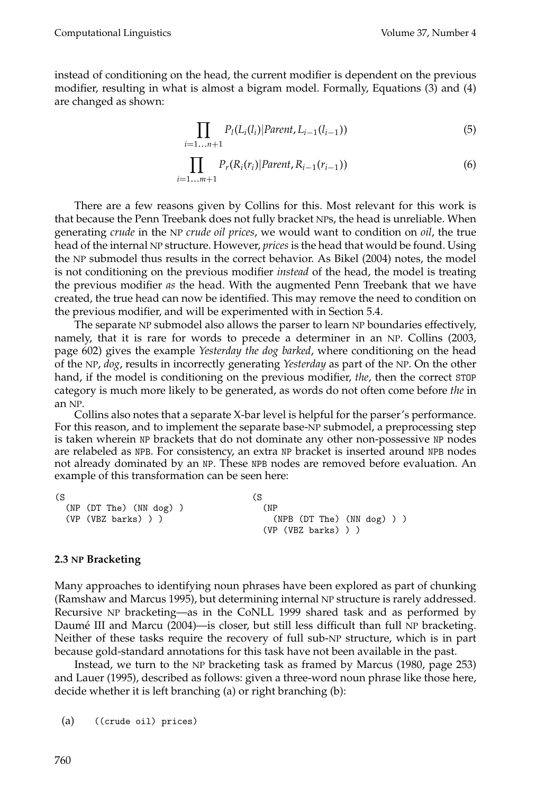instead of conditioning on the head, the current modifier is dependent on the previous modifier, resulting in what is almost a bigram model. Formally, Equations (3) and (4) are changed as shown:

$$
\prod_{i=1...n+1} P_l(L_i(l_i)|\text{Parent}, L_{i-1}(l_{i-1}))\tag{5}
$$

$$
\prod_{i=1...m+1} P_r(R_i(r_i)|\text{Parent}, R_{i-1}(r_{i-1})) \tag{6}
$$

There are a few reasons given by Collins for this. Most relevant for this work is that because the Penn Treebank does not fully bracket NPs, the head is unreliable. When generating *crude* in the NP *crude oil prices*, we would want to condition on *oil*, the true head of the internal NP structure. However, *prices* is the head that would be found. Using the NP submodel thus results in the correct behavior. As Bikel (2004) notes, the model is not conditioning on the previous modifier *instead* of the head, the model is treating the previous modifier *as* the head. With the augmented Penn Treebank that we have created, the true head can now be identified. This may remove the need to condition on the previous modifier, and will be experimented with in Section 5.4.

The separate NP submodel also allows the parser to learn NP boundaries effectively, namely, that it is rare for words to precede a determiner in an NP. Collins (2003, page 602) gives the example *Yesterday the dog barked*, where conditioning on the head of the NP, *dog*, results in incorrectly generating *Yesterday* as part of the NP. On the other hand, if the model is conditioning on the previous modifier, *the*, then the correct STOP category is much more likely to be generated, as words do not often come before *the* in an NP.

Collins also notes that a separate X-bar level is helpful for the parser's performance. For this reason, and to implement the separate base-NP submodel, a preprocessing step is taken wherein NP brackets that do not dominate any other non-possessive NP nodes are relabeled as NPB. For consistency, an extra NP bracket is inserted around NPB nodes not already dominated by an NP. These NPB nodes are removed before evaluation. An example of this transformation can be seen here:

```
(S \t S)(NP (DT The) (NN dog) ) (NP (VBZ barks) ) ) (
                                 (NPB (DT The) (NN dog) ) )(VP (VBZ barks) ) )
```
#### **2.3 NP Bracketing**

Many approaches to identifying noun phrases have been explored as part of chunking (Ramshaw and Marcus 1995), but determining internal NP structure is rarely addressed. Recursive NP bracketing—as in the CoNLL 1999 shared task and as performed by Daumé III and Marcu (2004)—is closer, but still less difficult than full NP bracketing. Neither of these tasks require the recovery of full sub-NP structure, which is in part because gold-standard annotations for this task have not been available in the past.

Instead, we turn to the NP bracketing task as framed by Marcus (1980, page 253) and Lauer (1995), described as follows: given a three-word noun phrase like those here, decide whether it is left branching (a) or right branching (b):

```
(a) ((crude oil) prices)
```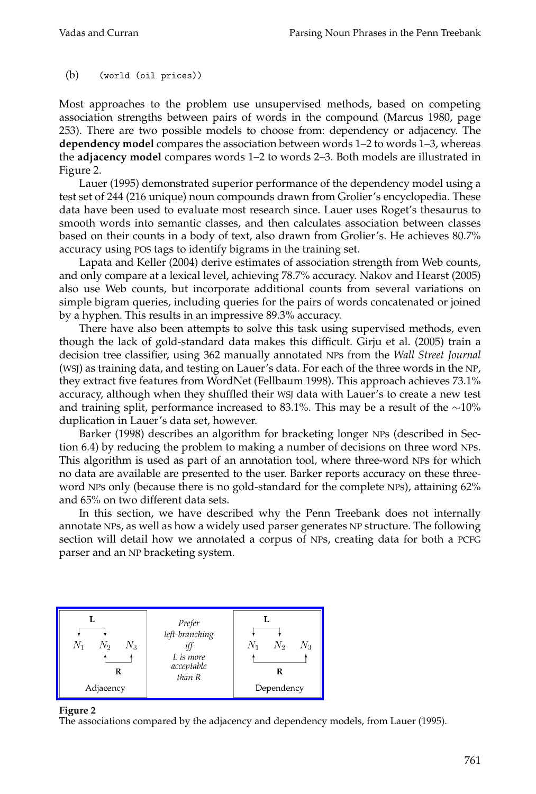Vadas and Curran **Parsing Noun Phrases in the Penn Treebank** Parsing Noun Phrases in the Penn Treebank

#### (b) (world (oil prices))

Most approaches to the problem use unsupervised methods, based on competing association strengths between pairs of words in the compound (Marcus 1980, page 253). There are two possible models to choose from: dependency or adjacency. The **dependency model** compares the association between words 1–2 to words 1–3, whereas the **adjacency model** compares words 1–2 to words 2–3. Both models are illustrated in Figure 2.

Lauer (1995) demonstrated superior performance of the dependency model using a test set of 244 (216 unique) noun compounds drawn from Grolier's encyclopedia. These data have been used to evaluate most research since. Lauer uses Roget's thesaurus to smooth words into semantic classes, and then calculates association between classes based on their counts in a body of text, also drawn from Grolier's. He achieves 80.7% accuracy using POS tags to identify bigrams in the training set.

Lapata and Keller (2004) derive estimates of association strength from Web counts, and only compare at a lexical level, achieving 78.7% accuracy. Nakov and Hearst (2005) also use Web counts, but incorporate additional counts from several variations on simple bigram queries, including queries for the pairs of words concatenated or joined by a hyphen. This results in an impressive 89.3% accuracy.

There have also been attempts to solve this task using supervised methods, even though the lack of gold-standard data makes this difficult. Girju et al. (2005) train a decision tree classifier, using 362 manually annotated NPs from the *Wall Street Journal* (WSJ) as training data, and testing on Lauer's data. For each of the three words in the NP, they extract five features from WordNet (Fellbaum 1998). This approach achieves 73.1% accuracy, although when they shuffled their WSJ data with Lauer's to create a new test and training split, performance increased to 83.1%. This may be a result of the  $\sim$ 10% duplication in Lauer's data set, however.

Barker (1998) describes an algorithm for bracketing longer NPs (described in Section 6.4) by reducing the problem to making a number of decisions on three word NPs. This algorithm is used as part of an annotation tool, where three-word NPs for which no data are available are presented to the user. Barker reports accuracy on these threeword NPs only (because there is no gold-standard for the complete NPs), attaining 62% and 65% on two different data sets.

In this section, we have described why the Penn Treebank does not internally annotate NPs, as well as how a widely used parser generates NP structure. The following [section will detail how we annotated a corpus of](http://www.mitpressjournals.org/action/showImage?doi=10.1162/COLI_a_00076&iName=master.img-001.png&w=236&h=79) NPs, creating data for both a PCFG parser and an NP bracketing system.



#### **Figure 2**

The associations compared by the adjacency and dependency models, from Lauer (1995).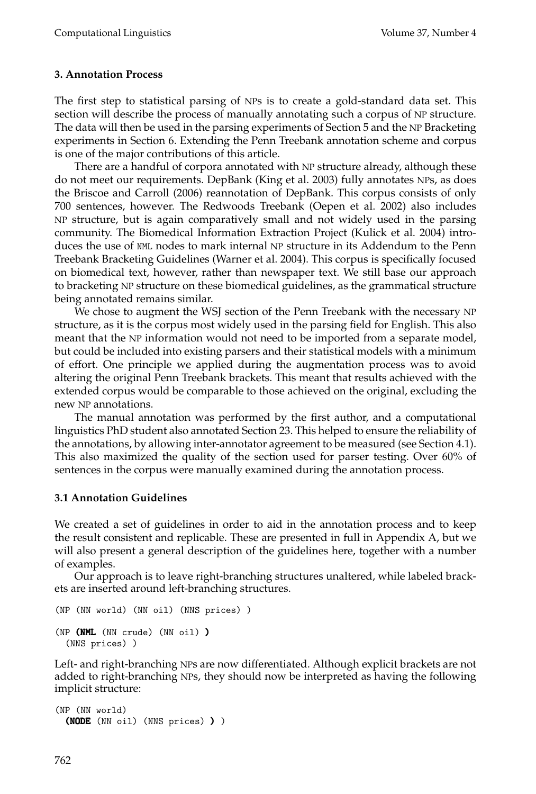#### **3. Annotation Process**

The first step to statistical parsing of NPs is to create a gold-standard data set. This section will describe the process of manually annotating such a corpus of NP structure. The data will then be used in the parsing experiments of Section 5 and the NP Bracketing experiments in Section 6. Extending the Penn Treebank annotation scheme and corpus is one of the major contributions of this article.

There are a handful of corpora annotated with NP structure already, although these do not meet our requirements. DepBank (King et al. 2003) fully annotates NPs, as does the Briscoe and Carroll (2006) reannotation of DepBank. This corpus consists of only 700 sentences, however. The Redwoods Treebank (Oepen et al. 2002) also includes NP structure, but is again comparatively small and not widely used in the parsing community. The Biomedical Information Extraction Project (Kulick et al. 2004) introduces the use of NML nodes to mark internal NP structure in its Addendum to the Penn Treebank Bracketing Guidelines (Warner et al. 2004). This corpus is specifically focused on biomedical text, however, rather than newspaper text. We still base our approach to bracketing NP structure on these biomedical guidelines, as the grammatical structure being annotated remains similar.

We chose to augment the WSJ section of the Penn Treebank with the necessary NP structure, as it is the corpus most widely used in the parsing field for English. This also meant that the NP information would not need to be imported from a separate model, but could be included into existing parsers and their statistical models with a minimum of effort. One principle we applied during the augmentation process was to avoid altering the original Penn Treebank brackets. This meant that results achieved with the extended corpus would be comparable to those achieved on the original, excluding the new NP annotations.

The manual annotation was performed by the first author, and a computational linguistics PhD student also annotated Section 23. This helped to ensure the reliability of the annotations, by allowing inter-annotator agreement to be measured (see Section 4.1). This also maximized the quality of the section used for parser testing. Over 60% of sentences in the corpus were manually examined during the annotation process.

## **3.1 Annotation Guidelines**

We created a set of guidelines in order to aid in the annotation process and to keep the result consistent and replicable. These are presented in full in Appendix A, but we will also present a general description of the guidelines here, together with a number of examples.

Our approach is to leave right-branching structures unaltered, while labeled brackets are inserted around left-branching structures.

```
(NP (NN world) (NN oil) (NNS prices) )
(NP (NML (NN crude) (NN oil) )
 (NNS prices) )
```
Left- and right-branching NPs are now differentiated. Although explicit brackets are not added to right-branching NPs, they should now be interpreted as having the following implicit structure:

```
(NP (NN world)
 (NODE (NN oil) (NNS prices) ) )
```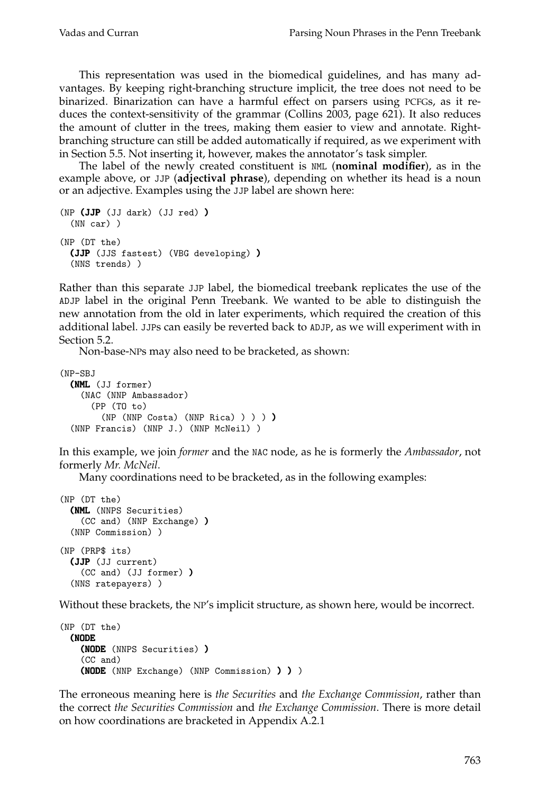This representation was used in the biomedical guidelines, and has many advantages. By keeping right-branching structure implicit, the tree does not need to be binarized. Binarization can have a harmful effect on parsers using PCFGs, as it reduces the context-sensitivity of the grammar (Collins 2003, page 621). It also reduces the amount of clutter in the trees, making them easier to view and annotate. Rightbranching structure can still be added automatically if required, as we experiment with in Section 5.5. Not inserting it, however, makes the annotator's task simpler.

The label of the newly created constituent is NML (**nominal modifier**), as in the example above, or JJP (**adjectival phrase**), depending on whether its head is a noun or an adjective. Examples using the JJP label are shown here:

```
(NP (JJP (JJ dark) (JJ red) )
 (NN car) )
(NP (DT the)
 (JJP (JJS fastest) (VBG developing) )
  (NNS trends) )
```
Rather than this separate JJP label, the biomedical treebank replicates the use of the ADJP label in the original Penn Treebank. We wanted to be able to distinguish the new annotation from the old in later experiments, which required the creation of this additional label. JJPs can easily be reverted back to ADJP, as we will experiment with in Section 5.2.

Non-base-NPs may also need to be bracketed, as shown:

```
(NP-SBJ
 (NML (JJ former)
    (NAC (NNP Ambassador)
      (PP (TO to)
       (NP (NNP Costa) (NNP Rica)))))
  (NNP Francis) (NNP J.) (NNP McNeil) )
```
In this example, we join *former* and the NAC node, as he is formerly the *Ambassador*, not formerly *Mr. McNeil*.

Many coordinations need to be bracketed, as in the following examples:

```
(NP (DT the)
  (NML (NNPS Securities)
    (CC and) (NNP Exchange) )
  (NNP Commission) )
(NP (PRP$ its)
  (JJP (JJ current)
    (CC and) (JJ former) )
  (NNS ratepayers) )
```
Without these brackets, the NP's implicit structure, as shown here, would be incorrect.

```
(NP (DT the)
  (NODE
    (NODE (NNPS Securities) )
    (CC and)
    (NODE (NNP Exchange) (NNP Commission) ) ) )
```
The erroneous meaning here is *the Securities* and *the Exchange Commission*, rather than the correct *the Securities Commission* and *the Exchange Commission*. There is more detail on how coordinations are bracketed in Appendix A.2.1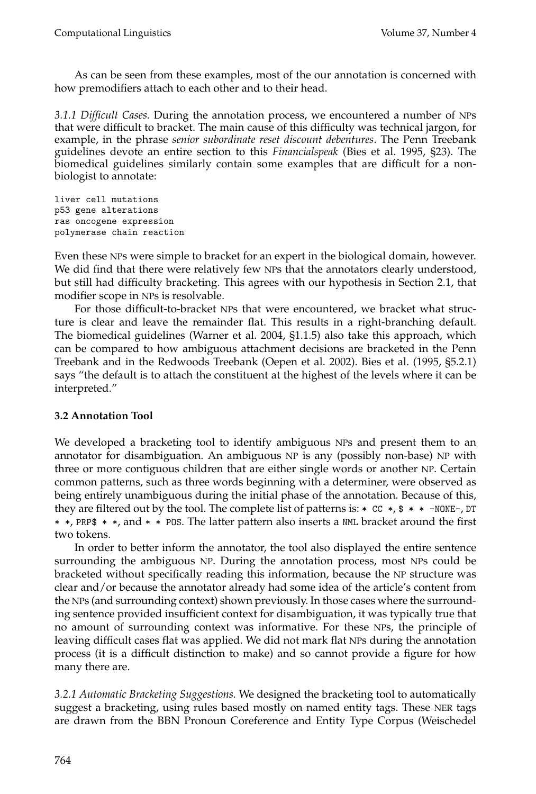As can be seen from these examples, most of the our annotation is concerned with how premodifiers attach to each other and to their head.

*3.1.1 Difficult Cases.* During the annotation process, we encountered a number of NPs that were difficult to bracket. The main cause of this difficulty was technical jargon, for example, in the phrase *senior subordinate reset discount debentures*. The Penn Treebank guidelines devote an entire section to this *Financialspeak* (Bies et al. 1995, §23). The biomedical guidelines similarly contain some examples that are difficult for a nonbiologist to annotate:

```
liver cell mutations
p53 gene alterations
ras oncogene expression
polymerase chain reaction
```
Even these NPs were simple to bracket for an expert in the biological domain, however. We did find that there were relatively few NPs that the annotators clearly understood, but still had difficulty bracketing. This agrees with our hypothesis in Section 2.1, that modifier scope in NPs is resolvable.

For those difficult-to-bracket NPs that were encountered, we bracket what structure is clear and leave the remainder flat. This results in a right-branching default. The biomedical guidelines (Warner et al. 2004, §1.1.5) also take this approach, which can be compared to how ambiguous attachment decisions are bracketed in the Penn Treebank and in the Redwoods Treebank (Oepen et al. 2002). Bies et al. (1995, §5.2.1) says "the default is to attach the constituent at the highest of the levels where it can be interpreted."

# **3.2 Annotation Tool**

We developed a bracketing tool to identify ambiguous NPs and present them to an annotator for disambiguation. An ambiguous NP is any (possibly non-base) NP with three or more contiguous children that are either single words or another NP. Certain common patterns, such as three words beginning with a determiner, were observed as being entirely unambiguous during the initial phase of the annotation. Because of this, they are filtered out by the tool. The complete list of patterns is:  $*$  CC  $*$ ,  $*$   $*$   $*$  -NONE-, DT \* \*, PRP\$ \* \*, and \* \* POS. The latter pattern also inserts a NML bracket around the first two tokens.

In order to better inform the annotator, the tool also displayed the entire sentence surrounding the ambiguous NP. During the annotation process, most NPs could be bracketed without specifically reading this information, because the NP structure was clear and/or because the annotator already had some idea of the article's content from the NPs (and surrounding context) shown previously. In those cases where the surrounding sentence provided insufficient context for disambiguation, it was typically true that no amount of surrounding context was informative. For these NPs, the principle of leaving difficult cases flat was applied. We did not mark flat NPs during the annotation process (it is a difficult distinction to make) and so cannot provide a figure for how many there are.

*3.2.1 Automatic Bracketing Suggestions.* We designed the bracketing tool to automatically suggest a bracketing, using rules based mostly on named entity tags. These NER tags are drawn from the BBN Pronoun Coreference and Entity Type Corpus (Weischedel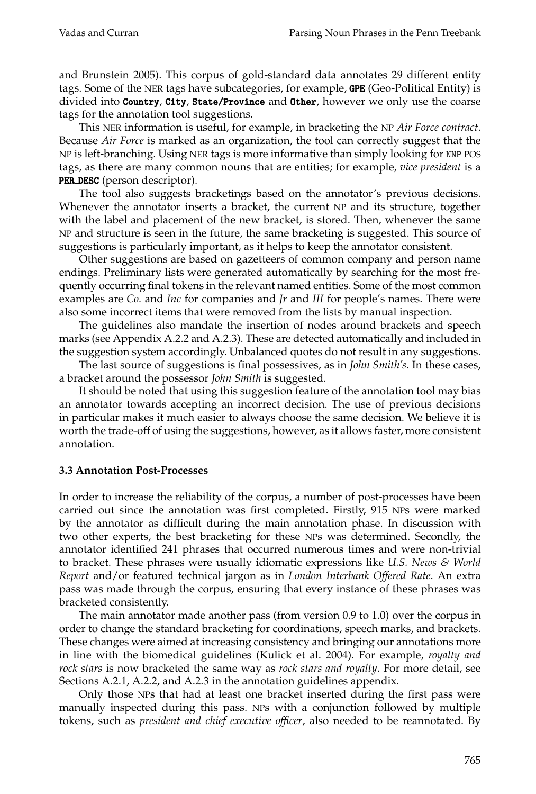and Brunstein 2005). This corpus of gold-standard data annotates 29 different entity tags. Some of the NER tags have subcategories, for example, GPE (Geo-Political Entity) is divided into Country, City, State/Province and Other, however we only use the coarse tags for the annotation tool suggestions.

This NER information is useful, for example, in bracketing the NP *Air Force contract*. Because *Air Force* is marked as an organization, the tool can correctly suggest that the NP is left-branching. Using NER tags is more informative than simply looking for NNP POS tags, as there are many common nouns that are entities; for example, *vice president* is a PER DESC (person descriptor).

The tool also suggests bracketings based on the annotator's previous decisions. Whenever the annotator inserts a bracket, the current NP and its structure, together with the label and placement of the new bracket, is stored. Then, whenever the same NP and structure is seen in the future, the same bracketing is suggested. This source of suggestions is particularly important, as it helps to keep the annotator consistent.

Other suggestions are based on gazetteers of common company and person name endings. Preliminary lists were generated automatically by searching for the most frequently occurring final tokens in the relevant named entities. Some of the most common examples are *Co.* and *Inc* for companies and *Jr* and *III* for people's names. There were also some incorrect items that were removed from the lists by manual inspection.

The guidelines also mandate the insertion of nodes around brackets and speech marks (see Appendix A.2.2 and A.2.3). These are detected automatically and included in the suggestion system accordingly. Unbalanced quotes do not result in any suggestions.

The last source of suggestions is final possessives, as in *John Smith's*. In these cases, a bracket around the possessor *John Smith* is suggested.

It should be noted that using this suggestion feature of the annotation tool may bias an annotator towards accepting an incorrect decision. The use of previous decisions in particular makes it much easier to always choose the same decision. We believe it is worth the trade-off of using the suggestions, however, as it allows faster, more consistent annotation.

## **3.3 Annotation Post-Processes**

In order to increase the reliability of the corpus, a number of post-processes have been carried out since the annotation was first completed. Firstly, 915 NPs were marked by the annotator as difficult during the main annotation phase. In discussion with two other experts, the best bracketing for these NPs was determined. Secondly, the annotator identified 241 phrases that occurred numerous times and were non-trivial to bracket. These phrases were usually idiomatic expressions like *U.S. News & World Report* and/or featured technical jargon as in *London Interbank Offered Rate*. An extra pass was made through the corpus, ensuring that every instance of these phrases was bracketed consistently.

The main annotator made another pass (from version 0.9 to 1.0) over the corpus in order to change the standard bracketing for coordinations, speech marks, and brackets. These changes were aimed at increasing consistency and bringing our annotations more in line with the biomedical guidelines (Kulick et al. 2004). For example, *royalty and rock stars* is now bracketed the same way as *rock stars and royalty*. For more detail, see Sections A.2.1, A.2.2, and A.2.3 in the annotation guidelines appendix.

Only those NPs that had at least one bracket inserted during the first pass were manually inspected during this pass. NPs with a conjunction followed by multiple tokens, such as *president and chief executive officer*, also needed to be reannotated. By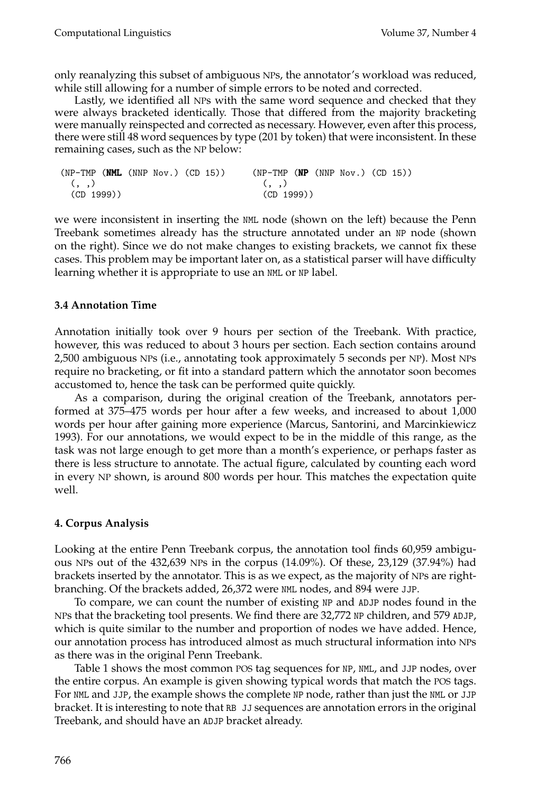only reanalyzing this subset of ambiguous NPs, the annotator's workload was reduced, while still allowing for a number of simple errors to be noted and corrected.

Lastly, we identified all NPs with the same word sequence and checked that they were always bracketed identically. Those that differed from the majority bracketing were manually reinspected and corrected as necessary. However, even after this process, there were still 48 word sequences by type (201 by token) that were inconsistent. In these remaining cases, such as the NP below:

```
(NP-TMP (NML (NNP Nov.) (CD 15)) (NP-TMP (NP (NNP Nov.) (CD 15))(, 1) (, 1)(CD 1999)) (CD 1999))
```
we were inconsistent in inserting the NML node (shown on the left) because the Penn Treebank sometimes already has the structure annotated under an NP node (shown on the right). Since we do not make changes to existing brackets, we cannot fix these cases. This problem may be important later on, as a statistical parser will have difficulty learning whether it is appropriate to use an NML or NP label.

## **3.4 Annotation Time**

Annotation initially took over 9 hours per section of the Treebank. With practice, however, this was reduced to about 3 hours per section. Each section contains around 2,500 ambiguous NPs (i.e., annotating took approximately 5 seconds per NP). Most NPs require no bracketing, or fit into a standard pattern which the annotator soon becomes accustomed to, hence the task can be performed quite quickly.

As a comparison, during the original creation of the Treebank, annotators performed at 375–475 words per hour after a few weeks, and increased to about 1,000 words per hour after gaining more experience (Marcus, Santorini, and Marcinkiewicz 1993). For our annotations, we would expect to be in the middle of this range, as the task was not large enough to get more than a month's experience, or perhaps faster as there is less structure to annotate. The actual figure, calculated by counting each word in every NP shown, is around 800 words per hour. This matches the expectation quite well.

## **4. Corpus Analysis**

Looking at the entire Penn Treebank corpus, the annotation tool finds 60,959 ambiguous NPs out of the 432,639 NPs in the corpus (14.09%). Of these, 23,129 (37.94%) had brackets inserted by the annotator. This is as we expect, as the majority of NPs are rightbranching. Of the brackets added, 26,372 were NML nodes, and 894 were JJP.

To compare, we can count the number of existing NP and ADJP nodes found in the NPs that the bracketing tool presents. We find there are 32,772 NP children, and 579 ADJP, which is quite similar to the number and proportion of nodes we have added. Hence, our annotation process has introduced almost as much structural information into NPs as there was in the original Penn Treebank.

Table 1 shows the most common POS tag sequences for NP, NML, and JJP nodes, over the entire corpus. An example is given showing typical words that match the POS tags. For NML and JJP, the example shows the complete NP node, rather than just the NML or JJP bracket. It is interesting to note that RB JJ sequences are annotation errors in the original Treebank, and should have an ADJP bracket already.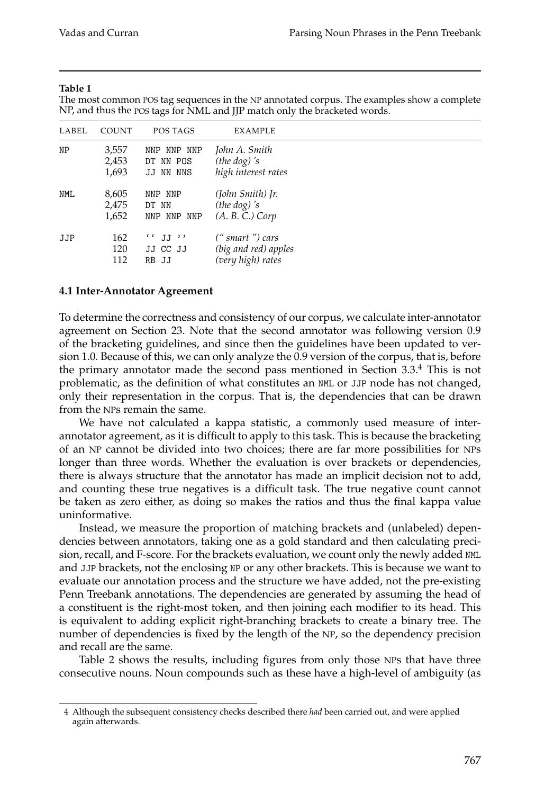#### **Table 1**

The most common POS tag sequences in the NP annotated corpus. The examples show a complete NP, and thus the POS tags for NML and JJP match only the bracketed words.

| LABEL | <b>COUNT</b>            | POS TAGS                                   | <b>EXAMPLE</b>                                                |  |
|-------|-------------------------|--------------------------------------------|---------------------------------------------------------------|--|
| ΝP    | 3,557<br>2,453<br>1,693 | NNP NNP NNP<br>DT NN POS<br>JJ NN NNS      | John A. Smith<br>(the $dog$ ) 's<br>high interest rates       |  |
| NML   | 8,605<br>2,475<br>1,652 | NNP NNP<br>DT NN<br>NNP NNP NNP            | (John Smith) Jr.<br>(the $dog$ ) 's<br>$(A. B. C.)$ Corp      |  |
| JJP   | 162<br>120<br>112       | $\ldots$ 11, $\ldots$<br>JJ CC JJ<br>RB JJ | $"$ smart") cars<br>(big and red) apples<br>(very high) rates |  |

#### **4.1 Inter-Annotator Agreement**

To determine the correctness and consistency of our corpus, we calculate inter-annotator agreement on Section 23. Note that the second annotator was following version 0.9 of the bracketing guidelines, and since then the guidelines have been updated to version 1.0. Because of this, we can only analyze the 0.9 version of the corpus, that is, before the primary annotator made the second pass mentioned in Section  $3.3<sup>4</sup>$ . This is not problematic, as the definition of what constitutes an NML or JJP node has not changed, only their representation in the corpus. That is, the dependencies that can be drawn from the NPs remain the same.

We have not calculated a kappa statistic, a commonly used measure of interannotator agreement, as it is difficult to apply to this task. This is because the bracketing of an NP cannot be divided into two choices; there are far more possibilities for NPs longer than three words. Whether the evaluation is over brackets or dependencies, there is always structure that the annotator has made an implicit decision not to add, and counting these true negatives is a difficult task. The true negative count cannot be taken as zero either, as doing so makes the ratios and thus the final kappa value uninformative.

Instead, we measure the proportion of matching brackets and (unlabeled) dependencies between annotators, taking one as a gold standard and then calculating precision, recall, and F-score. For the brackets evaluation, we count only the newly added NML and JJP brackets, not the enclosing NP or any other brackets. This is because we want to evaluate our annotation process and the structure we have added, not the pre-existing Penn Treebank annotations. The dependencies are generated by assuming the head of a constituent is the right-most token, and then joining each modifier to its head. This is equivalent to adding explicit right-branching brackets to create a binary tree. The number of dependencies is fixed by the length of the NP, so the dependency precision and recall are the same.

Table 2 shows the results, including figures from only those NPs that have three consecutive nouns. Noun compounds such as these have a high-level of ambiguity (as

<sup>4</sup> Although the subsequent consistency checks described there *had* been carried out, and were applied again afterwards.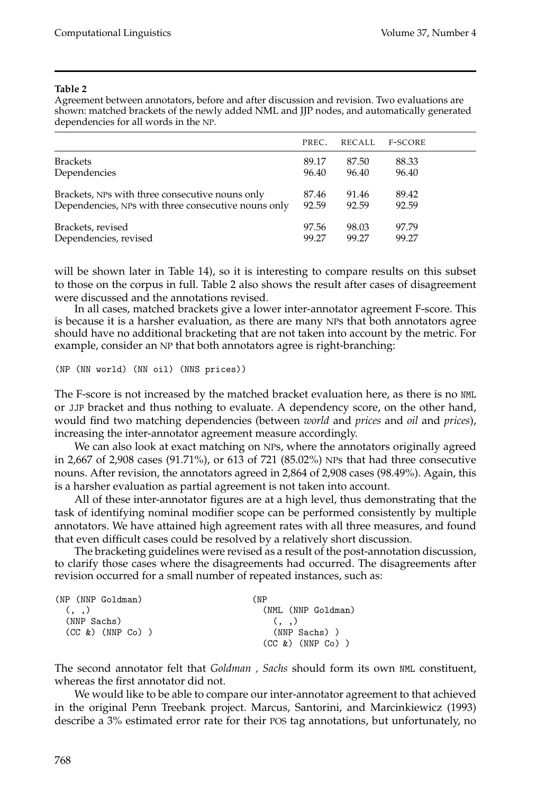#### **Table 2**

Agreement between annotators, before and after discussion and revision. Two evaluations are shown: matched brackets of the newly added NML and JJP nodes, and automatically generated dependencies for all words in the NP.

|                                                     | PREC. | RECALL | <b>F-SCORE</b> |
|-----------------------------------------------------|-------|--------|----------------|
| <b>Brackets</b>                                     | 89.17 | 87.50  | 88.33          |
| Dependencies                                        | 96.40 | 96.40  | 96.40          |
| Brackets, NPs with three consecutive nouns only     | 87.46 | 91.46  | 89.42          |
| Dependencies, NPs with three consecutive nouns only | 92.59 | 92.59  | 92.59          |
| Brackets, revised                                   | 97.56 | 98.03  | 97.79          |
| Dependencies, revised                               | 99.27 | 99.27  | 99.27          |

will be shown later in Table 14), so it is interesting to compare results on this subset to those on the corpus in full. Table 2 also shows the result after cases of disagreement were discussed and the annotations revised.

In all cases, matched brackets give a lower inter-annotator agreement F-score. This is because it is a harsher evaluation, as there are many NPs that both annotators agree should have no additional bracketing that are not taken into account by the metric. For example, consider an NP that both annotators agree is right-branching:

```
(NP (NN world) (NN oil) (NNS prices))
```
The F-score is not increased by the matched bracket evaluation here, as there is no NML or JJP bracket and thus nothing to evaluate. A dependency score, on the other hand, would find two matching dependencies (between *world* and *prices* and *oil* and *prices*), increasing the inter-annotator agreement measure accordingly.

We can also look at exact matching on NPs, where the annotators originally agreed in 2,667 of 2,908 cases (91.71%), or 613 of 721 (85.02%) NPs that had three consecutive nouns. After revision, the annotators agreed in 2,864 of 2,908 cases (98.49%). Again, this is a harsher evaluation as partial agreement is not taken into account.

All of these inter-annotator figures are at a high level, thus demonstrating that the task of identifying nominal modifier scope can be performed consistently by multiple annotators. We have attained high agreement rates with all three measures, and found that even difficult cases could be resolved by a relatively short discussion.

The bracketing guidelines were revised as a result of the post-annotation discussion, to clarify those cases where the disagreements had occurred. The disagreements after revision occurred for a small number of repeated instances, such as:

| (NP (NNP Goldman) | (NP                |
|-------------------|--------------------|
| $($ , $)$         | (NML (NNP Goldman) |
| (NNP Sachs)       | $($ . $)$          |
| (CC > (NNP Co) )  | (NNP Sachs))       |
|                   | (CC > (NNP Co) )   |

The second annotator felt that *Goldman , Sachs* should form its own NML constituent, whereas the first annotator did not.

We would like to be able to compare our inter-annotator agreement to that achieved in the original Penn Treebank project. Marcus, Santorini, and Marcinkiewicz (1993) describe a 3% estimated error rate for their POS tag annotations, but unfortunately, no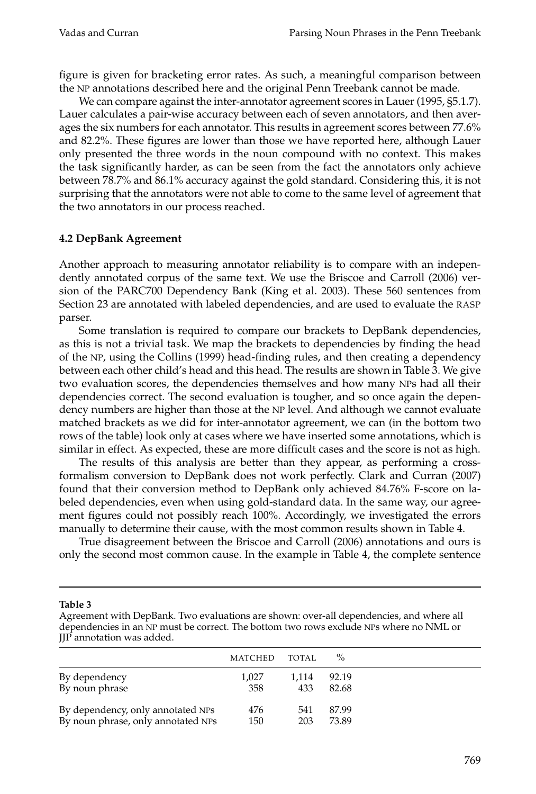figure is given for bracketing error rates. As such, a meaningful comparison between the NP annotations described here and the original Penn Treebank cannot be made.

We can compare against the inter-annotator agreement scores in Lauer (1995, §5.1.7). Lauer calculates a pair-wise accuracy between each of seven annotators, and then averages the six numbers for each annotator. This results in agreement scores between 77.6% and 82.2%. These figures are lower than those we have reported here, although Lauer only presented the three words in the noun compound with no context. This makes the task significantly harder, as can be seen from the fact the annotators only achieve between 78.7% and 86.1% accuracy against the gold standard. Considering this, it is not surprising that the annotators were not able to come to the same level of agreement that the two annotators in our process reached.

## **4.2 DepBank Agreement**

Another approach to measuring annotator reliability is to compare with an independently annotated corpus of the same text. We use the Briscoe and Carroll (2006) version of the PARC700 Dependency Bank (King et al. 2003). These 560 sentences from Section 23 are annotated with labeled dependencies, and are used to evaluate the RASP parser.

Some translation is required to compare our brackets to DepBank dependencies, as this is not a trivial task. We map the brackets to dependencies by finding the head of the NP, using the Collins (1999) head-finding rules, and then creating a dependency between each other child's head and this head. The results are shown in Table 3. We give two evaluation scores, the dependencies themselves and how many NPs had all their dependencies correct. The second evaluation is tougher, and so once again the dependency numbers are higher than those at the NP level. And although we cannot evaluate matched brackets as we did for inter-annotator agreement, we can (in the bottom two rows of the table) look only at cases where we have inserted some annotations, which is similar in effect. As expected, these are more difficult cases and the score is not as high.

The results of this analysis are better than they appear, as performing a crossformalism conversion to DepBank does not work perfectly. Clark and Curran (2007) found that their conversion method to DepBank only achieved 84.76% F-score on labeled dependencies, even when using gold-standard data. In the same way, our agreement figures could not possibly reach 100%. Accordingly, we investigated the errors manually to determine their cause, with the most common results shown in Table 4.

True disagreement between the Briscoe and Carroll (2006) annotations and ours is only the second most common cause. In the example in Table 4, the complete sentence

#### **Table 3**

Agreement with DepBank. Two evaluations are shown: over-all dependencies, and where all dependencies in an NP must be correct. The bottom two rows exclude NPs where no NML or JJP annotation was added.

|                                    | MATCHED | TOTAL | $\%$  |
|------------------------------------|---------|-------|-------|
| By dependency                      | 1,027   | 1,114 | 92.19 |
| By noun phrase                     | 358     | 433   | 82.68 |
| By dependency, only annotated NPs  | 476     | 541   | 87.99 |
| By noun phrase, only annotated NPs | 150     | 203   | 73.89 |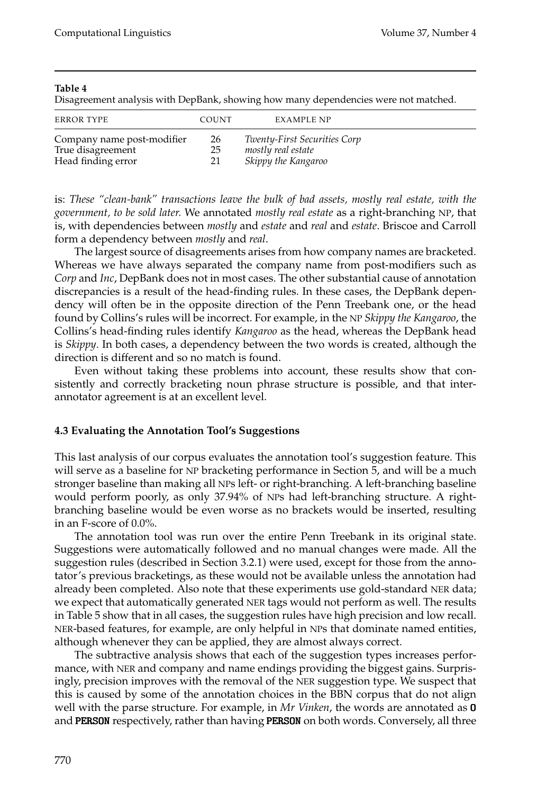#### **Table 4**

Disagreement analysis with DepBank, showing how many dependencies were not matched.

| ERROR TYPE                 | <b>COUNT</b> | EXAMPLE NP                   |
|----------------------------|--------------|------------------------------|
| Company name post-modifier | 26           | Twenty-First Securities Corp |
| True disagreement          | 25           | mostly real estate           |
| Head finding error         | 21           | Skippy the Kangaroo          |

is: *These "clean-bank" transactions leave the bulk of bad assets, mostly real estate, with the government, to be sold later.* We annotated *mostly real estate* as a right-branching NP, that is, with dependencies between *mostly* and *estate* and *real* and *estate*. Briscoe and Carroll form a dependency between *mostly* and *real*.

The largest source of disagreements arises from how company names are bracketed. Whereas we have always separated the company name from post-modifiers such as *Corp* and *Inc*, DepBank does not in most cases. The other substantial cause of annotation discrepancies is a result of the head-finding rules. In these cases, the DepBank dependency will often be in the opposite direction of the Penn Treebank one, or the head found by Collins's rules will be incorrect. For example, in the NP *Skippy the Kangaroo*, the Collins's head-finding rules identify *Kangaroo* as the head, whereas the DepBank head is *Skippy*. In both cases, a dependency between the two words is created, although the direction is different and so no match is found.

Even without taking these problems into account, these results show that consistently and correctly bracketing noun phrase structure is possible, and that interannotator agreement is at an excellent level.

#### **4.3 Evaluating the Annotation Tool's Suggestions**

This last analysis of our corpus evaluates the annotation tool's suggestion feature. This will serve as a baseline for NP bracketing performance in Section 5, and will be a much stronger baseline than making all NPs left- or right-branching. A left-branching baseline would perform poorly, as only 37.94% of NPs had left-branching structure. A rightbranching baseline would be even worse as no brackets would be inserted, resulting in an F-score of 0.0%.

The annotation tool was run over the entire Penn Treebank in its original state. Suggestions were automatically followed and no manual changes were made. All the suggestion rules (described in Section 3.2.1) were used, except for those from the annotator's previous bracketings, as these would not be available unless the annotation had already been completed. Also note that these experiments use gold-standard NER data; we expect that automatically generated NER tags would not perform as well. The results in Table 5 show that in all cases, the suggestion rules have high precision and low recall. NER-based features, for example, are only helpful in NPs that dominate named entities, although whenever they can be applied, they are almost always correct.

The subtractive analysis shows that each of the suggestion types increases performance, with NER and company and name endings providing the biggest gains. Surprisingly, precision improves with the removal of the NER suggestion type. We suspect that this is caused by some of the annotation choices in the BBN corpus that do not align well with the parse structure. For example, in *Mr Vinken*, the words are annotated as O and PERSON respectively, rather than having PERSON on both words. Conversely, all three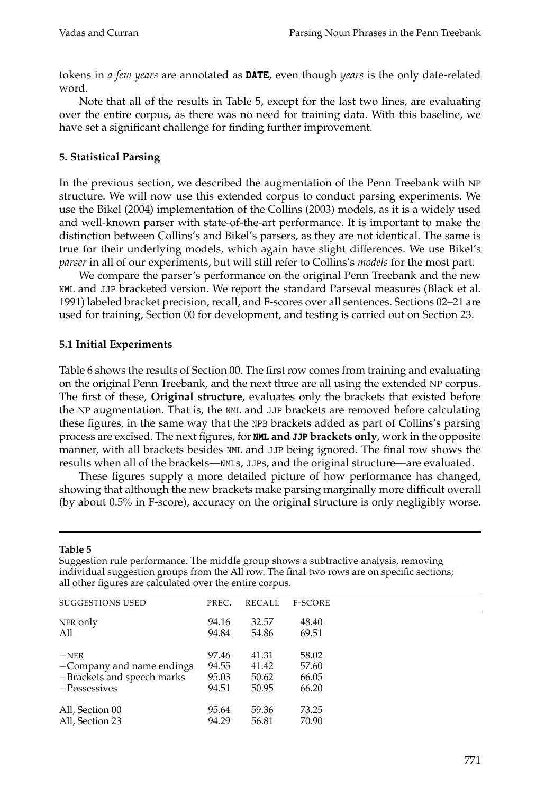tokens in *a few years* are annotated as DATE, even though *years* is the only date-related word.

Note that all of the results in Table 5, except for the last two lines, are evaluating over the entire corpus, as there was no need for training data. With this baseline, we have set a significant challenge for finding further improvement.

## **5. Statistical Parsing**

In the previous section, we described the augmentation of the Penn Treebank with NP structure. We will now use this extended corpus to conduct parsing experiments. We use the Bikel (2004) implementation of the Collins (2003) models, as it is a widely used and well-known parser with state-of-the-art performance. It is important to make the distinction between Collins's and Bikel's parsers, as they are not identical. The same is true for their underlying models, which again have slight differences. We use Bikel's *parser* in all of our experiments, but will still refer to Collins's *models* for the most part.

We compare the parser's performance on the original Penn Treebank and the new NML and JJP bracketed version. We report the standard Parseval measures (Black et al. 1991) labeled bracket precision, recall, and F-scores over all sentences. Sections 02–21 are used for training, Section 00 for development, and testing is carried out on Section 23.

## **5.1 Initial Experiments**

Table 6 shows the results of Section 00. The first row comes from training and evaluating on the original Penn Treebank, and the next three are all using the extended NP corpus. The first of these, **Original structure**, evaluates only the brackets that existed before the NP augmentation. That is, the NML and JJP brackets are removed before calculating these figures, in the same way that the NPB brackets added as part of Collins's parsing process are excised. The next figures, for NML **and** JJP **brackets only**, work in the opposite manner, with all brackets besides NML and JJP being ignored. The final row shows the results when all of the brackets—NMLs, JJPs, and the original structure—are evaluated.

These figures supply a more detailed picture of how performance has changed, showing that although the new brackets make parsing marginally more difficult overall (by about 0.5% in F-score), accuracy on the original structure is only negligibly worse.

#### **Table 5**

| all other lightes are calculated over the entire corpus.                               |                                  |                                  |                                  |  |
|----------------------------------------------------------------------------------------|----------------------------------|----------------------------------|----------------------------------|--|
| <b>SUGGESTIONS USED</b>                                                                | PREC.                            | RECALL                           | F-SCORE                          |  |
| NER only<br>All                                                                        | 94.16<br>94.84                   | 32.57<br>54.86                   | 48.40<br>69.51                   |  |
| $-NER$<br>$-Company$ and name endings<br>-Brackets and speech marks<br>$-P$ ossessives | 97.46<br>94.55<br>95.03<br>94.51 | 41.31<br>41.42<br>50.62<br>50.95 | 58.02<br>57.60<br>66.05<br>66.20 |  |
| All, Section 00<br>All, Section 23                                                     | 95.64<br>94.29                   | 59.36<br>56.81                   | 73.25<br>70.90                   |  |

Suggestion rule performance. The middle group shows a subtractive analysis, removing individual suggestion groups from the All row. The final two rows are on specific sections; all other figures are calculated over the entire corpus.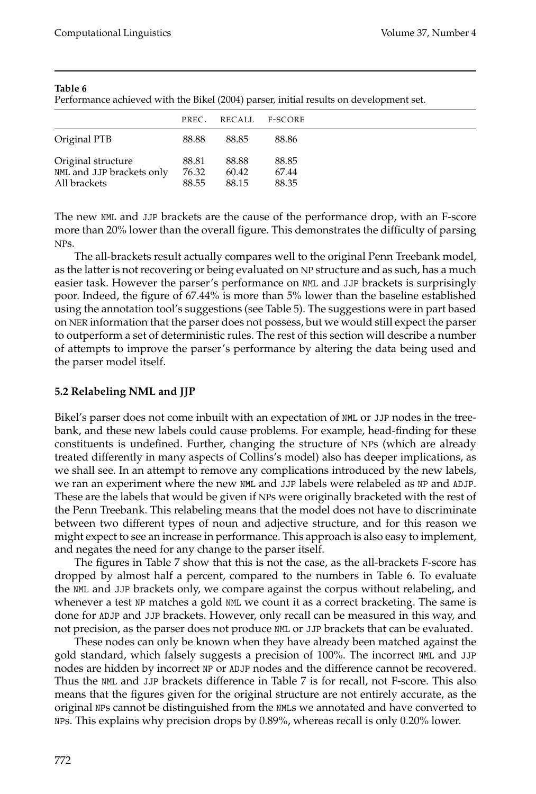#### **Table 6**

Performance achieved with the Bikel (2004) parser, initial results on development set.

|                                                                 | PREC.                   | RECALL                  | F-SCORE                 |
|-----------------------------------------------------------------|-------------------------|-------------------------|-------------------------|
| Original PTB                                                    | 88.88                   | 88.85                   | 88.86                   |
| Original structure<br>NML and JJP brackets only<br>All brackets | 88.81<br>76.32<br>88.55 | 88.88<br>60.42<br>88.15 | 88.85<br>67.44<br>88.35 |

The new NML and JJP brackets are the cause of the performance drop, with an F-score more than 20% lower than the overall figure. This demonstrates the difficulty of parsing NPs.

The all-brackets result actually compares well to the original Penn Treebank model, as the latter is not recovering or being evaluated on NP structure and as such, has a much easier task. However the parser's performance on NML and JJP brackets is surprisingly poor. Indeed, the figure of 67.44% is more than 5% lower than the baseline established using the annotation tool's suggestions (see Table 5). The suggestions were in part based on NER information that the parser does not possess, but we would still expect the parser to outperform a set of deterministic rules. The rest of this section will describe a number of attempts to improve the parser's performance by altering the data being used and the parser model itself.

## **5.2 Relabeling NML and JJP**

Bikel's parser does not come inbuilt with an expectation of NML or JJP nodes in the treebank, and these new labels could cause problems. For example, head-finding for these constituents is undefined. Further, changing the structure of NPs (which are already treated differently in many aspects of Collins's model) also has deeper implications, as we shall see. In an attempt to remove any complications introduced by the new labels, we ran an experiment where the new NML and JJP labels were relabeled as NP and ADJP. These are the labels that would be given if NPs were originally bracketed with the rest of the Penn Treebank. This relabeling means that the model does not have to discriminate between two different types of noun and adjective structure, and for this reason we might expect to see an increase in performance. This approach is also easy to implement, and negates the need for any change to the parser itself.

The figures in Table 7 show that this is not the case, as the all-brackets F-score has dropped by almost half a percent, compared to the numbers in Table 6. To evaluate the NML and JJP brackets only, we compare against the corpus without relabeling, and whenever a test NP matches a gold NML we count it as a correct bracketing. The same is done for ADJP and JJP brackets. However, only recall can be measured in this way, and not precision, as the parser does not produce NML or JJP brackets that can be evaluated.

These nodes can only be known when they have already been matched against the gold standard, which falsely suggests a precision of 100%. The incorrect NML and JJP nodes are hidden by incorrect NP or ADJP nodes and the difference cannot be recovered. Thus the NML and JJP brackets difference in Table 7 is for recall, not F-score. This also means that the figures given for the original structure are not entirely accurate, as the original NPs cannot be distinguished from the NMLs we annotated and have converted to NPs. This explains why precision drops by 0.89%, whereas recall is only 0.20% lower.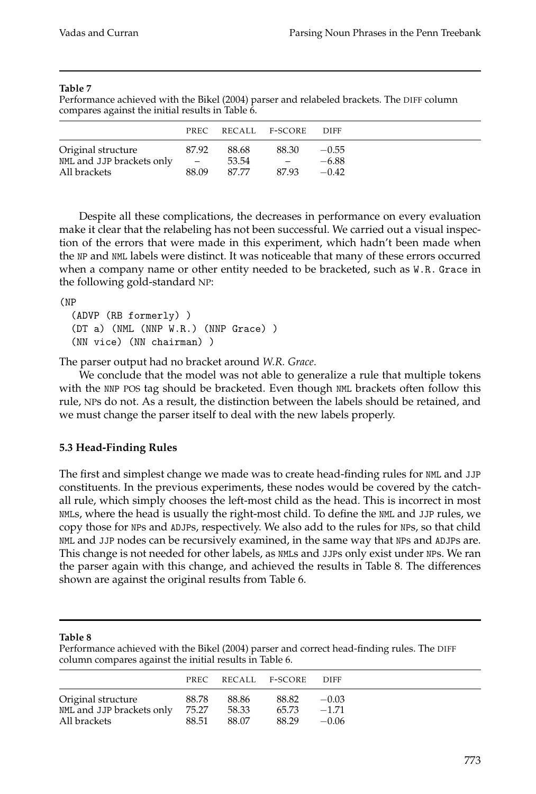## **Table 7**

Performance achieved with the Bikel (2004) parser and relabeled brackets. The DIFF column compares against the initial results in Table 6.

|                                                                 |                |                            | PREC RECALL F-SCORE                    | <b>DIFF</b>                   |
|-----------------------------------------------------------------|----------------|----------------------------|----------------------------------------|-------------------------------|
| Original structure<br>NML and JJP brackets only<br>All brackets | 87.92<br>88.09 | 88.68<br>$-53.54$<br>87.77 | 88.30<br>and the state of the<br>87.93 | $-0.55$<br>$-6.88$<br>$-0.42$ |

Despite all these complications, the decreases in performance on every evaluation make it clear that the relabeling has not been successful. We carried out a visual inspection of the errors that were made in this experiment, which hadn't been made when the NP and NML labels were distinct. It was noticeable that many of these errors occurred when a company name or other entity needed to be bracketed, such as W.R. Grace in the following gold-standard NP:

## (NP

(ADVP (RB formerly) ) (DT a) (NML (NNP W.R.) (NNP Grace) ) (NN vice) (NN chairman) )

The parser output had no bracket around *W.R. Grace*.

We conclude that the model was not able to generalize a rule that multiple tokens with the NNP POS tag should be bracketed. Even though NML brackets often follow this rule, NPs do not. As a result, the distinction between the labels should be retained, and we must change the parser itself to deal with the new labels properly.

# **5.3 Head-Finding Rules**

The first and simplest change we made was to create head-finding rules for NML and JJP constituents. In the previous experiments, these nodes would be covered by the catchall rule, which simply chooses the left-most child as the head. This is incorrect in most NMLs, where the head is usually the right-most child. To define the NML and JJP rules, we copy those for NPs and ADJPs, respectively. We also add to the rules for NPs, so that child NML and JJP nodes can be recursively examined, in the same way that NPs and ADJPs are. This change is not needed for other labels, as NMLs and JJPs only exist under NPs. We ran the parser again with this change, and achieved the results in Table 8. The differences shown are against the original results from Table 6.

#### **Table 8**

Performance achieved with the Bikel (2004) parser and correct head-finding rules. The DIFF column compares against the initial results in Table 6.

|                           | PREC  | RECALL F-SCORE |       | DIFF    |
|---------------------------|-------|----------------|-------|---------|
| Original structure        | 88.78 | 88.86          | 88.82 | $-0.03$ |
| NML and JJP brackets only | 75.27 | 58.33          | 65.73 | $-1.71$ |
| All brackets              | 88.51 | 88.07          | 88.29 | $-0.06$ |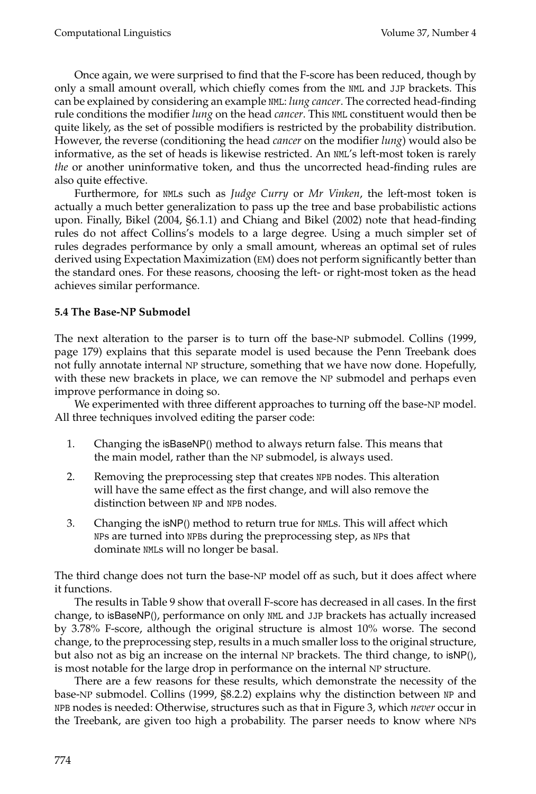Once again, we were surprised to find that the F-score has been reduced, though by only a small amount overall, which chiefly comes from the NML and JJP brackets. This can be explained by considering an example NML: *lung cancer*. The corrected head-finding rule conditions the modifier *lung* on the head *cancer*. This NML constituent would then be quite likely, as the set of possible modifiers is restricted by the probability distribution. However, the reverse (conditioning the head *cancer* on the modifier *lung*) would also be informative, as the set of heads is likewise restricted. An NML's left-most token is rarely *the* or another uninformative token, and thus the uncorrected head-finding rules are also quite effective.

Furthermore, for NMLs such as *Judge Curry* or *Mr Vinken*, the left-most token is actually a much better generalization to pass up the tree and base probabilistic actions upon. Finally, Bikel (2004, §6.1.1) and Chiang and Bikel (2002) note that head-finding rules do not affect Collins's models to a large degree. Using a much simpler set of rules degrades performance by only a small amount, whereas an optimal set of rules derived using Expectation Maximization (EM) does not perform significantly better than the standard ones. For these reasons, choosing the left- or right-most token as the head achieves similar performance.

# **5.4 The Base-NP Submodel**

The next alteration to the parser is to turn off the base-NP submodel. Collins (1999, page 179) explains that this separate model is used because the Penn Treebank does not fully annotate internal NP structure, something that we have now done. Hopefully, with these new brackets in place, we can remove the NP submodel and perhaps even improve performance in doing so.

We experimented with three different approaches to turning off the base-NP model. All three techniques involved editing the parser code:

- 1. Changing the isBaseNP() method to always return false. This means that the main model, rather than the NP submodel, is always used.
- 2. Removing the preprocessing step that creates NPB nodes. This alteration will have the same effect as the first change, and will also remove the distinction between NP and NPB nodes.
- 3. Changing the isNP() method to return true for NMLs. This will affect which NPs are turned into NPBs during the preprocessing step, as NPs that dominate NMLs will no longer be basal.

The third change does not turn the base-NP model off as such, but it does affect where it functions.

The results in Table 9 show that overall F-score has decreased in all cases. In the first change, to isBaseNP(), performance on only NML and JJP brackets has actually increased by 3.78% F-score, although the original structure is almost 10% worse. The second change, to the preprocessing step, results in a much smaller loss to the original structure, but also not as big an increase on the internal NP brackets. The third change, to isNP(), is most notable for the large drop in performance on the internal NP structure.

There are a few reasons for these results, which demonstrate the necessity of the base-NP submodel. Collins (1999, §8.2.2) explains why the distinction between NP and NPB nodes is needed: Otherwise, structures such as that in Figure 3, which *never* occur in the Treebank, are given too high a probability. The parser needs to know where NPs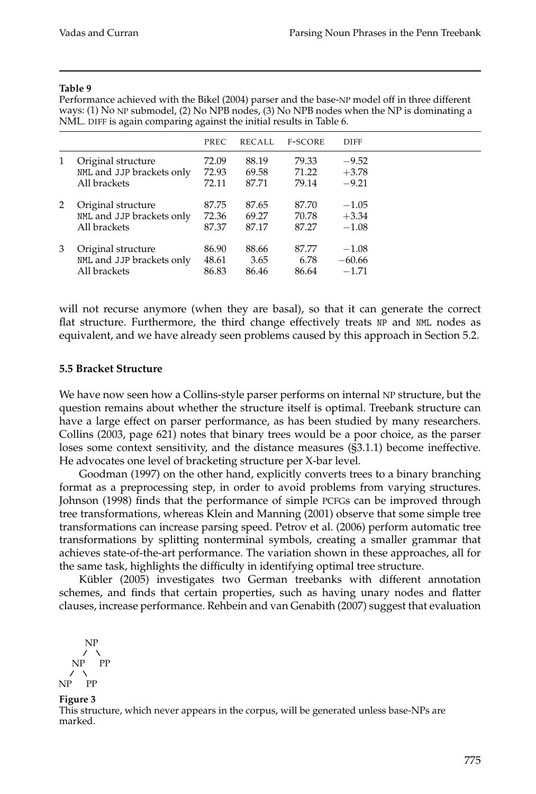#### **Table 9**

Performance achieved with the Bikel (2004) parser and the base-NP model off in three different ways: (1) No NP submodel, (2) No NPB nodes, (3) No NPB nodes when the NP is dominating a NML. DIFF is again comparing against the initial results in Table 6.

|   |                                                                 | PREC                    | RECALL                  | <b>F-SCORE</b>          | <b>DIFF</b>                    |  |  |
|---|-----------------------------------------------------------------|-------------------------|-------------------------|-------------------------|--------------------------------|--|--|
| 1 | Original structure<br>NML and JJP brackets only<br>All brackets | 72.09<br>72.93<br>72.11 | 88.19<br>69.58<br>87.71 | 79.33<br>71.22<br>79.14 | $-9.52$<br>$+3.78$<br>$-9.21$  |  |  |
| 2 | Original structure<br>NML and JJP brackets only<br>All brackets | 87.75<br>72.36<br>87.37 | 87.65<br>69.27<br>87.17 | 87.70<br>70.78<br>87.27 | $-1.05$<br>$+3.34$<br>$-1.08$  |  |  |
| 3 | Original structure<br>NML and JJP brackets only<br>All brackets | 86.90<br>48.61<br>86.83 | 88.66<br>3.65<br>86.46  | 87.77<br>6.78<br>86.64  | $-1.08$<br>$-60.66$<br>$-1.71$ |  |  |

will not recurse anymore (when they are basal), so that it can generate the correct flat structure. Furthermore, the third change effectively treats NP and NML nodes as equivalent, and we have already seen problems caused by this approach in Section 5.2.

#### **5.5 Bracket Structure**

We have now seen how a Collins-style parser performs on internal NP structure, but the question remains about whether the structure itself is optimal. Treebank structure can have a large effect on parser performance, as has been studied by many researchers. Collins (2003, page 621) notes that binary trees would be a poor choice, as the parser loses some context sensitivity, and the distance measures (§3.1.1) become ineffective. He advocates one level of bracketing structure per X-bar level.

Goodman (1997) on the other hand, explicitly converts trees to a binary branching format as a preprocessing step, in order to avoid problems from varying structures. Johnson (1998) finds that the performance of simple PCFGs can be improved through tree transformations, whereas Klein and Manning (2001) observe that some simple tree transformations can increase parsing speed. Petrov et al. (2006) perform automatic tree transformations by splitting nonterminal symbols, creating a smaller grammar that achieves state-of-the-art performance. The variation shown in these approaches, all for the same task, highlights the difficulty in identifying optimal tree structure.

Kübler (2005) investigates two German treebanks with different annotation schemes, and finds that certain properties, such as having unary nodes and flatter clauses, increase performance. Rehbein and van Genabith (2007) suggest that evaluation

 $NP$  $NP$   $PP$ NP PP

#### **Figure 3**

This structure, which never appears in the corpus, will be generated unless base-NPs are marked.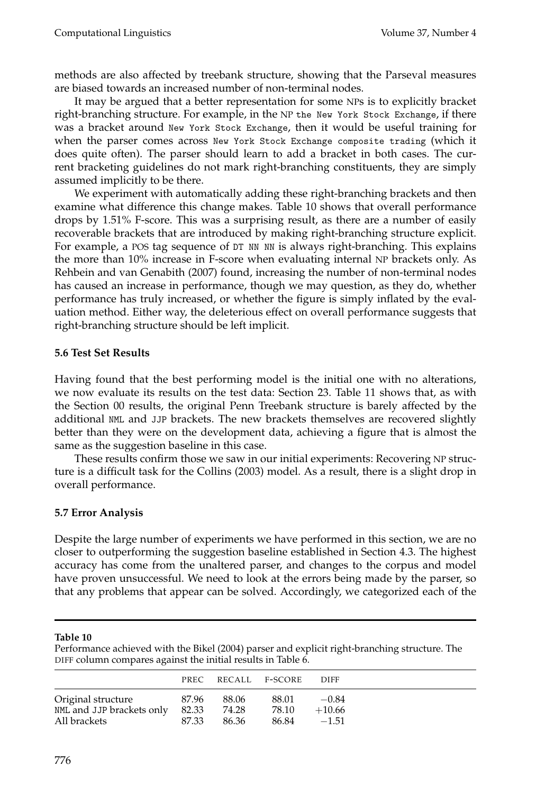methods are also affected by treebank structure, showing that the Parseval measures are biased towards an increased number of non-terminal nodes.

It may be argued that a better representation for some NPs is to explicitly bracket right-branching structure. For example, in the NP the New York Stock Exchange, if there was a bracket around New York Stock Exchange, then it would be useful training for when the parser comes across New York Stock Exchange composite trading (which it does quite often). The parser should learn to add a bracket in both cases. The current bracketing guidelines do not mark right-branching constituents, they are simply assumed implicitly to be there.

We experiment with automatically adding these right-branching brackets and then examine what difference this change makes. Table 10 shows that overall performance drops by 1.51% F-score. This was a surprising result, as there are a number of easily recoverable brackets that are introduced by making right-branching structure explicit. For example, a POS tag sequence of DT NN NN is always right-branching. This explains the more than 10% increase in F-score when evaluating internal NP brackets only. As Rehbein and van Genabith (2007) found, increasing the number of non-terminal nodes has caused an increase in performance, though we may question, as they do, whether performance has truly increased, or whether the figure is simply inflated by the evaluation method. Either way, the deleterious effect on overall performance suggests that right-branching structure should be left implicit.

## **5.6 Test Set Results**

Having found that the best performing model is the initial one with no alterations, we now evaluate its results on the test data: Section 23. Table 11 shows that, as with the Section 00 results, the original Penn Treebank structure is barely affected by the additional NML and JJP brackets. The new brackets themselves are recovered slightly better than they were on the development data, achieving a figure that is almost the same as the suggestion baseline in this case.

These results confirm those we saw in our initial experiments: Recovering NP structure is a difficult task for the Collins (2003) model. As a result, there is a slight drop in overall performance.

## **5.7 Error Analysis**

Despite the large number of experiments we have performed in this section, we are no closer to outperforming the suggestion baseline established in Section 4.3. The highest accuracy has come from the unaltered parser, and changes to the corpus and model have proven unsuccessful. We need to look at the errors being made by the parser, so that any problems that appear can be solved. Accordingly, we categorized each of the

#### **Table 10**

Performance achieved with the Bikel (2004) parser and explicit right-branching structure. The DIFF column compares against the initial results in Table 6.

|                           | PREC  | RECALL F-SCORE |       | <b>DIFF</b> |
|---------------------------|-------|----------------|-------|-------------|
| Original structure        | 87.96 | 88.06          | 88.01 | $-0.84$     |
| NML and JJP brackets only | 82.33 | 74.28          | 78.10 | $+10.66$    |
| All brackets              | 87.33 | 86.36          | 86.84 | $-1.51$     |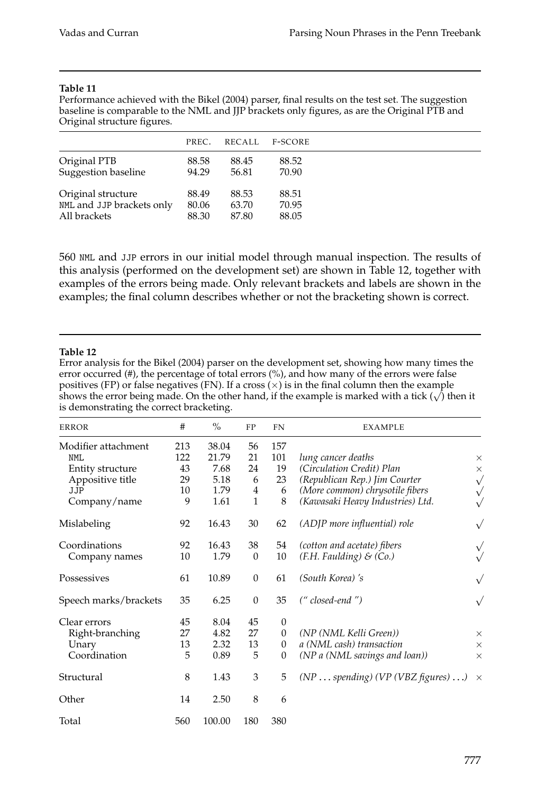## **Table 11**

Performance achieved with the Bikel (2004) parser, final results on the test set. The suggestion baseline is comparable to the NML and JJP brackets only figures, as are the Original PTB and Original structure figures.

|                           | PREC. | RECALL | F-SCORE |
|---------------------------|-------|--------|---------|
| Original PTB              | 88.58 | 88.45  | 88.52   |
| Suggestion baseline       | 94.29 | 56.81  | 70.90   |
| Original structure        | 88.49 | 88.53  | 88.51   |
| NML and JJP brackets only | 80.06 | 63.70  | 70.95   |
| All brackets              | 88.30 | 87.80  | 88.05   |

560 NML and JJP errors in our initial model through manual inspection. The results of this analysis (performed on the development set) are shown in Table 12, together with examples of the errors being made. Only relevant brackets and labels are shown in the examples; the final column describes whether or not the bracketing shown is correct.

## **Table 12**

Error analysis for the Bikel (2004) parser on the development set, showing how many times the error occurred (#), the percentage of total errors (%), and how many of the errors were false positives (FP) or false negatives (FN). If a cross  $(\times)$  is in the final column then the example shows the error being made. On the other hand, if the example is marked with a tick  $(\sqrt{\ })$  then it is demonstrating the correct bracketing.

| <b>ERROR</b>          | #   | $\%$   | FP               | FN               | <b>EXAMPLE</b>                                     |           |
|-----------------------|-----|--------|------------------|------------------|----------------------------------------------------|-----------|
| Modifier attachment   | 213 | 38.04  | 56               | 157              |                                                    |           |
| <b>NML</b>            | 122 | 21.79  | 21               | 101              | lung cancer deaths                                 | $\times$  |
| Entity structure      | 43  | 7.68   | 24               | 19               | (Circulation Credit) Plan                          | ×         |
| Appositive title      | 29  | 5.18   | 6                | 23               | (Republican Rep.) Jim Courter                      | $\sqrt{}$ |
| JJP                   | 10  | 1.79   | 4                | 6                | (More common) chrysotile fibers                    |           |
| Company/name          | 9   | 1.61   | $\mathbf{1}$     | 8                | (Kawasaki Heavy Industries) Ltd.                   |           |
| Mislabeling           | 92  | 16.43  | 30               | 62               | (ADJP more influential) role                       |           |
| Coordinations         | 92  | 16.43  | 38               | 54               | (cotton and acetate) fibers                        |           |
| Company names         | 10  | 1.79   | $\boldsymbol{0}$ | 10               | (F.H. Faulding) & (Co.)                            | $\sqrt{}$ |
| Possessives           | 61  | 10.89  | $\theta$         | 61               | (South Korea)'s                                    |           |
| Speech marks/brackets | 35  | 6.25   | $\theta$         | 35               | ("closed-end")                                     | $\sqrt{}$ |
| Clear errors          | 45  | 8.04   | 45               | $\boldsymbol{0}$ |                                                    |           |
| Right-branching       | 27  | 4.82   | 27               | $\theta$         | (NP (NML Kelli Green))                             | $\times$  |
| Unary                 | 13  | 2.32   | 13               | $\boldsymbol{0}$ | a (NML cash) transaction                           | $\times$  |
| Coordination          | 5   | 0.89   | 5                | $\theta$         | (NP a (NML savings and loan))                      | $\times$  |
| Structural            | 8   | 1.43   | 3                | 5                | $(NP \dots$ spending) (VP (VBZ figures) $\ldots$ ) | $\times$  |
| Other                 | 14  | 2.50   | 8                | 6                |                                                    |           |
| Total                 | 560 | 100.00 | 180              | 380              |                                                    |           |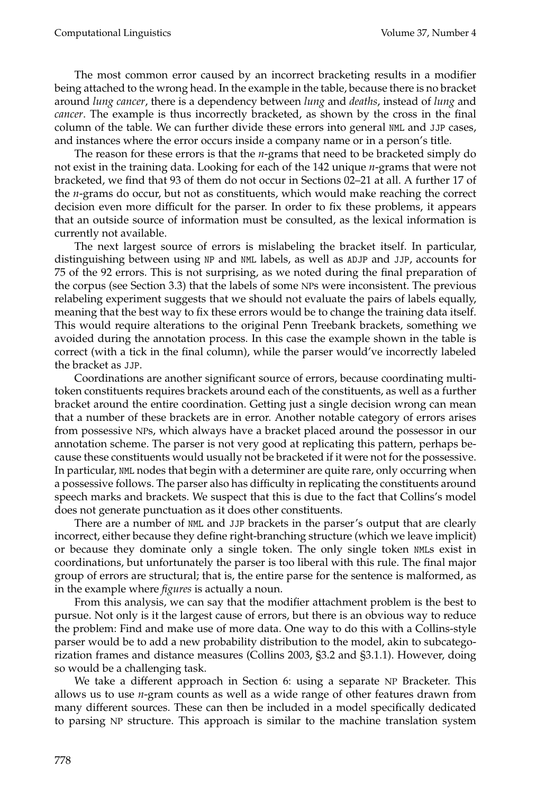The most common error caused by an incorrect bracketing results in a modifier being attached to the wrong head. In the example in the table, because there is no bracket around *lung cancer*, there is a dependency between *lung* and *deaths*, instead of *lung* and *cancer*. The example is thus incorrectly bracketed, as shown by the cross in the final column of the table. We can further divide these errors into general NML and JJP cases, and instances where the error occurs inside a company name or in a person's title.

The reason for these errors is that the *n*-grams that need to be bracketed simply do not exist in the training data. Looking for each of the 142 unique *n*-grams that were not bracketed, we find that 93 of them do not occur in Sections 02–21 at all. A further 17 of the *n*-grams do occur, but not as constituents, which would make reaching the correct decision even more difficult for the parser. In order to fix these problems, it appears that an outside source of information must be consulted, as the lexical information is currently not available.

The next largest source of errors is mislabeling the bracket itself. In particular, distinguishing between using NP and NML labels, as well as ADJP and JJP, accounts for 75 of the 92 errors. This is not surprising, as we noted during the final preparation of the corpus (see Section 3.3) that the labels of some NPs were inconsistent. The previous relabeling experiment suggests that we should not evaluate the pairs of labels equally, meaning that the best way to fix these errors would be to change the training data itself. This would require alterations to the original Penn Treebank brackets, something we avoided during the annotation process. In this case the example shown in the table is correct (with a tick in the final column), while the parser would've incorrectly labeled the bracket as JJP.

Coordinations are another significant source of errors, because coordinating multitoken constituents requires brackets around each of the constituents, as well as a further bracket around the entire coordination. Getting just a single decision wrong can mean that a number of these brackets are in error. Another notable category of errors arises from possessive NPs, which always have a bracket placed around the possessor in our annotation scheme. The parser is not very good at replicating this pattern, perhaps because these constituents would usually not be bracketed if it were not for the possessive. In particular, NML nodes that begin with a determiner are quite rare, only occurring when a possessive follows. The parser also has difficulty in replicating the constituents around speech marks and brackets. We suspect that this is due to the fact that Collins's model does not generate punctuation as it does other constituents.

There are a number of NML and JJP brackets in the parser's output that are clearly incorrect, either because they define right-branching structure (which we leave implicit) or because they dominate only a single token. The only single token NMLs exist in coordinations, but unfortunately the parser is too liberal with this rule. The final major group of errors are structural; that is, the entire parse for the sentence is malformed, as in the example where *figures* is actually a noun.

From this analysis, we can say that the modifier attachment problem is the best to pursue. Not only is it the largest cause of errors, but there is an obvious way to reduce the problem: Find and make use of more data. One way to do this with a Collins-style parser would be to add a new probability distribution to the model, akin to subcategorization frames and distance measures (Collins 2003, §3.2 and §3.1.1). However, doing so would be a challenging task.

We take a different approach in Section 6: using a separate NP Bracketer. This allows us to use *n*-gram counts as well as a wide range of other features drawn from many different sources. These can then be included in a model specifically dedicated to parsing NP structure. This approach is similar to the machine translation system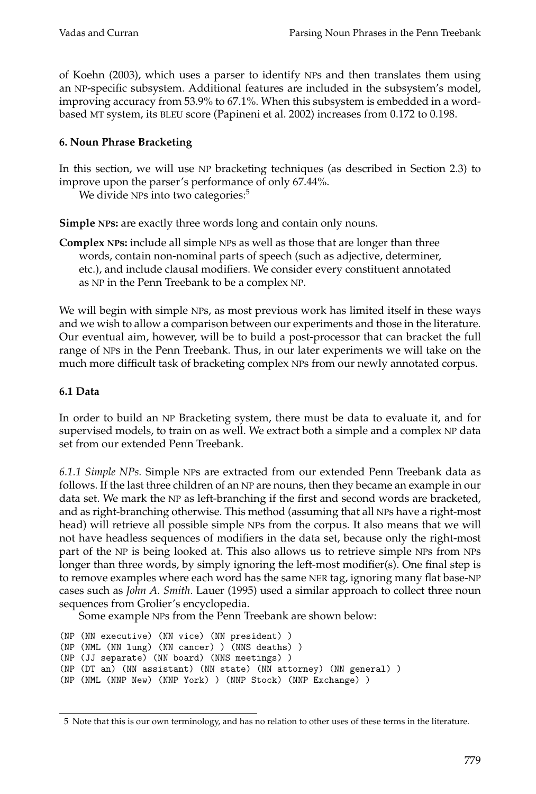of Koehn (2003), which uses a parser to identify NPs and then translates them using an NP-specific subsystem. Additional features are included in the subsystem's model, improving accuracy from 53.9% to 67.1%. When this subsystem is embedded in a wordbased MT system, its BLEU score (Papineni et al. 2002) increases from 0.172 to 0.198.

# **6. Noun Phrase Bracketing**

In this section, we will use NP bracketing techniques (as described in Section 2.3) to improve upon the parser's performance of only 67.44%.

We divide NPs into two categories:<sup>5</sup>

**Simple NPs:** are exactly three words long and contain only nouns.

**Complex NPs:** include all simple NPs as well as those that are longer than three words, contain non-nominal parts of speech (such as adjective, determiner, etc.), and include clausal modifiers. We consider every constituent annotated as NP in the Penn Treebank to be a complex NP.

We will begin with simple NPs, as most previous work has limited itself in these ways and we wish to allow a comparison between our experiments and those in the literature. Our eventual aim, however, will be to build a post-processor that can bracket the full range of NPs in the Penn Treebank. Thus, in our later experiments we will take on the much more difficult task of bracketing complex NPs from our newly annotated corpus.

# **6.1 Data**

In order to build an NP Bracketing system, there must be data to evaluate it, and for supervised models, to train on as well. We extract both a simple and a complex NP data set from our extended Penn Treebank.

*6.1.1 Simple NPs.* Simple NPs are extracted from our extended Penn Treebank data as follows. If the last three children of an NP are nouns, then they became an example in our data set. We mark the NP as left-branching if the first and second words are bracketed, and as right-branching otherwise. This method (assuming that all NPs have a right-most head) will retrieve all possible simple NPs from the corpus. It also means that we will not have headless sequences of modifiers in the data set, because only the right-most part of the NP is being looked at. This also allows us to retrieve simple NPs from NPs longer than three words, by simply ignoring the left-most modifier(s). One final step is to remove examples where each word has the same NER tag, ignoring many flat base-NP cases such as *John A. Smith*. Lauer (1995) used a similar approach to collect three noun sequences from Grolier's encyclopedia.

Some example NPs from the Penn Treebank are shown below:

```
(NP (NN executive) (NN vice) (NN president) )
(NP (NML (NN lung) (NN cancer) ) (NNS deaths) )
(NP (JJ separate) (NN board) (NNS meetings) )
(NP (DT an) (NN assistant) (NN state) (NN attorney) (NN general) )
(NP (NML (NNP New) (NNP York) ) (NNP Stock) (NNP Exchange) )
```
<sup>5</sup> Note that this is our own terminology, and has no relation to other uses of these terms in the literature.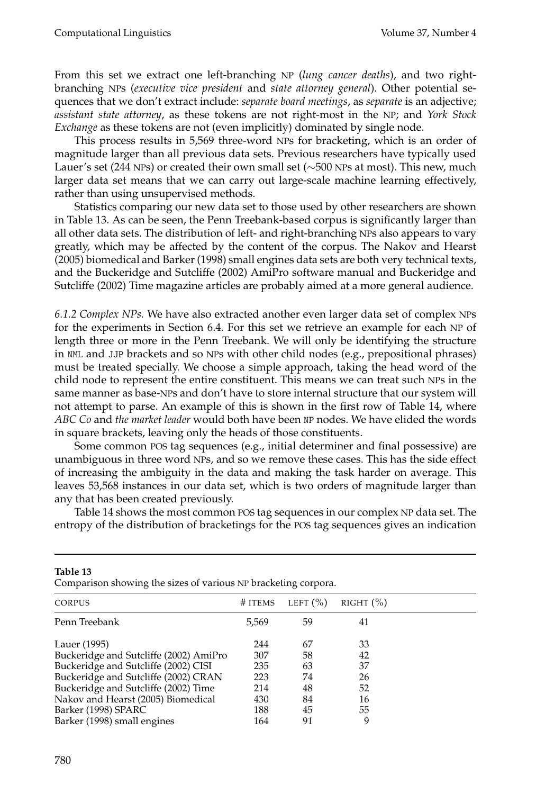From this set we extract one left-branching NP (*lung cancer deaths*), and two rightbranching NPs (*executive vice president* and *state attorney general*). Other potential sequences that we don't extract include: *separate board meetings*, as *separate* is an adjective; *assistant state attorney*, as these tokens are not right-most in the NP; and *York Stock Exchange* as these tokens are not (even implicitly) dominated by single node.

This process results in 5,569 three-word NPs for bracketing, which is an order of magnitude larger than all previous data sets. Previous researchers have typically used Lauer's set (244 NPs) or created their own small set (∼500 NPs at most). This new, much larger data set means that we can carry out large-scale machine learning effectively, rather than using unsupervised methods.

Statistics comparing our new data set to those used by other researchers are shown in Table 13. As can be seen, the Penn Treebank-based corpus is significantly larger than all other data sets. The distribution of left- and right-branching NPs also appears to vary greatly, which may be affected by the content of the corpus. The Nakov and Hearst (2005) biomedical and Barker (1998) small engines data sets are both very technical texts, and the Buckeridge and Sutcliffe (2002) AmiPro software manual and Buckeridge and Sutcliffe (2002) Time magazine articles are probably aimed at a more general audience.

*6.1.2 Complex NPs.* We have also extracted another even larger data set of complex NPs for the experiments in Section 6.4. For this set we retrieve an example for each NP of length three or more in the Penn Treebank. We will only be identifying the structure in NML and JJP brackets and so NPs with other child nodes (e.g., prepositional phrases) must be treated specially. We choose a simple approach, taking the head word of the child node to represent the entire constituent. This means we can treat such NPs in the same manner as base-NPs and don't have to store internal structure that our system will not attempt to parse. An example of this is shown in the first row of Table 14, where *ABC Co* and *the market leader* would both have been NP nodes. We have elided the words in square brackets, leaving only the heads of those constituents.

Some common POS tag sequences (e.g., initial determiner and final possessive) are unambiguous in three word NPs, and so we remove these cases. This has the side effect of increasing the ambiguity in the data and making the task harder on average. This leaves 53,568 instances in our data set, which is two orders of magnitude larger than any that has been created previously.

Table 14 shows the most common POS tag sequences in our complex NP data set. The entropy of the distribution of bracketings for the POS tag sequences gives an indication

| Comparison showing the sizes of various NP bracketing corpora. |         |              |               |  |  |  |  |  |
|----------------------------------------------------------------|---------|--------------|---------------|--|--|--|--|--|
| CORPUS                                                         | # ITEMS | LEFT $(\% )$ | RIGHT $(\% )$ |  |  |  |  |  |
| Penn Treebank                                                  | 5,569   | 59           | 41            |  |  |  |  |  |
| Lauer (1995)                                                   | 244     | 67           | 33            |  |  |  |  |  |
| Buckeridge and Sutcliffe (2002) AmiPro                         | 307     | 58           | 42            |  |  |  |  |  |
| Buckeridge and Sutcliffe (2002) CISI                           | 235     | 63           | 37            |  |  |  |  |  |
| Buckeridge and Sutcliffe (2002) CRAN                           | 223     | 74           | 26            |  |  |  |  |  |
| Buckeridge and Sutcliffe (2002) Time                           | 214     | 48           | 52            |  |  |  |  |  |
| Nakov and Hearst (2005) Biomedical                             | 430     | 84           | 16            |  |  |  |  |  |
| Barker (1998) SPARC                                            | 188     | 45           | 55            |  |  |  |  |  |
| Barker (1998) small engines                                    | 164     | 91           | G)            |  |  |  |  |  |

#### **Table 13**

Comparison showing the sizes of various NP bracketing corpora.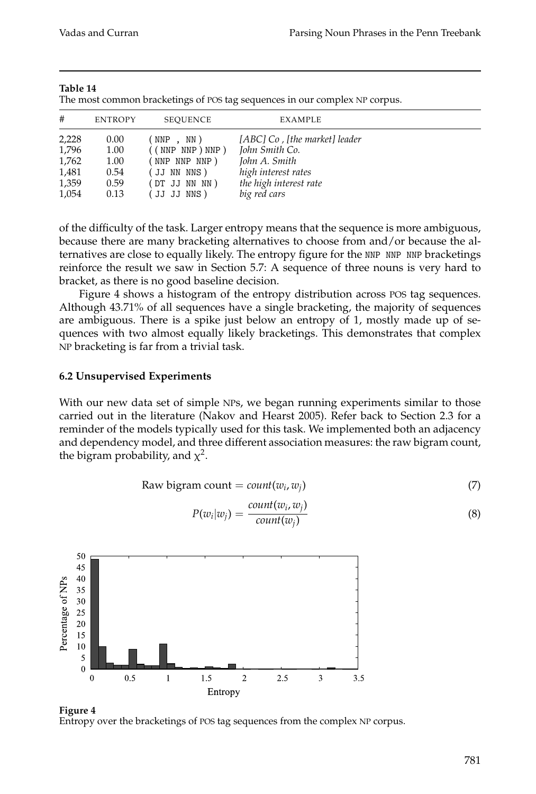| #     | <b>ENTROPY</b> | <b>SEQUENCE</b>    | <b>EXAMPLE</b>                |  |
|-------|----------------|--------------------|-------------------------------|--|
| 2,228 | 0.00           | (NNP, NN)          | [ABC] Co, [the market] leader |  |
| 1,796 | 1.00           | $($ (NNP NNP) NNP) | John Smith Co.                |  |
| 1,762 | 1.00           | (NNP NNP NNP)      | John A. Smith                 |  |
| 1,481 | 0.54           | (JJ NN NNS)        | high interest rates           |  |
| 1,359 | 0.59           | (DT JJ NN NN)      | the high interest rate        |  |
| 1,054 | 0.13           | JJ JJ NNS)         | big red cars                  |  |

#### **Table 14**

The most common bracketings of POS tag sequences in our complex NP corpus.

of the difficulty of the task. Larger entropy means that the sequence is more ambiguous, because there are many bracketing alternatives to choose from and/or because the alternatives are close to equally likely. The entropy figure for the NNP NNP NNP bracketings reinforce the result we saw in Section 5.7: A sequence of three nouns is very hard to bracket, as there is no good baseline decision.

Figure 4 shows a histogram of the entropy distribution across POS tag sequences. Although 43.71% of all sequences have a single bracketing, the majority of sequences are ambiguous. There is a spike just below an entropy of 1, mostly made up of sequences with two almost equally likely bracketings. This demonstrates that complex NP bracketing is far from a trivial task.

## **6.2 Unsupervised Experiments**

With our new data set of simple NPs, we began running experiments similar to those carried out in the literature (Nakov and Hearst 2005). Refer back to Section 2.3 for a reminder of the models typically used for this task. We implemented both an adjacency and dependency model, and three different association measures: the raw bigram count, the bigram probability, and  $\chi^2$ .

$$
Raw bigram count = count(w_i, w_j)
$$
\n(7)

$$
P(w_i|w_j) = \frac{count(w_i, w_j)}{count(w_j)}
$$
\n(8)



**Figure 4** Entropy over the bracketings of POS tag sequences from the complex NP corpus.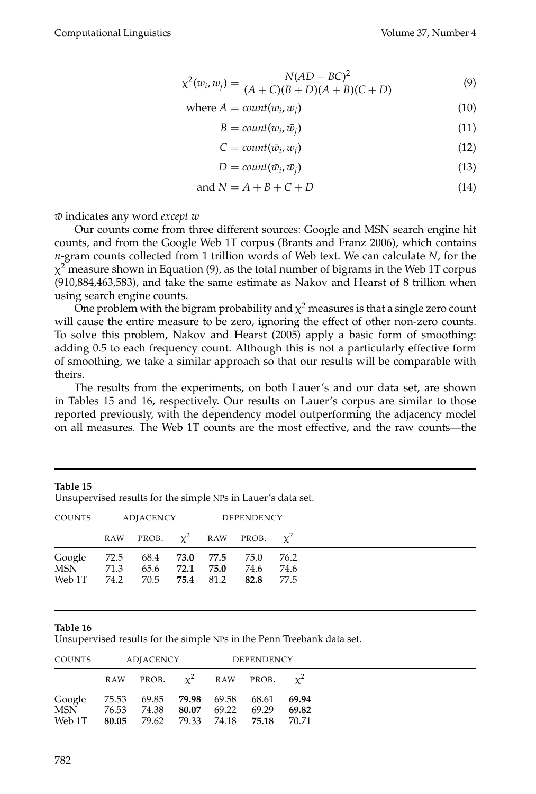$$
\chi^{2}(w_{i}, w_{j}) = \frac{N(AD - BC)^{2}}{(A + C)(B + D)(A + B)(C + D)}
$$
(9)

where 
$$
A = count(w_i, w_j)
$$
 (10)

$$
B = count(w_i, \bar{w}_j)
$$
 (11)

$$
C = count(\bar{w}_i, w_j) \tag{12}
$$

$$
D = count(\bar{w}_i, \bar{w}_j)
$$
\n(13)

$$
and N = A + B + C + D \tag{14}
$$

*w*¯ indicates any word *except w*

Our counts come from three different sources: Google and MSN search engine hit counts, and from the Google Web 1T corpus (Brants and Franz 2006), which contains *n*-gram counts collected from 1 trillion words of Web text. We can calculate *N*, for the  $\chi^2$  measure shown in Equation (9), as the total number of bigrams in the Web 1T corpus (910,884,463,583), and take the same estimate as Nakov and Hearst of 8 trillion when using search engine counts.

One problem with the bigram probability and  $\chi^2$  measures is that a single zero count will cause the entire measure to be zero, ignoring the effect of other non-zero counts. To solve this problem, Nakov and Hearst (2005) apply a basic form of smoothing: adding 0.5 to each frequency count. Although this is not a particularly effective form of smoothing, we take a similar approach so that our results will be comparable with theirs.

The results from the experiments, on both Lauer's and our data set, are shown in Tables 15 and 16, respectively. Our results on Lauer's corpus are similar to those reported previously, with the dependency model outperforming the adjacency model on all measures. The Web 1T counts are the most effective, and the raw counts—the

**Table 15** Unsupervised results for the simple NPs in Lauer's data set. COUNTS ADJACENCY DEPENDENCY

|  |  |  |  | MSN 71.3 65.6 72.1 75.0 | COUNTS ADJACENCT DEFENDENCE<br>RAW PROB. $\chi^2$ RAW PROB. $\chi^2$<br>Google 72.5 68.4 73.0 77.5 75.0 76.2<br>74.6 74.6<br>Web 1T 74.2 70.5 75.4 81.2 82.8 77.5 |
|--|--|--|--|-------------------------|-------------------------------------------------------------------------------------------------------------------------------------------------------------------|

#### **Table 16**

Unsupervised results for the simple NPs in the Penn Treebank data set.

| <b>COUNTS</b> | ADJACENCY      |                                  | DEPENDENCY  |       |                                   |                |
|---------------|----------------|----------------------------------|-------------|-------|-----------------------------------|----------------|
|               | RAW            |                                  |             |       | PROB. $\chi^2$ RAW PROB. $\chi^2$ |                |
| Google<br>MSN | 75.53<br>76.53 | 69.85 79.98 69.58<br>74.38 80.07 |             | 69.22 | 68.61<br>69.29                    | 69.94<br>69.82 |
| Web 1T        | 80.05          | 79.62                            | 79.33 74.18 |       | 75.18                             | 70.71          |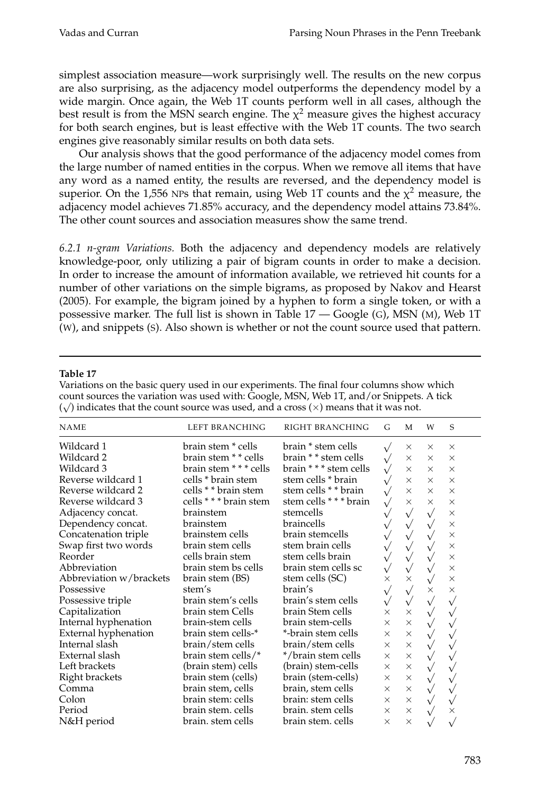simplest association measure—work surprisingly well. The results on the new corpus are also surprising, as the adjacency model outperforms the dependency model by a wide margin. Once again, the Web 1T counts perform well in all cases, although the best result is from the MSN search engine. The  $\chi^2$  measure gives the highest accuracy for both search engines, but is least effective with the Web 1T counts. The two search engines give reasonably similar results on both data sets.

Our analysis shows that the good performance of the adjacency model comes from the large number of named entities in the corpus. When we remove all items that have any word as a named entity, the results are reversed, and the dependency model is superior. On the 1,556 NPs that remain, using Web 1T counts and the  $\chi^2$  measure, the adjacency model achieves 71.85% accuracy, and the dependency model attains 73.84%. The other count sources and association measures show the same trend.

*6.2.1 n-gram Variations.* Both the adjacency and dependency models are relatively knowledge-poor, only utilizing a pair of bigram counts in order to make a decision. In order to increase the amount of information available, we retrieved hit counts for a number of other variations on the simple bigrams, as proposed by Nakov and Hearst (2005). For example, the bigram joined by a hyphen to form a single token, or with a possessive marker. The full list is shown in Table  $17$  — Google (G), MSN (M), Web 1T (W), and snippets (S). Also shown is whether or not the count source used that pattern.

## **Table 17**

| <b>NAME</b>             | LEFT BRANCHING         | RIGHT BRANCHING        | G         | M         | W         | S         |
|-------------------------|------------------------|------------------------|-----------|-----------|-----------|-----------|
| Wildcard 1              | brain stem * cells     | brain * stem cells     | $\sqrt{}$ | $\times$  | $\times$  | $\times$  |
| Wildcard 2              | brain stem * * cells   | brain * * stem cells   | $\sqrt{}$ | $\times$  | $\times$  | $\times$  |
| Wildcard 3              | brain stem * * * cells | brain *** stem cells   | $\sqrt{}$ | $\times$  | $\times$  | $\times$  |
| Reverse wildcard 1      | cells * brain stem     | stem cells * brain     |           | $\times$  | $\times$  | $\times$  |
| Reverse wildcard 2      | cells * * brain stem   | stem cells * * brain   |           | $\times$  | $\times$  | $\times$  |
| Reverse wildcard 3      | cells * * * brain stem | stem cells * * * brain |           | $\times$  | $\times$  | $\times$  |
| Adjacency concat.       | brainstem              | stemcells              |           | $\sqrt{}$ | $\sqrt{}$ | $\times$  |
| Dependency concat.      | brainstem              | braincells             |           | $\sqrt{}$ |           | $\times$  |
| Concatenation triple    | brainstem cells        | brain stemcells        |           |           |           | $\times$  |
| Swap first two words    | brain stem cells       | stem brain cells       |           |           |           | $\times$  |
| Reorder                 | cells brain stem       | stem cells brain       |           |           |           | $\times$  |
| Abbreviation            | brain stem bs cells    | brain stem cells sc    |           |           |           | $\times$  |
| Abbreviation w/brackets | brain stem (BS)        | stem cells (SC)        | $\times$  | $\times$  |           | $\times$  |
| Possessive              | stem's                 | brain's                | $\sqrt{}$ | $\sqrt{}$ | $\times$  | ×         |
| Possessive triple       | brain stem's cells     | brain's stem cells     | $\sqrt{}$ | $\sqrt{}$ | $\sqrt{}$ | $\sqrt{}$ |
| Capitalization          | brain stem Cells       | brain Stem cells       | $\times$  | $\times$  |           |           |
| Internal hyphenation    | brain-stem cells       | brain stem-cells       | $\times$  | $\times$  |           |           |
| External hyphenation    | brain stem cells-*     | *-brain stem cells     | $\times$  | $\times$  |           |           |
| Internal slash          | brain/stem cells       | brain/stem cells       | $\times$  | $\times$  |           |           |
| External slash          | brain stem cells/*     | */brain stem cells     | $\times$  | $\times$  |           |           |
| Left brackets           | (brain stem) cells     | (brain) stem-cells     | $\times$  | $\times$  |           |           |
| Right brackets          | brain stem (cells)     | brain (stem-cells)     | $\times$  | $\times$  |           |           |
| Comma                   | brain stem, cells      | brain, stem cells      | $\times$  | $\times$  |           |           |
| Colon                   | brain stem: cells      | brain: stem cells      | $\times$  | $\times$  |           |           |
| Period                  | brain stem. cells      | brain, stem cells      | $\times$  | $\times$  |           | ×         |
| N&H period              | brain. stem cells      | brain stem. cells      | $\times$  | $\times$  |           |           |

Variations on the basic query used in our experiments. The final four columns show which count sources the variation was used with: Google, MSN, Web 1T, and/or Snippets. A tick  $(\sqrt)$  indicates that the count source was used, and a cross  $(\times)$  means that it was not.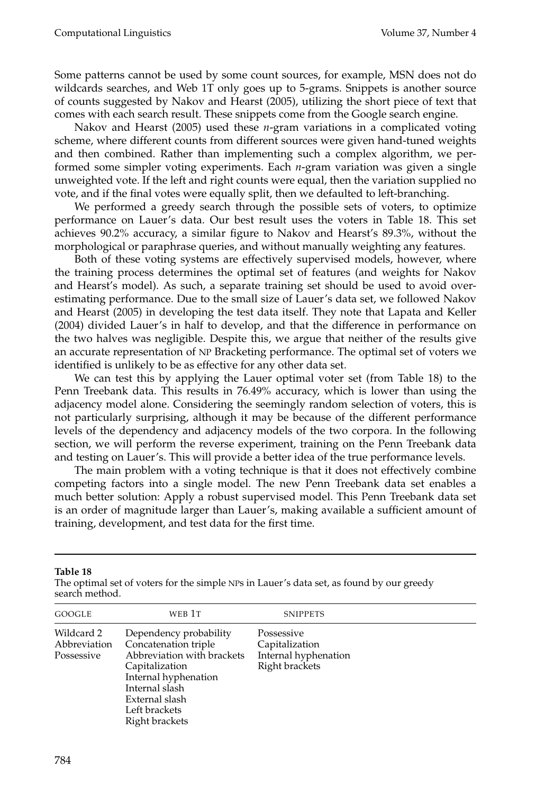Some patterns cannot be used by some count sources, for example, MSN does not do wildcards searches, and Web 1T only goes up to 5-grams. Snippets is another source of counts suggested by Nakov and Hearst (2005), utilizing the short piece of text that comes with each search result. These snippets come from the Google search engine.

Nakov and Hearst (2005) used these *n*-gram variations in a complicated voting scheme, where different counts from different sources were given hand-tuned weights and then combined. Rather than implementing such a complex algorithm, we performed some simpler voting experiments. Each *n*-gram variation was given a single unweighted vote. If the left and right counts were equal, then the variation supplied no vote, and if the final votes were equally split, then we defaulted to left-branching.

We performed a greedy search through the possible sets of voters, to optimize performance on Lauer's data. Our best result uses the voters in Table 18. This set achieves 90.2% accuracy, a similar figure to Nakov and Hearst's 89.3%, without the morphological or paraphrase queries, and without manually weighting any features.

Both of these voting systems are effectively supervised models, however, where the training process determines the optimal set of features (and weights for Nakov and Hearst's model). As such, a separate training set should be used to avoid overestimating performance. Due to the small size of Lauer's data set, we followed Nakov and Hearst (2005) in developing the test data itself. They note that Lapata and Keller (2004) divided Lauer's in half to develop, and that the difference in performance on the two halves was negligible. Despite this, we argue that neither of the results give an accurate representation of NP Bracketing performance. The optimal set of voters we identified is unlikely to be as effective for any other data set.

We can test this by applying the Lauer optimal voter set (from Table 18) to the Penn Treebank data. This results in 76.49% accuracy, which is lower than using the adjacency model alone. Considering the seemingly random selection of voters, this is not particularly surprising, although it may be because of the different performance levels of the dependency and adjacency models of the two corpora. In the following section, we will perform the reverse experiment, training on the Penn Treebank data and testing on Lauer's. This will provide a better idea of the true performance levels.

The main problem with a voting technique is that it does not effectively combine competing factors into a single model. The new Penn Treebank data set enables a much better solution: Apply a robust supervised model. This Penn Treebank data set is an order of magnitude larger than Lauer's, making available a sufficient amount of training, development, and test data for the first time.

| GOOGLE                                   | WEB 1T                                                                                                                                                                                        | <b>SNIPPETS</b>                                                        |  |
|------------------------------------------|-----------------------------------------------------------------------------------------------------------------------------------------------------------------------------------------------|------------------------------------------------------------------------|--|
| Wildcard 2<br>Abbreviation<br>Possessive | Dependency probability<br>Concatenation triple<br>Abbreviation with brackets<br>Capitalization<br>Internal hyphenation<br>Internal slash<br>External slash<br>Left brackets<br>Right brackets | Possessive<br>Capitalization<br>Internal hyphenation<br>Right brackets |  |

**Table 18**

The optimal set of voters for the simple NPs in Lauer's data set, as found by our greedy search method.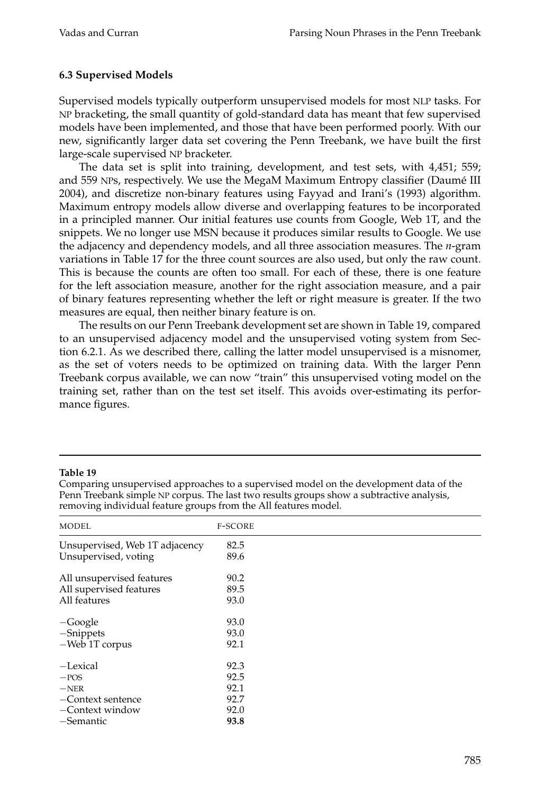## **6.3 Supervised Models**

Supervised models typically outperform unsupervised models for most NLP tasks. For NP bracketing, the small quantity of gold-standard data has meant that few supervised models have been implemented, and those that have been performed poorly. With our new, significantly larger data set covering the Penn Treebank, we have built the first large-scale supervised NP bracketer.

The data set is split into training, development, and test sets, with 4,451; 559; and 559 NPs, respectively. We use the MegaM Maximum Entropy classifier (Daumé III 2004), and discretize non-binary features using Fayyad and Irani's (1993) algorithm. Maximum entropy models allow diverse and overlapping features to be incorporated in a principled manner. Our initial features use counts from Google, Web 1T, and the snippets. We no longer use MSN because it produces similar results to Google. We use the adjacency and dependency models, and all three association measures. The *n*-gram variations in Table 17 for the three count sources are also used, but only the raw count. This is because the counts are often too small. For each of these, there is one feature for the left association measure, another for the right association measure, and a pair of binary features representing whether the left or right measure is greater. If the two measures are equal, then neither binary feature is on.

The results on our Penn Treebank development set are shown in Table 19, compared to an unsupervised adjacency model and the unsupervised voting system from Section 6.2.1. As we described there, calling the latter model unsupervised is a misnomer, as the set of voters needs to be optimized on training data. With the larger Penn Treebank corpus available, we can now "train" this unsupervised voting model on the training set, rather than on the test set itself. This avoids over-estimating its performance figures.

#### **Table 19**

Comparing unsupervised approaches to a supervised model on the development data of the Penn Treebank simple NP corpus. The last two results groups show a subtractive analysis, removing individual feature groups from the All features model.

| <b>MODEL</b>                   | F-SCORE |
|--------------------------------|---------|
| Unsupervised, Web 1T adjacency | 82.5    |
| Unsupervised, voting           | 89.6    |
| All unsupervised features      | 90.2    |
| All supervised features        | 89.5    |
| All features                   | 93.0    |
| $-Google$                      | 93.0    |
| $-S$ nippets                   | 93.0    |
| $-Web$ 1T corpus               | 92.1    |
| $-$ Lexical                    | 92.3    |
| $-$ POS                        | 92.5    |
| $-NER$                         | 92.1    |
| -Context sentence              | 92.7    |
| -Context window                | 92.0    |
| -Semantic                      | 93.8    |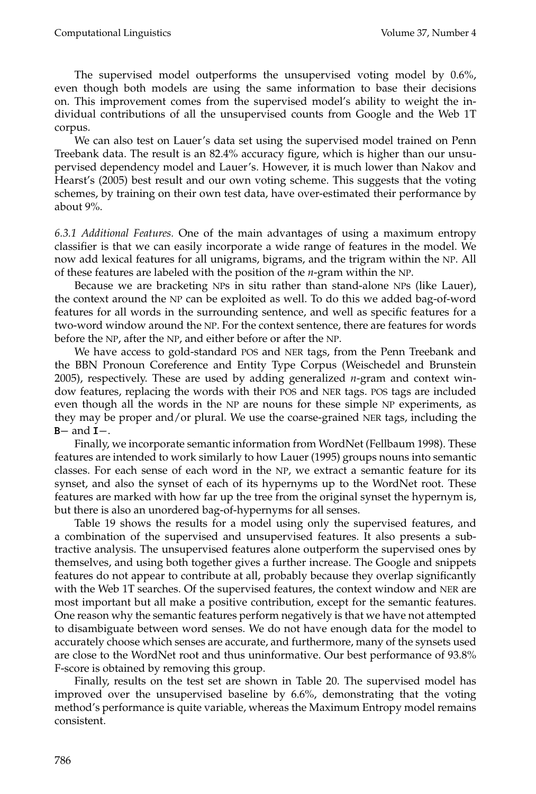The supervised model outperforms the unsupervised voting model by 0.6%, even though both models are using the same information to base their decisions on. This improvement comes from the supervised model's ability to weight the individual contributions of all the unsupervised counts from Google and the Web 1T corpus.

We can also test on Lauer's data set using the supervised model trained on Penn Treebank data. The result is an 82.4% accuracy figure, which is higher than our unsupervised dependency model and Lauer's. However, it is much lower than Nakov and Hearst's (2005) best result and our own voting scheme. This suggests that the voting schemes, by training on their own test data, have over-estimated their performance by about 9%.

*6.3.1 Additional Features.* One of the main advantages of using a maximum entropy classifier is that we can easily incorporate a wide range of features in the model. We now add lexical features for all unigrams, bigrams, and the trigram within the NP. All of these features are labeled with the position of the *n*-gram within the NP.

Because we are bracketing NPs in situ rather than stand-alone NPs (like Lauer), the context around the NP can be exploited as well. To do this we added bag-of-word features for all words in the surrounding sentence, and well as specific features for a two-word window around the NP. For the context sentence, there are features for words before the NP, after the NP, and either before or after the NP.

We have access to gold-standard POS and NER tags, from the Penn Treebank and the BBN Pronoun Coreference and Entity Type Corpus (Weischedel and Brunstein 2005), respectively. These are used by adding generalized *n*-gram and context window features, replacing the words with their POS and NER tags. POS tags are included even though all the words in the NP are nouns for these simple NP experiments, as they may be proper and/or plural. We use the coarse-grained NER tags, including the  $B-$  and  $I-.$ 

Finally, we incorporate semantic information from WordNet (Fellbaum 1998). These features are intended to work similarly to how Lauer (1995) groups nouns into semantic classes. For each sense of each word in the NP, we extract a semantic feature for its synset, and also the synset of each of its hypernyms up to the WordNet root. These features are marked with how far up the tree from the original synset the hypernym is, but there is also an unordered bag-of-hypernyms for all senses.

Table 19 shows the results for a model using only the supervised features, and a combination of the supervised and unsupervised features. It also presents a subtractive analysis. The unsupervised features alone outperform the supervised ones by themselves, and using both together gives a further increase. The Google and snippets features do not appear to contribute at all, probably because they overlap significantly with the Web 1T searches. Of the supervised features, the context window and NER are most important but all make a positive contribution, except for the semantic features. One reason why the semantic features perform negatively is that we have not attempted to disambiguate between word senses. We do not have enough data for the model to accurately choose which senses are accurate, and furthermore, many of the synsets used are close to the WordNet root and thus uninformative. Our best performance of 93.8% F-score is obtained by removing this group.

Finally, results on the test set are shown in Table 20. The supervised model has improved over the unsupervised baseline by 6.6%, demonstrating that the voting method's performance is quite variable, whereas the Maximum Entropy model remains consistent.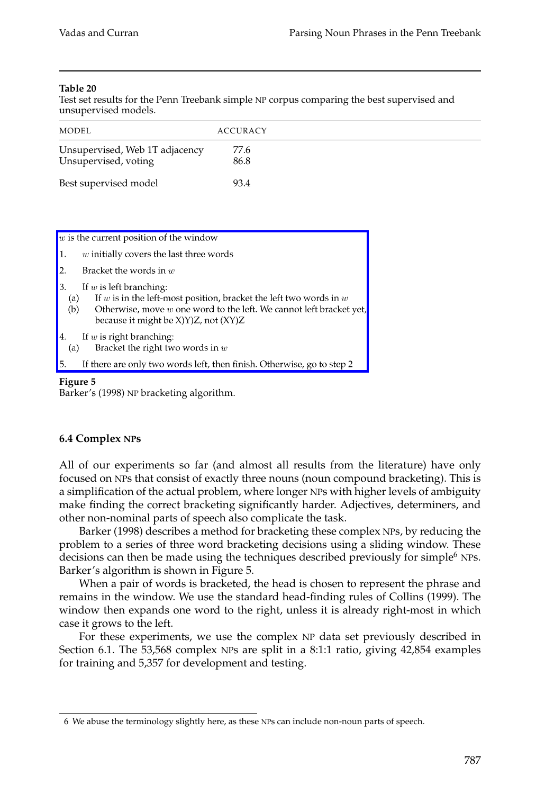#### **Table 20**

Test set results for the Penn Treebank simple NP corpus comparing the best supervised and unsupervised models.

| MODEL                                                  | <b>ACCURACY</b> |  |  |
|--------------------------------------------------------|-----------------|--|--|
| Unsupervised, Web 1T adjacency<br>Unsupervised, voting | 77.6<br>86.8    |  |  |
| Best supervised model                                  | 93.4            |  |  |

| $w$ is the current position of the window                                                                                                                                                                                              |
|----------------------------------------------------------------------------------------------------------------------------------------------------------------------------------------------------------------------------------------|
| $\vert$ 1.<br>$w$ initially covers the last three words                                                                                                                                                                                |
| 2.<br>Bracket the words in $w$                                                                                                                                                                                                         |
| 3.<br>If $w$ is left branching:<br>If w is in the left-most position, bracket the left two words in $w$<br>(a)<br>Otherwise, move $w$ one word to the left. We cannot left bracket yet,<br>(b)<br>because it might be X)Y)Z, not (XY)Z |
| If $w$ is right branching:<br>4.<br>Bracket the right two words in $w$<br>(a)                                                                                                                                                          |
| 5.<br>If there are only two words left, then finish. Otherwise, go to step 2                                                                                                                                                           |
| $\mathbf{r}$                                                                                                                                                                                                                           |

**Figure 5**

Barker's (1998) NP bracketing algorithm.

#### **6.4 Complex NPs**

All of our experiments so far (and almost all results from the literature) have only focused on NPs that consist of exactly three nouns (noun compound bracketing). This is a simplification of the actual problem, where longer NPs with higher levels of ambiguity make finding the correct bracketing significantly harder. Adjectives, determiners, and other non-nominal parts of speech also complicate the task.

Barker (1998) describes a method for bracketing these complex NPs, by reducing the problem to a series of three word bracketing decisions using a sliding window. These decisions can then be made using the techniques described previously for simple<sup>6</sup> NPs. Barker's algorithm is shown in Figure 5.

When a pair of words is bracketed, the head is chosen to represent the phrase and remains in the window. We use the standard head-finding rules of Collins (1999). The window then expands one word to the right, unless it is already right-most in which case it grows to the left.

For these experiments, we use the complex NP data set previously described in Section 6.1. The 53,568 complex NPs are split in a 8:1:1 ratio, giving 42,854 examples for training and 5,357 for development and testing.

<sup>6</sup> We abuse the terminology slightly here, as these NPs can include non-noun parts of speech.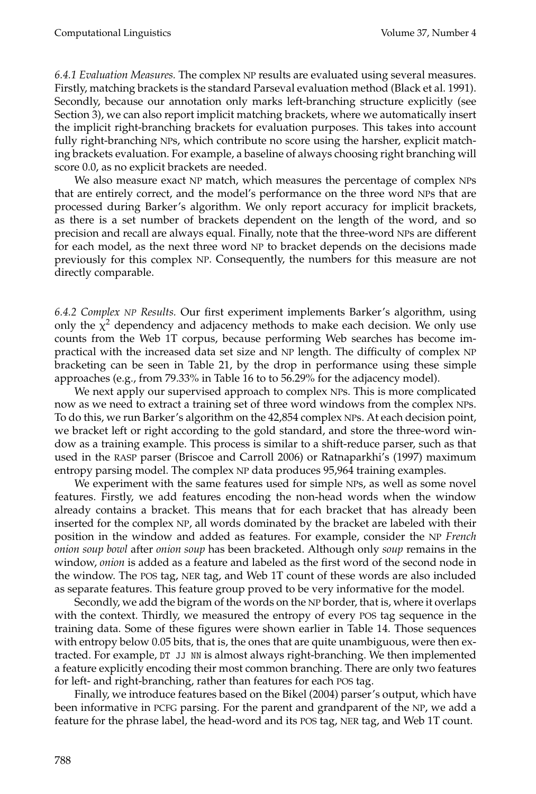*6.4.1 Evaluation Measures.* The complex NP results are evaluated using several measures. Firstly, matching brackets is the standard Parseval evaluation method (Black et al. 1991). Secondly, because our annotation only marks left-branching structure explicitly (see Section 3), we can also report implicit matching brackets, where we automatically insert the implicit right-branching brackets for evaluation purposes. This takes into account fully right-branching NPs, which contribute no score using the harsher, explicit matching brackets evaluation. For example, a baseline of always choosing right branching will score 0.0, as no explicit brackets are needed.

We also measure exact NP match, which measures the percentage of complex NPs that are entirely correct, and the model's performance on the three word NPs that are processed during Barker's algorithm. We only report accuracy for implicit brackets, as there is a set number of brackets dependent on the length of the word, and so precision and recall are always equal. Finally, note that the three-word NPs are different for each model, as the next three word NP to bracket depends on the decisions made previously for this complex NP. Consequently, the numbers for this measure are not directly comparable.

*6.4.2 Complex NP Results.* Our first experiment implements Barker's algorithm, using only the  $\chi^2$  dependency and adjacency methods to make each decision. We only use counts from the Web 1T corpus, because performing Web searches has become impractical with the increased data set size and NP length. The difficulty of complex NP bracketing can be seen in Table 21, by the drop in performance using these simple approaches (e.g., from 79.33% in Table 16 to to 56.29% for the adjacency model).

We next apply our supervised approach to complex NPs. This is more complicated now as we need to extract a training set of three word windows from the complex NPs. To do this, we run Barker's algorithm on the 42,854 complex NPs. At each decision point, we bracket left or right according to the gold standard, and store the three-word window as a training example. This process is similar to a shift-reduce parser, such as that used in the RASP parser (Briscoe and Carroll 2006) or Ratnaparkhi's (1997) maximum entropy parsing model. The complex NP data produces 95,964 training examples.

We experiment with the same features used for simple NPs, as well as some novel features. Firstly, we add features encoding the non-head words when the window already contains a bracket. This means that for each bracket that has already been inserted for the complex NP, all words dominated by the bracket are labeled with their position in the window and added as features. For example, consider the NP *French onion soup bowl* after *onion soup* has been bracketed. Although only *soup* remains in the window, *onion* is added as a feature and labeled as the first word of the second node in the window. The POS tag, NER tag, and Web 1T count of these words are also included as separate features. This feature group proved to be very informative for the model.

Secondly, we add the bigram of the words on the NP border, that is, where it overlaps with the context. Thirdly, we measured the entropy of every POS tag sequence in the training data. Some of these figures were shown earlier in Table 14. Those sequences with entropy below 0.05 bits, that is, the ones that are quite unambiguous, were then extracted. For example, DT JJ NN is almost always right-branching. We then implemented a feature explicitly encoding their most common branching. There are only two features for left- and right-branching, rather than features for each POS tag.

Finally, we introduce features based on the Bikel (2004) parser's output, which have been informative in PCFG parsing. For the parent and grandparent of the NP, we add a feature for the phrase label, the head-word and its POS tag, NER tag, and Web 1T count.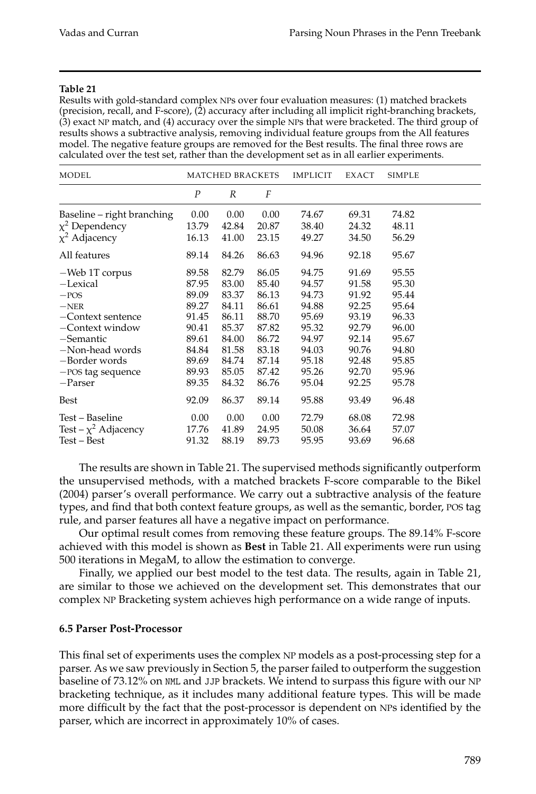#### **Table 21**

Results with gold-standard complex NPs over four evaluation measures: (1) matched brackets (precision, recall, and F-score), (2) accuracy after including all implicit right-branching brackets, (3) exact NP match, and (4) accuracy over the simple NPs that were bracketed. The third group of results shows a subtractive analysis, removing individual feature groups from the All features model. The negative feature groups are removed for the Best results. The final three rows are calculated over the test set, rather than the development set as in all earlier experiments.

| <b>MODEL</b>               | MATCHED BRACKETS |                  | <b>IMPLICIT</b> | <b>EXACT</b> | <b>SIMPLE</b> |       |  |
|----------------------------|------------------|------------------|-----------------|--------------|---------------|-------|--|
|                            | $\boldsymbol{P}$ | $\boldsymbol{R}$ | F               |              |               |       |  |
| Baseline – right branching | 0.00             | 0.00             | 0.00            | 74.67        | 69.31         | 74.82 |  |
| $\chi^2$ Dependency        | 13.79            | 42.84            | 20.87           | 38.40        | 24.32         | 48.11 |  |
| $\chi^2$ Adjacency         | 16.13            | 41.00            | 23.15           | 49.27        | 34.50         | 56.29 |  |
| All features               | 89.14            | 84.26            | 86.63           | 94.96        | 92.18         | 95.67 |  |
| -Web 1T corpus             | 89.58            | 82.79            | 86.05           | 94.75        | 91.69         | 95.55 |  |
| $-$ Lexical                | 87.95            | 83.00            | 85.40           | 94.57        | 91.58         | 95.30 |  |
| $-$ POS                    | 89.09            | 83.37            | 86.13           | 94.73        | 91.92         | 95.44 |  |
| $-NER$                     | 89.27            | 84.11            | 86.61           | 94.88        | 92.25         | 95.64 |  |
| -Context sentence          | 91.45            | 86.11            | 88.70           | 95.69        | 93.19         | 96.33 |  |
| -Context window            | 90.41            | 85.37            | 87.82           | 95.32        | 92.79         | 96.00 |  |
| -Semantic                  | 89.61            | 84.00            | 86.72           | 94.97        | 92.14         | 95.67 |  |
| -Non-head words            | 84.84            | 81.58            | 83.18           | 94.03        | 90.76         | 94.80 |  |
| -Border words              | 89.69            | 84.74            | 87.14           | 95.18        | 92.48         | 95.85 |  |
| -POS tag sequence          | 89.93            | 85.05            | 87.42           | 95.26        | 92.70         | 95.96 |  |
| $-$ Parser                 | 89.35            | 84.32            | 86.76           | 95.04        | 92.25         | 95.78 |  |
| Best                       | 92.09            | 86.37            | 89.14           | 95.88        | 93.49         | 96.48 |  |
| Test - Baseline            | 0.00             | 0.00             | 0.00            | 72.79        | 68.08         | 72.98 |  |
| Test – $\chi^2$ Adjacency  | 17.76            | 41.89            | 24.95           | 50.08        | 36.64         | 57.07 |  |
| Test – Best                | 91.32            | 88.19            | 89.73           | 95.95        | 93.69         | 96.68 |  |

The results are shown in Table 21. The supervised methods significantly outperform the unsupervised methods, with a matched brackets F-score comparable to the Bikel (2004) parser's overall performance. We carry out a subtractive analysis of the feature types, and find that both context feature groups, as well as the semantic, border, POS tag rule, and parser features all have a negative impact on performance.

Our optimal result comes from removing these feature groups. The 89.14% F-score achieved with this model is shown as **Best** in Table 21. All experiments were run using 500 iterations in MegaM, to allow the estimation to converge.

Finally, we applied our best model to the test data. The results, again in Table 21, are similar to those we achieved on the development set. This demonstrates that our complex NP Bracketing system achieves high performance on a wide range of inputs.

#### **6.5 Parser Post-Processor**

This final set of experiments uses the complex NP models as a post-processing step for a parser. As we saw previously in Section 5, the parser failed to outperform the suggestion baseline of 73.12% on NML and JJP brackets. We intend to surpass this figure with our NP bracketing technique, as it includes many additional feature types. This will be made more difficult by the fact that the post-processor is dependent on NPs identified by the parser, which are incorrect in approximately 10% of cases.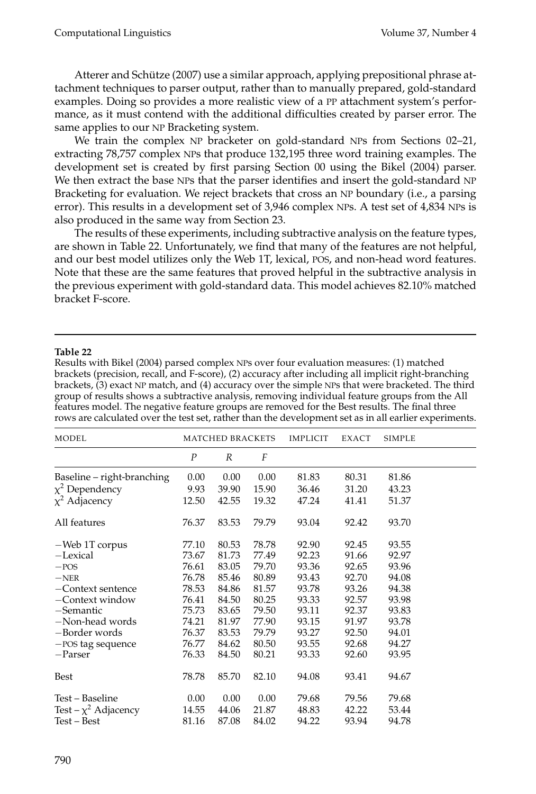Atterer and Schütze (2007) use a similar approach, applying prepositional phrase attachment techniques to parser output, rather than to manually prepared, gold-standard examples. Doing so provides a more realistic view of a PP attachment system's performance, as it must contend with the additional difficulties created by parser error. The same applies to our NP Bracketing system.

We train the complex NP bracketer on gold-standard NPs from Sections 02–21, extracting 78,757 complex NPs that produce 132,195 three word training examples. The development set is created by first parsing Section 00 using the Bikel (2004) parser. We then extract the base NPs that the parser identifies and insert the gold-standard NP Bracketing for evaluation. We reject brackets that cross an NP boundary (i.e., a parsing error). This results in a development set of 3,946 complex NPs. A test set of 4,834 NPs is also produced in the same way from Section 23.

The results of these experiments, including subtractive analysis on the feature types, are shown in Table 22. Unfortunately, we find that many of the features are not helpful, and our best model utilizes only the Web 1T, lexical, POS, and non-head word features. Note that these are the same features that proved helpful in the subtractive analysis in the previous experiment with gold-standard data. This model achieves 82.10% matched bracket F-score.

#### **Table 22**

Results with Bikel (2004) parsed complex NPs over four evaluation measures: (1) matched brackets (precision, recall, and F-score), (2) accuracy after including all implicit right-branching brackets, (3) exact NP match, and (4) accuracy over the simple NPs that were bracketed. The third group of results shows a subtractive analysis, removing individual feature groups from the All features model. The negative feature groups are removed for the Best results. The final three rows are calculated over the test set, rather than the development set as in all earlier experiments.

| MODEL                      | MATCHED BRACKETS |       | <b>IMPLICIT</b> | <b>EXACT</b> | SIMPLE |       |  |
|----------------------------|------------------|-------|-----------------|--------------|--------|-------|--|
|                            | $\boldsymbol{P}$ | R     | F               |              |        |       |  |
| Baseline - right-branching | 0.00             | 0.00  | 0.00            | 81.83        | 80.31  | 81.86 |  |
| $\chi^2$ Dependency        | 9.93             | 39.90 | 15.90           | 36.46        | 31.20  | 43.23 |  |
| $\chi^2$ Adjacency         | 12.50            | 42.55 | 19.32           | 47.24        | 41.41  | 51.37 |  |
| All features               | 76.37            | 83.53 | 79.79           | 93.04        | 92.42  | 93.70 |  |
| -Web 1T corpus             | 77.10            | 80.53 | 78.78           | 92.90        | 92.45  | 93.55 |  |
| -Lexical                   | 73.67            | 81.73 | 77.49           | 92.23        | 91.66  | 92.97 |  |
| $-$ POS                    | 76.61            | 83.05 | 79.70           | 93.36        | 92.65  | 93.96 |  |
| $-NER$                     | 76.78            | 85.46 | 80.89           | 93.43        | 92.70  | 94.08 |  |
| -Context sentence          | 78.53            | 84.86 | 81.57           | 93.78        | 93.26  | 94.38 |  |
| -Context window            | 76.41            | 84.50 | 80.25           | 93.33        | 92.57  | 93.98 |  |
| -Semantic                  | 75.73            | 83.65 | 79.50           | 93.11        | 92.37  | 93.83 |  |
| -Non-head words            | 74.21            | 81.97 | 77.90           | 93.15        | 91.97  | 93.78 |  |
| -Border words              | 76.37            | 83.53 | 79.79           | 93.27        | 92.50  | 94.01 |  |
| -POS tag sequence          | 76.77            | 84.62 | 80.50           | 93.55        | 92.68  | 94.27 |  |
| -Parser                    | 76.33            | 84.50 | 80.21           | 93.33        | 92.60  | 93.95 |  |
| Best                       | 78.78            | 85.70 | 82.10           | 94.08        | 93.41  | 94.67 |  |
| Test – Baseline            | 0.00             | 0.00  | 0.00            | 79.68        | 79.56  | 79.68 |  |
| Test – $\chi^2$ Adjacency  | 14.55            | 44.06 | 21.87           | 48.83        | 42.22  | 53.44 |  |
| Test – Best                | 81.16            | 87.08 | 84.02           | 94.22        | 93.94  | 94.78 |  |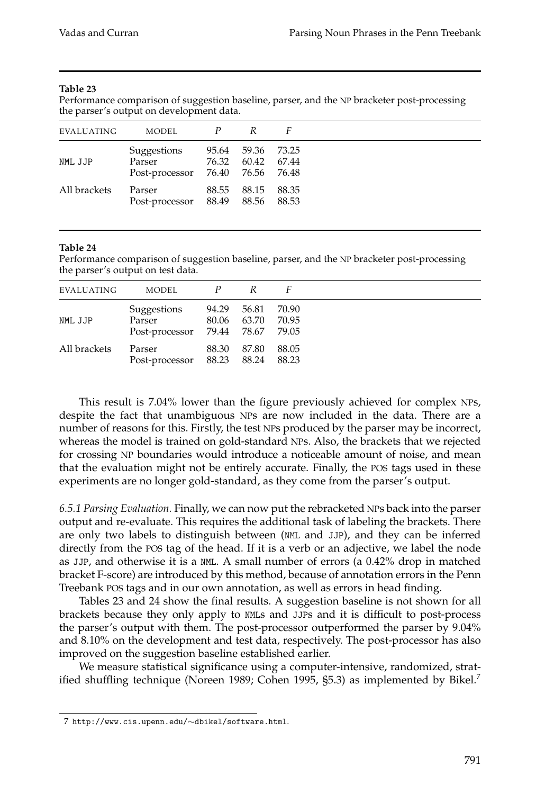#### **Table 23**

Performance comparison of suggestion baseline, parser, and the NP bracketer post-processing the parser's output on development data.

| <b>EVALUATING</b> | MODEL                                               | P              | R              |                         |
|-------------------|-----------------------------------------------------|----------------|----------------|-------------------------|
| NML JJP           | Suggestions<br>Parser<br>Post-processor 76.40 76.56 | 95.64<br>76.32 | 59.36<br>60.42 | 73.25<br>67.44<br>76.48 |
| All brackets      | Parser<br>Post-processor 88.49                      | 88.55          | 88.15<br>88.56 | 88.35<br>88.53          |

#### **Table 24**

Performance comparison of suggestion baseline, parser, and the NP bracketer post-processing the parser's output on test data.

| <b>EVALUATING</b> | MODEL                                               |                | R              |                         |
|-------------------|-----------------------------------------------------|----------------|----------------|-------------------------|
| NML JJP           | Suggestions<br>Parser<br>Post-processor 79.44 78.67 | 94.29<br>80.06 | 56.81<br>63.70 | 70.90<br>70.95<br>79.05 |
| All brackets      | Parser<br>Post-processor 88.23                      | 88.30          | 87.80<br>88.24 | 88.05<br>88.23          |

This result is 7.04% lower than the figure previously achieved for complex NPs, despite the fact that unambiguous NPs are now included in the data. There are a number of reasons for this. Firstly, the test NPs produced by the parser may be incorrect, whereas the model is trained on gold-standard NPs. Also, the brackets that we rejected for crossing NP boundaries would introduce a noticeable amount of noise, and mean that the evaluation might not be entirely accurate. Finally, the POS tags used in these experiments are no longer gold-standard, as they come from the parser's output.

*6.5.1 Parsing Evaluation.* Finally, we can now put the rebracketed NPs back into the parser output and re-evaluate. This requires the additional task of labeling the brackets. There are only two labels to distinguish between (NML and JJP), and they can be inferred directly from the POS tag of the head. If it is a verb or an adjective, we label the node as JJP, and otherwise it is a NML. A small number of errors (a 0.42% drop in matched bracket F-score) are introduced by this method, because of annotation errors in the Penn Treebank POS tags and in our own annotation, as well as errors in head finding.

Tables 23 and 24 show the final results. A suggestion baseline is not shown for all brackets because they only apply to NMLs and JJPs and it is difficult to post-process the parser's output with them. The post-processor outperformed the parser by 9.04% and 8.10% on the development and test data, respectively. The post-processor has also improved on the suggestion baseline established earlier.

We measure statistical significance using a computer-intensive, randomized, stratified shuffling technique (Noreen 1989; Cohen 1995,  $\S5.3$ ) as implemented by Bikel.<sup>7</sup>

<sup>7</sup> http://www.cis.upenn.edu/∼dbikel/software.html.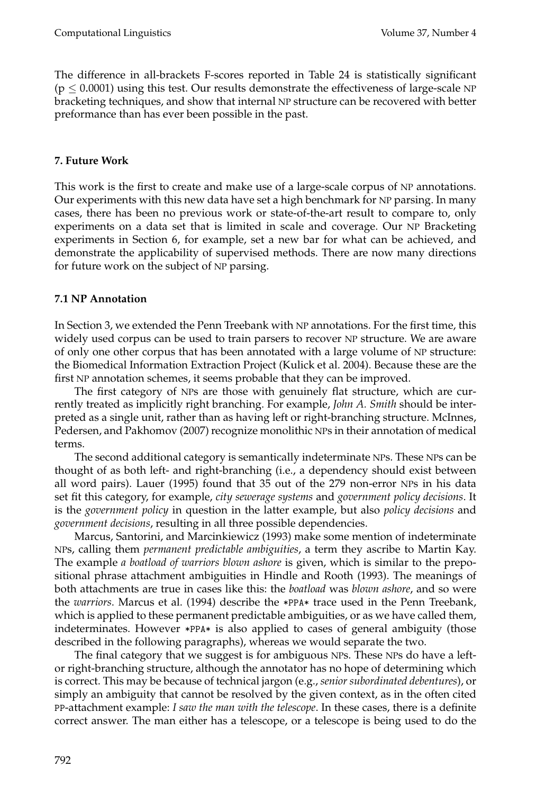The difference in all-brackets F-scores reported in Table 24 is statistically significant  $(p \leq 0.0001)$  using this test. Our results demonstrate the effectiveness of large-scale NP bracketing techniques, and show that internal NP structure can be recovered with better preformance than has ever been possible in the past.

## **7. Future Work**

This work is the first to create and make use of a large-scale corpus of NP annotations. Our experiments with this new data have set a high benchmark for NP parsing. In many cases, there has been no previous work or state-of-the-art result to compare to, only experiments on a data set that is limited in scale and coverage. Our NP Bracketing experiments in Section 6, for example, set a new bar for what can be achieved, and demonstrate the applicability of supervised methods. There are now many directions for future work on the subject of NP parsing.

## **7.1 NP Annotation**

In Section 3, we extended the Penn Treebank with NP annotations. For the first time, this widely used corpus can be used to train parsers to recover NP structure. We are aware of only one other corpus that has been annotated with a large volume of NP structure: the Biomedical Information Extraction Project (Kulick et al. 2004). Because these are the first NP annotation schemes, it seems probable that they can be improved.

The first category of NPs are those with genuinely flat structure, which are currently treated as implicitly right branching. For example, *John A. Smith* should be interpreted as a single unit, rather than as having left or right-branching structure. McInnes, Pedersen, and Pakhomov (2007) recognize monolithic NPs in their annotation of medical terms.

The second additional category is semantically indeterminate NPs. These NPs can be thought of as both left- and right-branching (i.e., a dependency should exist between all word pairs). Lauer (1995) found that 35 out of the 279 non-error NPs in his data set fit this category, for example, *city sewerage systems* and *government policy decisions*. It is the *government policy* in question in the latter example, but also *policy decisions* and *government decisions*, resulting in all three possible dependencies.

Marcus, Santorini, and Marcinkiewicz (1993) make some mention of indeterminate NPs, calling them *permanent predictable ambiguities*, a term they ascribe to Martin Kay. The example *a boatload of warriors blown ashore* is given, which is similar to the prepositional phrase attachment ambiguities in Hindle and Rooth (1993). The meanings of both attachments are true in cases like this: the *boatload* was *blown ashore*, and so were the *warriors*. Marcus et al. (1994) describe the \*PPA\* trace used in the Penn Treebank, which is applied to these permanent predictable ambiguities, or as we have called them, indeterminates. However \*PPA\* is also applied to cases of general ambiguity (those described in the following paragraphs), whereas we would separate the two.

The final category that we suggest is for ambiguous NPs. These NPs do have a leftor right-branching structure, although the annotator has no hope of determining which is correct. This may be because of technical jargon (e.g., *senior subordinated debentures*), or simply an ambiguity that cannot be resolved by the given context, as in the often cited PP-attachment example: *I saw the man with the telescope*. In these cases, there is a definite correct answer. The man either has a telescope, or a telescope is being used to do the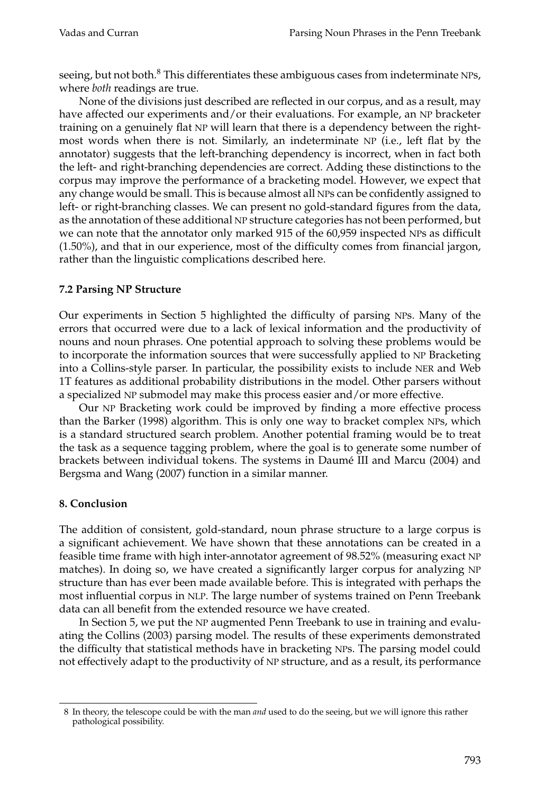seeing, but not both.<sup>8</sup> This differentiates these ambiguous cases from indeterminate NPs, where *both* readings are true.

None of the divisions just described are reflected in our corpus, and as a result, may have affected our experiments and/or their evaluations. For example, an NP bracketer training on a genuinely flat NP will learn that there is a dependency between the rightmost words when there is not. Similarly, an indeterminate NP (i.e., left flat by the annotator) suggests that the left-branching dependency is incorrect, when in fact both the left- and right-branching dependencies are correct. Adding these distinctions to the corpus may improve the performance of a bracketing model. However, we expect that any change would be small. This is because almost all NPs can be confidently assigned to left- or right-branching classes. We can present no gold-standard figures from the data, as the annotation of these additional NP structure categories has not been performed, but we can note that the annotator only marked 915 of the 60,959 inspected NPs as difficult (1.50%), and that in our experience, most of the difficulty comes from financial jargon, rather than the linguistic complications described here.

## **7.2 Parsing NP Structure**

Our experiments in Section 5 highlighted the difficulty of parsing NPs. Many of the errors that occurred were due to a lack of lexical information and the productivity of nouns and noun phrases. One potential approach to solving these problems would be to incorporate the information sources that were successfully applied to NP Bracketing into a Collins-style parser. In particular, the possibility exists to include NER and Web 1T features as additional probability distributions in the model. Other parsers without a specialized NP submodel may make this process easier and/or more effective.

Our NP Bracketing work could be improved by finding a more effective process than the Barker (1998) algorithm. This is only one way to bracket complex NPs, which is a standard structured search problem. Another potential framing would be to treat the task as a sequence tagging problem, where the goal is to generate some number of brackets between individual tokens. The systems in Daumé III and Marcu (2004) and Bergsma and Wang (2007) function in a similar manner.

## **8. Conclusion**

The addition of consistent, gold-standard, noun phrase structure to a large corpus is a significant achievement. We have shown that these annotations can be created in a feasible time frame with high inter-annotator agreement of 98.52% (measuring exact NP matches). In doing so, we have created a significantly larger corpus for analyzing NP structure than has ever been made available before. This is integrated with perhaps the most influential corpus in NLP. The large number of systems trained on Penn Treebank data can all benefit from the extended resource we have created.

In Section 5, we put the NP augmented Penn Treebank to use in training and evaluating the Collins (2003) parsing model. The results of these experiments demonstrated the difficulty that statistical methods have in bracketing NPs. The parsing model could not effectively adapt to the productivity of NP structure, and as a result, its performance

<sup>8</sup> In theory, the telescope could be with the man *and* used to do the seeing, but we will ignore this rather pathological possibility.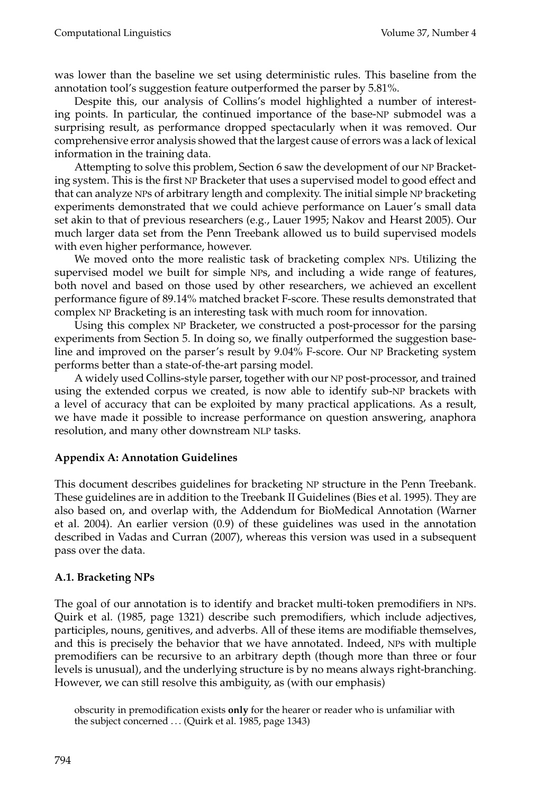was lower than the baseline we set using deterministic rules. This baseline from the annotation tool's suggestion feature outperformed the parser by 5.81%.

Despite this, our analysis of Collins's model highlighted a number of interesting points. In particular, the continued importance of the base-NP submodel was a surprising result, as performance dropped spectacularly when it was removed. Our comprehensive error analysis showed that the largest cause of errors was a lack of lexical information in the training data.

Attempting to solve this problem, Section 6 saw the development of our NP Bracketing system. This is the first NP Bracketer that uses a supervised model to good effect and that can analyze NPs of arbitrary length and complexity. The initial simple NP bracketing experiments demonstrated that we could achieve performance on Lauer's small data set akin to that of previous researchers (e.g., Lauer 1995; Nakov and Hearst 2005). Our much larger data set from the Penn Treebank allowed us to build supervised models with even higher performance, however.

We moved onto the more realistic task of bracketing complex NPs. Utilizing the supervised model we built for simple NPs, and including a wide range of features, both novel and based on those used by other researchers, we achieved an excellent performance figure of 89.14% matched bracket F-score. These results demonstrated that complex NP Bracketing is an interesting task with much room for innovation.

Using this complex NP Bracketer, we constructed a post-processor for the parsing experiments from Section 5. In doing so, we finally outperformed the suggestion baseline and improved on the parser's result by 9.04% F-score. Our NP Bracketing system performs better than a state-of-the-art parsing model.

A widely used Collins-style parser, together with our NP post-processor, and trained using the extended corpus we created, is now able to identify sub-NP brackets with a level of accuracy that can be exploited by many practical applications. As a result, we have made it possible to increase performance on question answering, anaphora resolution, and many other downstream NLP tasks.

## **Appendix A: Annotation Guidelines**

This document describes guidelines for bracketing NP structure in the Penn Treebank. These guidelines are in addition to the Treebank II Guidelines (Bies et al. 1995). They are also based on, and overlap with, the Addendum for BioMedical Annotation (Warner et al. 2004). An earlier version (0.9) of these guidelines was used in the annotation described in Vadas and Curran (2007), whereas this version was used in a subsequent pass over the data.

## **A.1. Bracketing NPs**

The goal of our annotation is to identify and bracket multi-token premodifiers in NPs. Quirk et al. (1985, page 1321) describe such premodifiers, which include adjectives, participles, nouns, genitives, and adverbs. All of these items are modifiable themselves, and this is precisely the behavior that we have annotated. Indeed, NPs with multiple premodifiers can be recursive to an arbitrary depth (though more than three or four levels is unusual), and the underlying structure is by no means always right-branching. However, we can still resolve this ambiguity, as (with our emphasis)

obscurity in premodification exists **only** for the hearer or reader who is unfamiliar with the subject concerned . . . (Quirk et al. 1985, page 1343)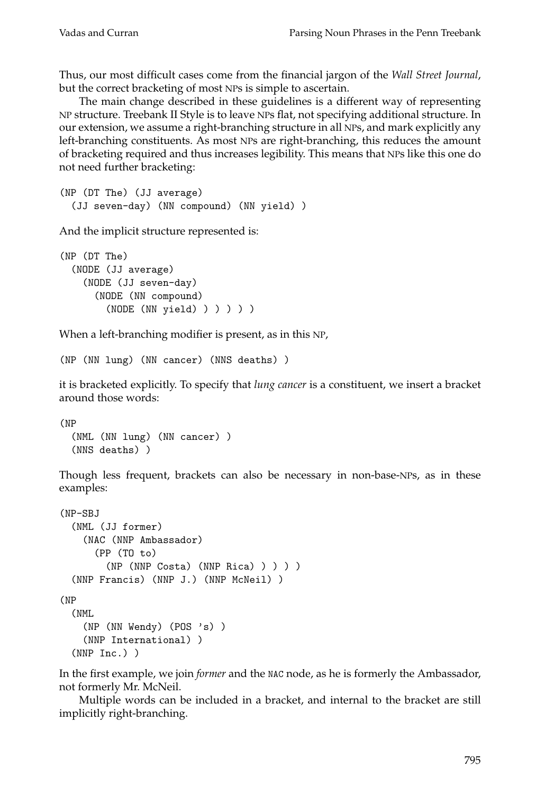Thus, our most difficult cases come from the financial jargon of the *Wall Street Journal*, but the correct bracketing of most NPs is simple to ascertain.

The main change described in these guidelines is a different way of representing NP structure. Treebank II Style is to leave NPs flat, not specifying additional structure. In our extension, we assume a right-branching structure in all NPs, and mark explicitly any left-branching constituents. As most NPs are right-branching, this reduces the amount of bracketing required and thus increases legibility. This means that NPs like this one do not need further bracketing:

```
(NP (DT The) (JJ average)
  (JJ seven-day) (NN compound) (NN yield) )
```
And the implicit structure represented is:

```
(NP (DT The)
  (NODE (JJ average)
    (NODE (JJ seven-day)
      (NODE (NN compound)
        (NODE (NN yield) ) ) ) ) )
```
When a left-branching modifier is present, as in this NP,

(NP (NN lung) (NN cancer) (NNS deaths) )

it is bracketed explicitly. To specify that *lung cancer* is a constituent, we insert a bracket around those words:

(NP

```
(NML (NN lung) (NN cancer) )
(NNS deaths) )
```
Though less frequent, brackets can also be necessary in non-base-NPs, as in these examples:

```
(NP-SBJ
  (NML (JJ former)
    (NAC (NNP Ambassador)
      (PP (TO to)
        (NP (NNP Costa) (NNP Rica) ) ) ) )
  (NNP Francis) (NNP J.) (NNP McNeil) )
(NP
  (NML
    (NP (NN Wendy) (POS 's) )
    (NNP International) )
  (NNP Inc.) )
```
In the first example, we join *former* and the NAC node, as he is formerly the Ambassador, not formerly Mr. McNeil.

Multiple words can be included in a bracket, and internal to the bracket are still implicitly right-branching.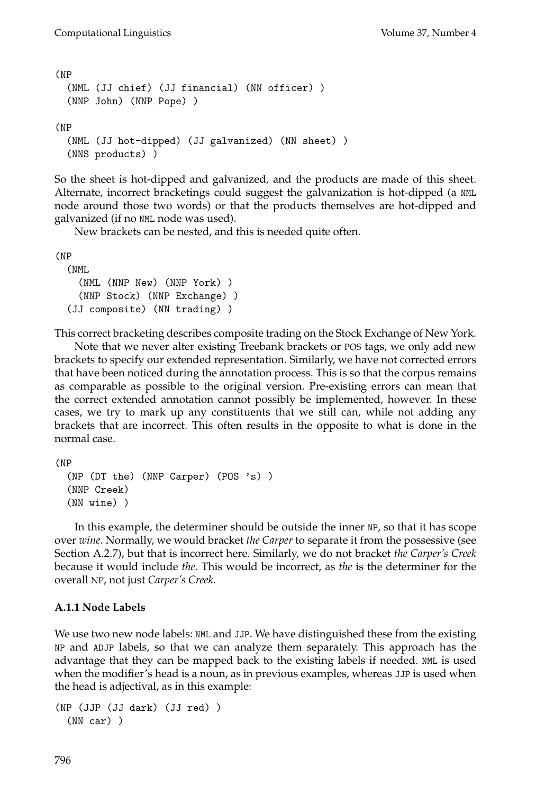```
(NP
 (NML (JJ chief) (JJ financial) (NN officer) )
 (NNP John) (NNP Pope) )
(NP
  (NML (JJ hot-dipped) (JJ galvanized) (NN sheet) )
  (NNS products) )
```
So the sheet is hot-dipped and galvanized, and the products are made of this sheet. Alternate, incorrect bracketings could suggest the galvanization is hot-dipped (a NML node around those two words) or that the products themselves are hot-dipped and galvanized (if no NML node was used).

New brackets can be nested, and this is needed quite often.

```
(NP
  (NML
    (NML (NNP New) (NNP York) )
    (NNP Stock) (NNP Exchange) )
  (JJ composite) (NN trading) )
```
This correct bracketing describes composite trading on the Stock Exchange of New York.

Note that we never alter existing Treebank brackets or POS tags, we only add new brackets to specify our extended representation. Similarly, we have not corrected errors that have been noticed during the annotation process. This is so that the corpus remains as comparable as possible to the original version. Pre-existing errors can mean that the correct extended annotation cannot possibly be implemented, however. In these cases, we try to mark up any constituents that we still can, while not adding any brackets that are incorrect. This often results in the opposite to what is done in the normal case.

(NP

```
(NP (DT the) (NNP Carper) (POS 's) )
(NNP Creek)
(NN wine) )
```
In this example, the determiner should be outside the inner NP, so that it has scope over *wine*. Normally, we would bracket *the Carper* to separate it from the possessive (see Section A.2.7), but that is incorrect here. Similarly, we do not bracket *the Carper's Creek* because it would include *the*. This would be incorrect, as *the* is the determiner for the overall NP, not just *Carper's Creek*.

# **A.1.1 Node Labels**

We use two new node labels: NML and JJP. We have distinguished these from the existing NP and ADJP labels, so that we can analyze them separately. This approach has the advantage that they can be mapped back to the existing labels if needed. NML is used when the modifier's head is a noun, as in previous examples, whereas JJP is used when the head is adjectival, as in this example:

```
(NP (JJP (JJ dark) (JJ red) )
 (NN car) )
```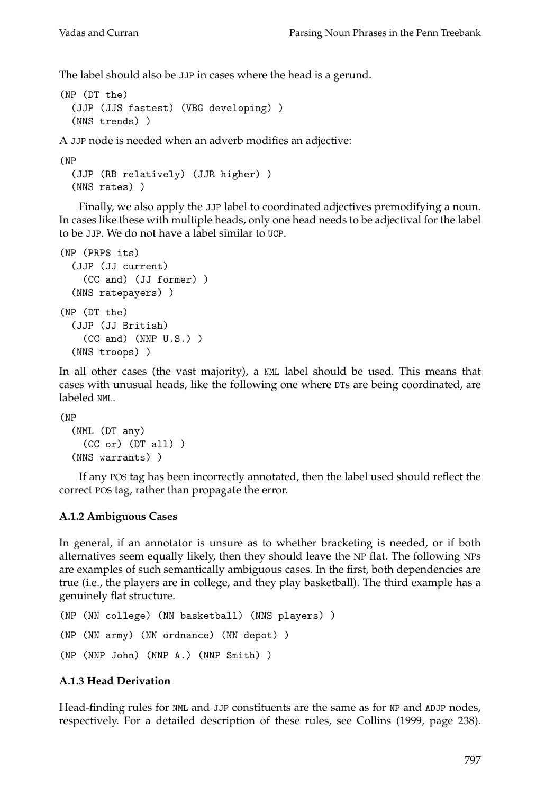The label should also be JJP in cases where the head is a gerund.

```
(NP (DT the)
  (JJP (JJS fastest) (VBG developing) )
  (NNS trends) )
```
A JJP node is needed when an adverb modifies an adjective:

```
(NP
  (JJP (RB relatively) (JJR higher) )
  (NNS rates) )
```
Finally, we also apply the JJP label to coordinated adjectives premodifying a noun. In cases like these with multiple heads, only one head needs to be adjectival for the label to be JJP. We do not have a label similar to UCP.

```
(NP (PRP$ its)
 (JJP (JJ current)
    (CC and) (JJ former) )
  (NNS ratepayers) )
(NP (DT the)
  (JJP (JJ British)
    (CC and) (NNP U.S.) )
  (NNS troops) )
```
In all other cases (the vast majority), a NML label should be used. This means that cases with unusual heads, like the following one where DTs are being coordinated, are labeled NML.

(NP

```
(NML (DT any)
  (CC or) (DT all) )
(NNS warrants) )
```
If any POS tag has been incorrectly annotated, then the label used should reflect the correct POS tag, rather than propagate the error.

## **A.1.2 Ambiguous Cases**

In general, if an annotator is unsure as to whether bracketing is needed, or if both alternatives seem equally likely, then they should leave the NP flat. The following NPs are examples of such semantically ambiguous cases. In the first, both dependencies are true (i.e., the players are in college, and they play basketball). The third example has a genuinely flat structure.

(NP (NN college) (NN basketball) (NNS players) ) (NP (NN army) (NN ordnance) (NN depot) ) (NP (NNP John) (NNP A.) (NNP Smith) )

# **A.1.3 Head Derivation**

Head-finding rules for NML and JJP constituents are the same as for NP and ADJP nodes, respectively. For a detailed description of these rules, see Collins (1999, page 238).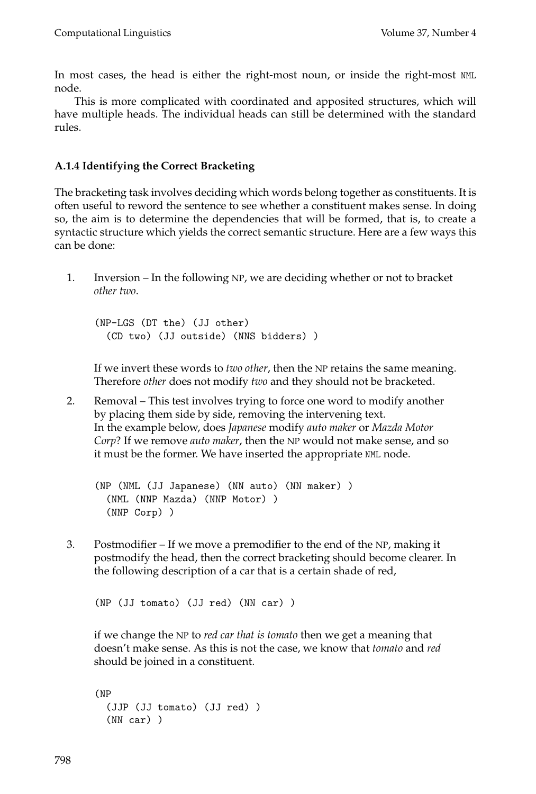In most cases, the head is either the right-most noun, or inside the right-most NML node.

This is more complicated with coordinated and apposited structures, which will have multiple heads. The individual heads can still be determined with the standard rules.

## **A.1.4 Identifying the Correct Bracketing**

The bracketing task involves deciding which words belong together as constituents. It is often useful to reword the sentence to see whether a constituent makes sense. In doing so, the aim is to determine the dependencies that will be formed, that is, to create a syntactic structure which yields the correct semantic structure. Here are a few ways this can be done:

1. Inversion – In the following NP, we are deciding whether or not to bracket *other two*.

(NP-LGS (DT the) (JJ other) (CD two) (JJ outside) (NNS bidders) )

If we invert these words to *two other*, then the NP retains the same meaning. Therefore *other* does not modify *two* and they should not be bracketed.

2. Removal – This test involves trying to force one word to modify another by placing them side by side, removing the intervening text. In the example below, does *Japanese* modify *auto maker* or *Mazda Motor Corp*? If we remove *auto maker*, then the NP would not make sense, and so it must be the former. We have inserted the appropriate NML node.

```
(NP (NML (JJ Japanese) (NN auto) (NN maker) )
  (NML (NNP Mazda) (NNP Motor) )
  (NNP Corp) )
```
3. Postmodifier – If we move a premodifier to the end of the NP, making it postmodify the head, then the correct bracketing should become clearer. In the following description of a car that is a certain shade of red,

(NP (JJ tomato) (JJ red) (NN car) )

if we change the NP to *red car that is tomato* then we get a meaning that doesn't make sense. As this is not the case, we know that *tomato* and *red* should be joined in a constituent.

```
(NP
  (JJP (JJ tomato) (JJ red) )
  (NN car) )
```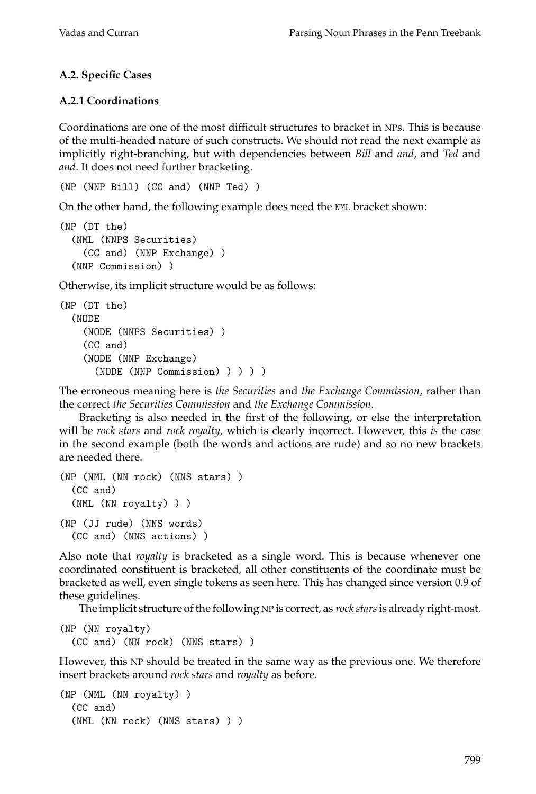# **A.2. Specific Cases**

# **A.2.1 Coordinations**

Coordinations are one of the most difficult structures to bracket in NPs. This is because of the multi-headed nature of such constructs. We should not read the next example as implicitly right-branching, but with dependencies between *Bill* and *and*, and *Ted* and *and*. It does not need further bracketing.

(NP (NNP Bill) (CC and) (NNP Ted) )

On the other hand, the following example does need the NML bracket shown:

```
(NP (DT the)
  (NML (NNPS Securities)
    (CC and) (NNP Exchange) )
  (NNP Commission) )
```
Otherwise, its implicit structure would be as follows:

```
(NP (DT the)
  (NODE
    (NODE (NNPS Securities) )
    (CC and)
    (NODE (NNP Exchange)
      (NODE (NNP Commission) ) ) ) )
```
The erroneous meaning here is *the Securities* and *the Exchange Commission*, rather than the correct *the Securities Commission* and *the Exchange Commission*.

Bracketing is also needed in the first of the following, or else the interpretation will be *rock stars* and *rock royalty*, which is clearly incorrect. However, this *is* the case in the second example (both the words and actions are rude) and so no new brackets are needed there.

```
(NP (NML (NN rock) (NNS stars) )
  (CC and)
  (NML (NN royalty) ) )
(NP (JJ rude) (NNS words)
  (CC and) (NNS actions) )
```
Also note that *royalty* is bracketed as a single word. This is because whenever one coordinated constituent is bracketed, all other constituents of the coordinate must be bracketed as well, even single tokens as seen here. This has changed since version 0.9 of these guidelines.

The implicit structure of the following NP is correct, as *rock stars*is already right-most.

```
(NP (NN royalty)
  (CC and) (NN rock) (NNS stars) )
```
However, this NP should be treated in the same way as the previous one. We therefore insert brackets around *rock stars* and *royalty* as before.

```
(NP (NML (NN royalty) )
  (CC and)
  (NML (NN rock) (NNS stars) ) )
```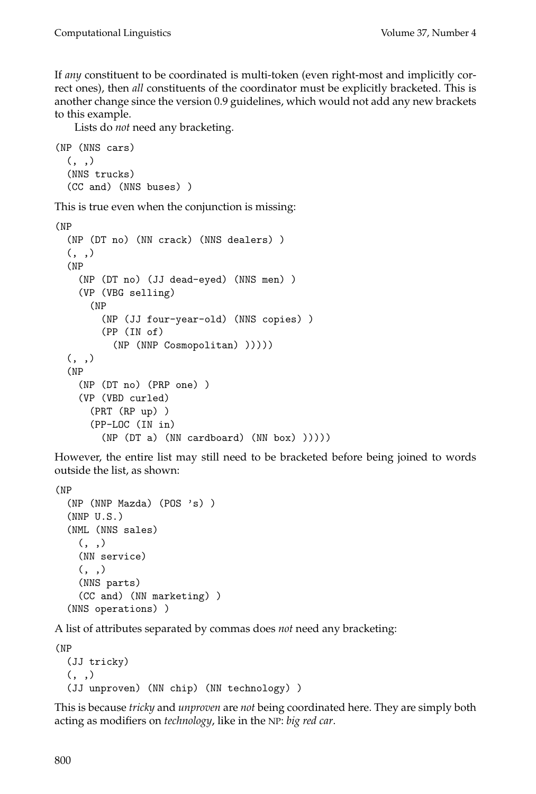If *any* constituent to be coordinated is multi-token (even right-most and implicitly correct ones), then *all* constituents of the coordinator must be explicitly bracketed. This is another change since the version 0.9 guidelines, which would not add any new brackets to this example.

Lists do *not* need any bracketing.

```
(NP (NNS cars)
 (, , )(NNS trucks)
 (CC and) (NNS buses) )
```
This is true even when the conjunction is missing:

```
(NP
 (NP (DT no) (NN crack) (NNS dealers) )
 (, )(NP
    (NP (DT no) (JJ dead-eyed) (NNS men) )
    (VP (VBG selling)
      (NP
        (NP (JJ four-year-old) (NNS copies) )
        (PP (IN of)
          (NP (NNP Cosmopolitan) )))))
 (, )(NP
    (NP (DT no) (PRP one) )
    (VP (VBD curled)
      (PRT (RP up) )
      (PP-LOC (IN in)
        (NP (DT a) (NN cardboard) (NN box) )))))
```
However, the entire list may still need to be bracketed before being joined to words outside the list, as shown:

```
(NP
```

```
(NP (NNP Mazda) (POS 's) )
(NNP U.S.)
(NML (NNS sales)
  (, , )(NN service)
  (, , )(NNS parts)
  (CC and) (NN marketing) )
(NNS operations) )
```
A list of attributes separated by commas does *not* need any bracketing:

```
(NP
 (JJ tricky)
  (, )(JJ unproven) (NN chip) (NN technology) )
```
This is because *tricky* and *unproven* are *not* being coordinated here. They are simply both acting as modifiers on *technology*, like in the NP: *big red car*.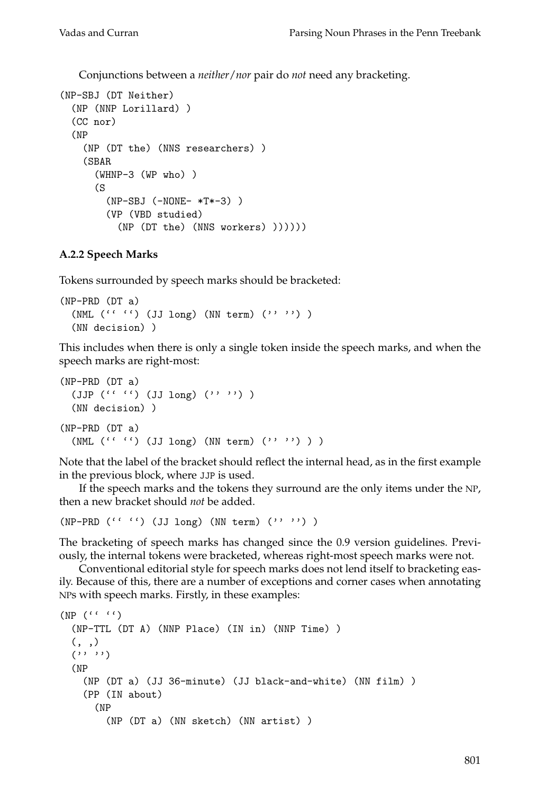Conjunctions between a *neither*/*nor* pair do *not* need any bracketing.

```
(NP-SBJ (DT Neither)
  (NP (NNP Lorillard) )
  (CC nor)
  (NP
    (NP (DT the) (NNS researchers) )
    (SBAR
      (WHNP-3 (WP who) )
      (S
        (NP-SBJ (-NONE- *T*-3) )
        (VP (VBD studied)
          (NP (DT the) (NNS workers) ))))))
```
# **A.2.2 Speech Marks**

Tokens surrounded by speech marks should be bracketed:

```
(NP-PRD (DT a)
  (NML ('' '') (JJ long) (NN term) ('' '') )
  (NN decision) )
```
This includes when there is only a single token inside the speech marks, and when the speech marks are right-most:

```
(NP-PRD (DT a)
  (JJP ('' '') (JJ long) ('' '') )
  (NN decision) )
(NP-PRD (DT a)
  (NML ('' '') (JJ long) (NN term) ('' '') ) )
```
Note that the label of the bracket should reflect the internal head, as in the first example in the previous block, where JJP is used.

If the speech marks and the tokens they surround are the only items under the NP, then a new bracket should *not* be added.

```
(NP-PRD ('' '') (JJ long) (NN term) ('' '') )
```
The bracketing of speech marks has changed since the 0.9 version guidelines. Previously, the internal tokens were bracketed, whereas right-most speech marks were not.

Conventional editorial style for speech marks does not lend itself to bracketing easily. Because of this, there are a number of exceptions and corner cases when annotating NPs with speech marks. Firstly, in these examples:

```
(NP) (''''')
  (NP-TTL (DT A) (NNP Place) (IN in) (NNP Time) )
  (, , , )(''')
  (NP
    (NP (DT a) (JJ 36-minute) (JJ black-and-white) (NN film) )
    (PP (IN about)
      (NP
        (NP (DT a) (NN sketch) (NN artist) )
```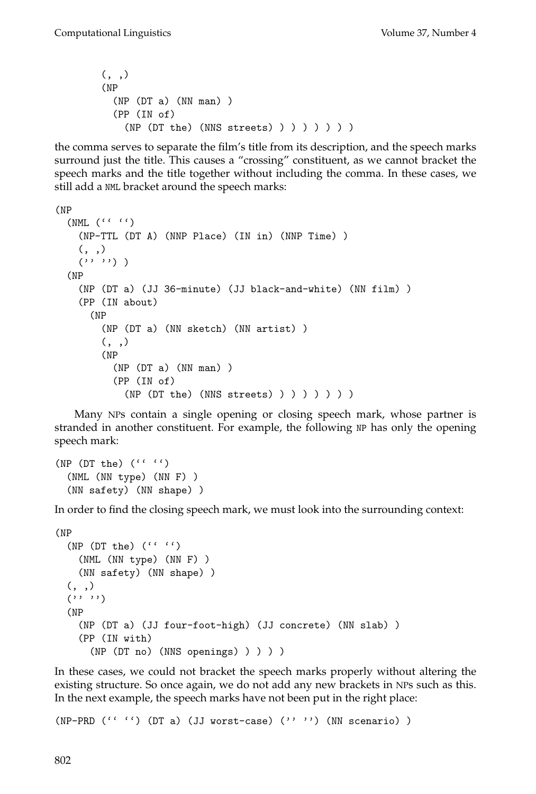```
(, )(NP
 (NP (DT a) (NN man) )
 (PP (IN of)
   (NP (DT the) (NNS streets) ) ) )))))
```
the comma serves to separate the film's title from its description, and the speech marks surround just the title. This causes a "crossing" constituent, as we cannot bracket the speech marks and the title together without including the comma. In these cases, we still add a NML bracket around the speech marks:

```
(NP
 (NML ('' '')
    (NP-TTL (DT A) (NNP Place) (IN in) (NNP Time) )
    (, , , )(, (, \vee, ))
  (NP
    (NP (DT a) (JJ 36-minute) (JJ black-and-white) (NN film) )
    (PP (IN about)
      (NP
        (NP (DT a) (NN sketch) (NN artist) )
        (, )(NP
          (NP (DT a) (NN man) )
          (PP (IN of)
            (NP (DT the) (NNS streets) ) ) ) )))))
```
Many NPs contain a single opening or closing speech mark, whose partner is stranded in another constituent. For example, the following NP has only the opening speech mark:

```
(NP (DT the) ('' '')
  (NML (NN type) (NN F) )
  (NN safety) (NN shape) )
```
In order to find the closing speech mark, we must look into the surrounding context:

```
(NP
  (NP (DT the) ('' '')
    (NML (NN type) (NN F) )
    (NN safety) (NN shape) )
  (, , , )(<sup>'</sup>'''')
  (NP
    (NP (DT a) (JJ four-foot-high) (JJ concrete) (NN slab) )
    (PP (IN with)
      (NP (DT no) (NNS openings) ) ) ) )
```
In these cases, we could not bracket the speech marks properly without altering the existing structure. So once again, we do not add any new brackets in NPs such as this. In the next example, the speech marks have not been put in the right place:

(NP-PRD  $($ '' '') (DT a) (JJ worst-case)  $($ '''') (NN scenario) )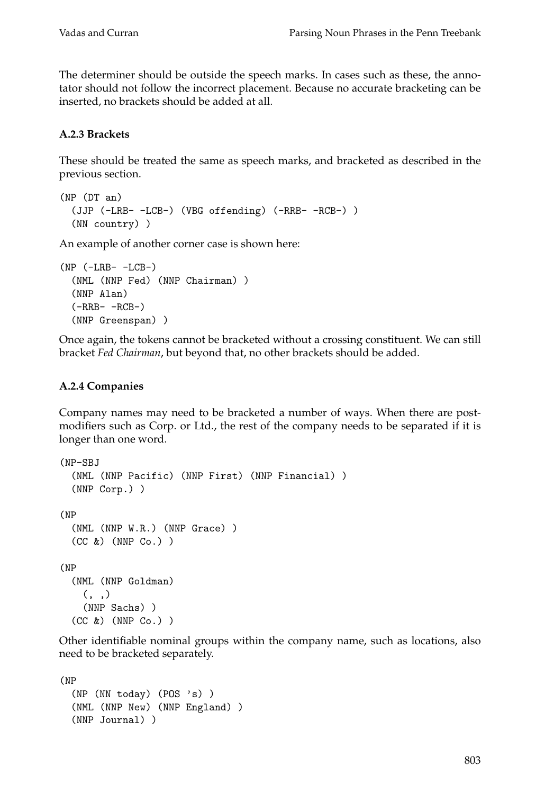The determiner should be outside the speech marks. In cases such as these, the annotator should not follow the incorrect placement. Because no accurate bracketing can be inserted, no brackets should be added at all.

# **A.2.3 Brackets**

These should be treated the same as speech marks, and bracketed as described in the previous section.

```
(NP (DT an)
  (JJP (-LRB- -LCB-) (VBG offending) (-RRB- -RCB-) )
  (NN country) )
```
An example of another corner case is shown here:

```
(NP (-LRB - -LCB -)(NML (NNP Fed) (NNP Chairman) )
 (NNP Alan)
 (-RRB- -RCB-)(NNP Greenspan) )
```
Once again, the tokens cannot be bracketed without a crossing constituent. We can still bracket *Fed Chairman*, but beyond that, no other brackets should be added.

# **A.2.4 Companies**

Company names may need to be bracketed a number of ways. When there are postmodifiers such as Corp. or Ltd., the rest of the company needs to be separated if it is longer than one word.

```
(NP-SBJ
  (NML (NNP Pacific) (NNP First) (NNP Financial) )
  (NNP Corp.) )
(NP
  (NML (NNP W.R.) (NNP Grace) )
 (CC &) (NNP Co.) )
(NP
  (NML (NNP Goldman)
    (, )(NNP Sachs) )
  (CC &) (NNP Co.) )
```
Other identifiable nominal groups within the company name, such as locations, also need to be bracketed separately.

```
(NP
  (NP (NN today) (POS 's) )
  (NML (NNP New) (NNP England) )
 (NNP Journal) )
```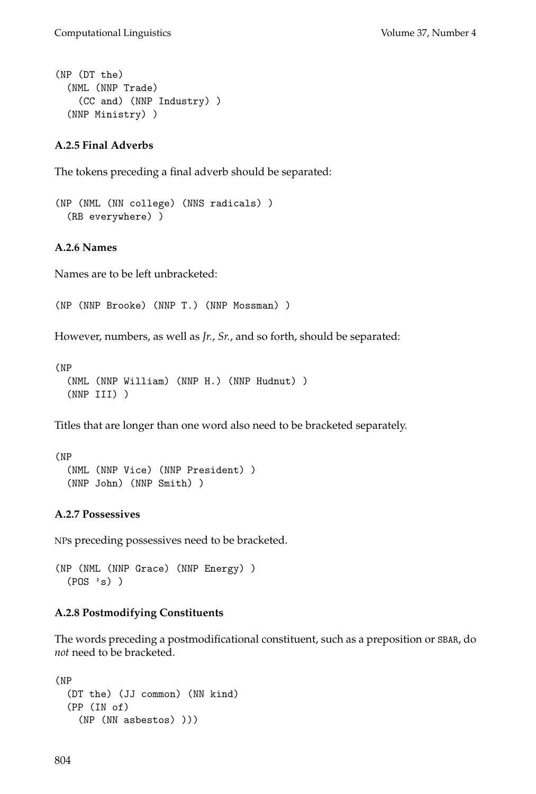(NP (DT the) (NML (NNP Trade) (CC and) (NNP Industry) ) (NNP Ministry) )

## **A.2.5 Final Adverbs**

The tokens preceding a final adverb should be separated:

```
(NP (NML (NN college) (NNS radicals) )
 (RB everywhere) )
```
#### **A.2.6 Names**

Names are to be left unbracketed:

```
(NP (NNP Brooke) (NNP T.) (NNP Mossman) )
```
However, numbers, as well as *Jr.*, *Sr.*, and so forth, should be separated:

```
(NP
 (NML (NNP William) (NNP H.) (NNP Hudnut) )
 (NNP III) )
```
Titles that are longer than one word also need to be bracketed separately.

```
(NP
 (NML (NNP Vice) (NNP President) )
 (NNP John) (NNP Smith) )
```
#### **A.2.7 Possessives**

NPs preceding possessives need to be bracketed.

```
(NP (NML (NNP Grace) (NNP Energy) )
 (POS 's) )
```
#### **A.2.8 Postmodifying Constituents**

The words preceding a postmodificational constituent, such as a preposition or SBAR, do *not* need to be bracketed.

```
(NP
 (DT the) (JJ common) (NN kind)
 (PP (IN of)
    (NP (NN asbestos) )))
```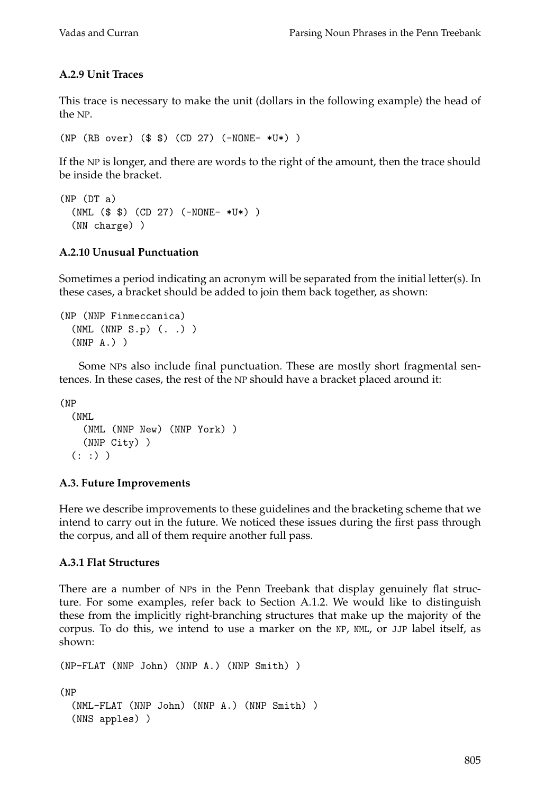# **A.2.9 Unit Traces**

This trace is necessary to make the unit (dollars in the following example) the head of the NP.

(NP (RB over) (\$ \$) (CD 27) (-NONE- \*U\*) )

If the NP is longer, and there are words to the right of the amount, then the trace should be inside the bracket.

```
(NP (DT a)
  (NML ($ $) (CD 27) (-NONE- *U*) )
  (NN charge) )
```
# **A.2.10 Unusual Punctuation**

Sometimes a period indicating an acronym will be separated from the initial letter(s). In these cases, a bracket should be added to join them back together, as shown:

```
(NP (NNP Finmeccanica)
  (NML (NNP S.p) (. .) )
  (NNP A.) )
```
Some NPs also include final punctuation. These are mostly short fragmental sentences. In these cases, the rest of the NP should have a bracket placed around it:

(NP

```
(NML
 (NML (NNP New) (NNP York) )
 (NNP City) )
(: :)
```
# **A.3. Future Improvements**

Here we describe improvements to these guidelines and the bracketing scheme that we intend to carry out in the future. We noticed these issues during the first pass through the corpus, and all of them require another full pass.

# **A.3.1 Flat Structures**

There are a number of NPs in the Penn Treebank that display genuinely flat structure. For some examples, refer back to Section A.1.2. We would like to distinguish these from the implicitly right-branching structures that make up the majority of the corpus. To do this, we intend to use a marker on the NP, NML, or JJP label itself, as shown:

```
(NP-FLAT (NNP John) (NNP A.) (NNP Smith) )
(NP
  (NML-FLAT (NNP John) (NNP A.) (NNP Smith) )
  (NNS apples) )
```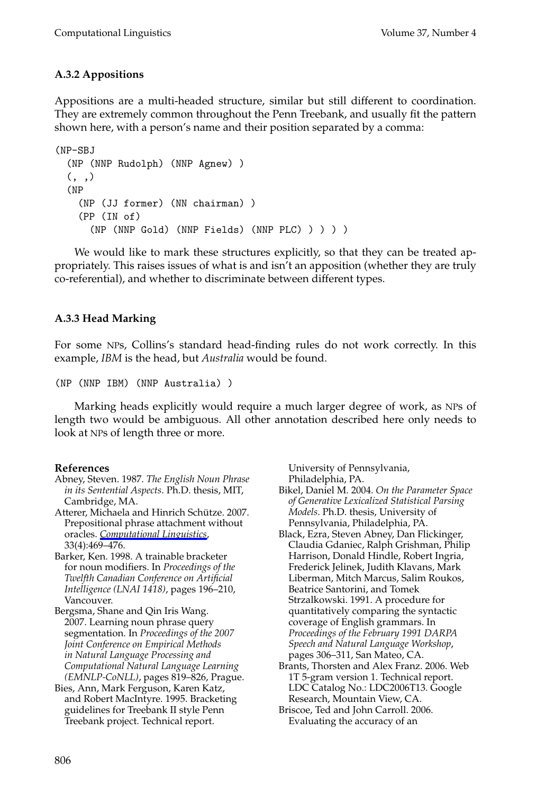Computational Linguistics Volume 37, Number 4

#### **A.3.2 Appositions**

Appositions are a multi-headed structure, similar but still different to coordination. They are extremely common throughout the Penn Treebank, and usually fit the pattern shown here, with a person's name and their position separated by a comma:

```
(NP-SBJ
  (NP (NNP Rudolph) (NNP Agnew) )
  (, )(NP
    (NP (JJ former) (NN chairman) )
    (PP (IN of)
      (NP (NNP Gold) (NNP Fields) (NNP PLC) ) ) ) )
```
We would like to mark these structures explicitly, so that they can be treated appropriately. This raises issues of what is and isn't an apposition (whether they are truly co-referential), and whether to discriminate between different types.

#### **A.3.3 Head Marking**

For some NPs, Collins's standard head-finding rules do not work correctly. In this example, *IBM* is the head, but *Australia* would be found.

(NP (NNP IBM) (NNP Australia) )

Marking heads explicitly would require a much larger degree of work, as NPs of length two would be ambiguous. All other annotation described here only needs to look at NPs of length three or more.

#### **References**

- Abney, Steven. 1987. *The English Noun Phrase in its Sentential Aspects*. Ph.D. thesis, MIT, Cambridge, MA.
- Atterer, Michaela and Hinrich Schütze. 2007. Prepositional phrase attachment without oracles. *Computational Linguistics*, 33(4):469–476.
- Barker, Ken. 1998. A trainable bracketer for noun modifiers. In *Proceedings of the Twelfth Canadian Conference on Artificial Intelligence (LNAI 1418)*, pages 196–210, Vancouver.
- Bergsma, Shane and Qin Iris Wang. 2007. Learning noun phrase query segmentation. In *Proceedings of the 2007 Joint Conference on Empirical Methods in Natural Language Processing and Computational Natural Language Learning (EMNLP-CoNLL)*, pages 819–826, Prague.
- Bies, Ann, Mark Ferguson, Karen Katz, and Robert MacIntyre. 1995. Bracketing guidelines for Treebank II style Penn Treebank project. Technical report.

University of Pennsylvania, Philadelphia, PA.

- Bikel, Daniel M. 2004. *On the Parameter Space of Generative Lexicalized Statistical Parsing Models*. Ph.D. thesis, University of Pennsylvania, Philadelphia, PA.
- Black, Ezra, Steven Abney, Dan Flickinger, Claudia Gdaniec, Ralph Grishman, Philip Harrison, Donald Hindle, Robert Ingria, Frederick Jelinek, Judith Klavans, Mark Liberman, Mitch Marcus, Salim Roukos, Beatrice Santorini, and Tomek Strzalkowski. 1991. A procedure for quantitatively comparing the syntactic coverage of English grammars. In *Proceedings of the February 1991 DARPA Speech and Natural Language Workshop*, pages 306–311, San Mateo, CA.
- Brants, Thorsten and Alex Franz. 2006. Web 1T 5-gram version 1. Technical report. LDC Catalog No.: LDC2006T13. Google Research, Mountain View, CA. Briscoe, Ted and John Carroll. 2006.
- Evaluating the accuracy of an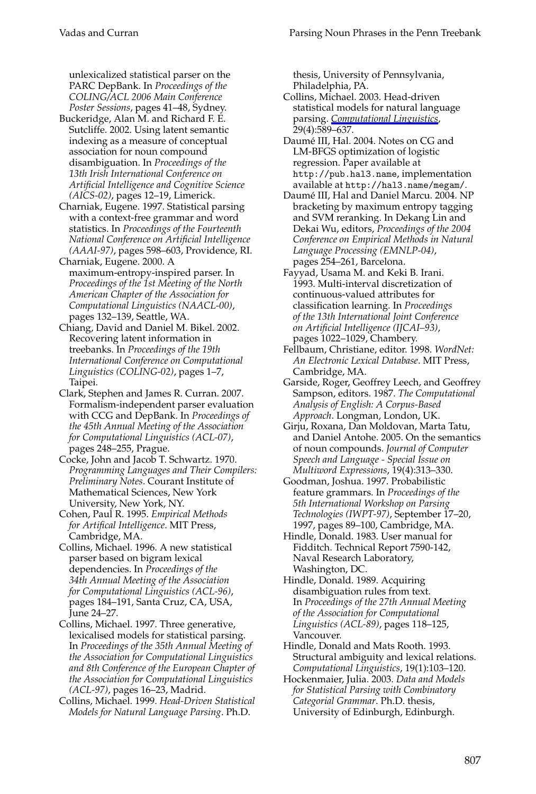unlexicalized statistical parser on the PARC DepBank. In *Proceedings of the COLING/ACL 2006 Main Conference Poster Sessions*, pages 41–48, Sydney.

- Buckeridge, Alan M. and Richard F. E. Sutcliffe. 2002. Using latent semantic indexing as a measure of conceptual association for noun compound disambiguation. In *Proceedings of the 13th Irish International Conference on Artificial Intelligence and Cognitive Science (AICS-02)*, pages 12–19, Limerick.
- Charniak, Eugene. 1997. Statistical parsing with a context-free grammar and word statistics. In *Proceedings of the Fourteenth National Conference on Artificial Intelligence (AAAI-97)*, pages 598–603, Providence, RI.
- Charniak, Eugene. 2000. A maximum-entropy-inspired parser. In *Proceedings of the 1st Meeting of the North American Chapter of the Association for Computational Linguistics (NAACL-00)*, pages 132–139, Seattle, WA.
- Chiang, David and Daniel M. Bikel. 2002. Recovering latent information in treebanks. In *Proceedings of the 19th International Conference on Computational Linguistics (COLING-02)*, pages 1–7, Taipei.
- Clark, Stephen and James R. Curran. 2007. Formalism-independent parser evaluation with CCG and DepBank. In *Proceedings of the 45th Annual Meeting of the Association for Computational Linguistics (ACL-07)*, pages 248–255, Prague.
- Cocke, John and Jacob T. Schwartz. 1970. *Programming Languages and Their Compilers: Preliminary Notes*. Courant Institute of Mathematical Sciences, New York University, New York, NY.
- Cohen, Paul R. 1995. *Empirical Methods for Artifical Intelligence*. MIT Press, Cambridge, MA.
- Collins, Michael. 1996. A new statistical parser based on bigram lexical dependencies. In *Proceedings of the 34th Annual Meeting of the Association for Computational Linguistics (ACL-96)*, pages 184–191, Santa Cruz, CA, USA, June 24–27.
- Collins, Michael. 1997. Three generative, lexicalised models for statistical parsing. In *Proceedings of the 35th Annual Meeting of the Association for Computational Linguistics and 8th Conference of the European Chapter of the Association for Computational Linguistics (ACL-97)*, pages 16–23, Madrid.
- Collins, Michael. 1999. *Head-Driven Statistical Models for Natural Language Parsing*. Ph.D.

thesis, University of Pennsylvania, Philadelphia, PA.

- Collins, Michael. 2003. Head-driven statistical models for natural language parsing. *Computational Linguistics*, 29(4):589–637.
- Daumé III, Hal. 2004. Notes on CG and LM-BFGS optimization of logistic regression. Paper available at http://pub.hal3.name, implementation available at http://hal3.name/megam/.
- Daume III, Hal and Daniel Marcu. 2004. NP ´ bracketing by maximum entropy tagging and SVM reranking. In Dekang Lin and Dekai Wu, editors, *Proceedings of the 2004 Conference on Empirical Methods in Natural Language Processing (EMNLP-04)*, pages 254–261, Barcelona.
- Fayyad, Usama M. and Keki B. Irani. 1993. Multi-interval discretization of continuous-valued attributes for classification learning. In *Proceedings of the 13th International Joint Conference on Artificial Intelligence (IJCAI–93)*, pages 1022–1029, Chambery.
- Fellbaum, Christiane, editor. 1998. *WordNet: An Electronic Lexical Database*. MIT Press, Cambridge, MA.
- Garside, Roger, Geoffrey Leech, and Geoffrey Sampson, editors. 1987. *The Computational Analysis of English: A Corpus-Based Approach*. Longman, London, UK.
- Girju, Roxana, Dan Moldovan, Marta Tatu, and Daniel Antohe. 2005. On the semantics of noun compounds. *Journal of Computer Speech and Language - Special Issue on Multiword Expressions*, 19(4):313–330.
- Goodman, Joshua. 1997. Probabilistic feature grammars. In *Proceedings of the 5th International Workshop on Parsing Technologies (IWPT-97)*, September 17–20, 1997, pages 89–100, Cambridge, MA.
- Hindle, Donald. 1983. User manual for Fidditch. Technical Report 7590-142, Naval Research Laboratory, Washington, DC.
- Hindle, Donald. 1989. Acquiring disambiguation rules from text. In *Proceedings of the 27th Annual Meeting of the Association for Computational Linguistics (ACL-89)*, pages 118–125, Vancouver.
- Hindle, Donald and Mats Rooth. 1993. Structural ambiguity and lexical relations. *Computational Linguistics*, 19(1):103–120.
- Hockenmaier, Julia. 2003. *Data and Models for Statistical Parsing with Combinatory Categorial Grammar*. Ph.D. thesis, University of Edinburgh, Edinburgh.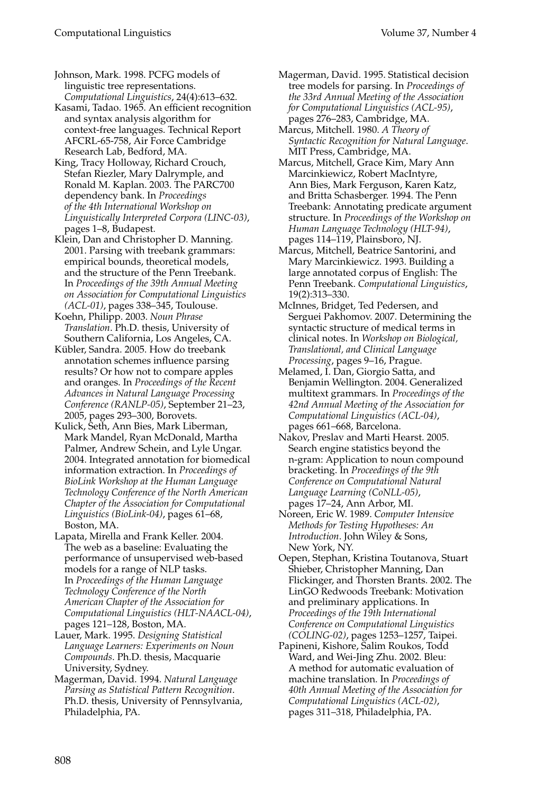Johnson, Mark. 1998. PCFG models of linguistic tree representations. *Computational Linguistics*, 24(4):613–632.

Kasami, Tadao. 1965. An efficient recognition and syntax analysis algorithm for context-free languages. Technical Report AFCRL-65-758, Air Force Cambridge Research Lab, Bedford, MA.

King, Tracy Holloway, Richard Crouch, Stefan Riezler, Mary Dalrymple, and Ronald M. Kaplan. 2003. The PARC700 dependency bank. In *Proceedings of the 4th International Workshop on Linguistically Interpreted Corpora (LINC-03)*, pages 1–8, Budapest.

Klein, Dan and Christopher D. Manning. 2001. Parsing with treebank grammars: empirical bounds, theoretical models, and the structure of the Penn Treebank. In *Proceedings of the 39th Annual Meeting on Association for Computational Linguistics (ACL-01)*, pages 338–345, Toulouse.

Koehn, Philipp. 2003. *Noun Phrase Translation*. Ph.D. thesis, University of Southern California, Los Angeles, CA.

Kübler, Sandra. 2005. How do treebank annotation schemes influence parsing results? Or how not to compare apples and oranges. In *Proceedings of the Recent Advances in Natural Language Processing Conference (RANLP-05)*, September 21–23, 2005, pages 293–300, Borovets.

Kulick, Seth, Ann Bies, Mark Liberman, Mark Mandel, Ryan McDonald, Martha Palmer, Andrew Schein, and Lyle Ungar. 2004. Integrated annotation for biomedical information extraction. In *Proceedings of BioLink Workshop at the Human Language Technology Conference of the North American Chapter of the Association for Computational Linguistics (BioLink-04)*, pages 61–68, Boston, MA.

Lapata, Mirella and Frank Keller. 2004. The web as a baseline: Evaluating the performance of unsupervised web-based models for a range of NLP tasks. In *Proceedings of the Human Language Technology Conference of the North American Chapter of the Association for Computational Linguistics (HLT-NAACL-04)*, pages 121–128, Boston, MA.

Lauer, Mark. 1995. *Designing Statistical Language Learners: Experiments on Noun Compounds*. Ph.D. thesis, Macquarie University, Sydney.

Magerman, David. 1994. *Natural Language Parsing as Statistical Pattern Recognition*. Ph.D. thesis, University of Pennsylvania, Philadelphia, PA.

Magerman, David. 1995. Statistical decision tree models for parsing. In *Proceedings of the 33rd Annual Meeting of the Association for Computational Linguistics (ACL-95)*, pages 276–283, Cambridge, MA.

Marcus, Mitchell. 1980. *A Theory of Syntactic Recognition for Natural Language*. MIT Press, Cambridge, MA.

Marcus, Mitchell, Grace Kim, Mary Ann Marcinkiewicz, Robert MacIntyre, Ann Bies, Mark Ferguson, Karen Katz, and Britta Schasberger. 1994. The Penn Treebank: Annotating predicate argument structure. In *Proceedings of the Workshop on Human Language Technology (HLT-94)*, pages 114–119, Plainsboro, NJ.

Marcus, Mitchell, Beatrice Santorini, and Mary Marcinkiewicz. 1993. Building a large annotated corpus of English: The Penn Treebank. *Computational Linguistics*, 19(2):313–330.

McInnes, Bridget, Ted Pedersen, and Serguei Pakhomov. 2007. Determining the syntactic structure of medical terms in clinical notes. In *Workshop on Biological, Translational, and Clinical Language Processing*, pages 9–16, Prague.

Melamed, I. Dan, Giorgio Satta, and Benjamin Wellington. 2004. Generalized multitext grammars. In *Proceedings of the 42nd Annual Meeting of the Association for Computational Linguistics (ACL-04)*, pages 661–668, Barcelona.

Nakov, Preslav and Marti Hearst. 2005. Search engine statistics beyond the n-gram: Application to noun compound bracketing. In *Proceedings of the 9th Conference on Computational Natural Language Learning (CoNLL-05)*, pages 17–24, Ann Arbor, MI.

Noreen, Eric W. 1989. *Computer Intensive Methods for Testing Hypotheses: An Introduction*. John Wiley & Sons, New York, NY.

Oepen, Stephan, Kristina Toutanova, Stuart Shieber, Christopher Manning, Dan Flickinger, and Thorsten Brants. 2002. The LinGO Redwoods Treebank: Motivation and preliminary applications. In *Proceedings of the 19th International Conference on Computational Linguistics (COLING-02)*, pages 1253–1257, Taipei.

Papineni, Kishore, Salim Roukos, Todd Ward, and Wei-Jing Zhu. 2002. Bleu: A method for automatic evaluation of machine translation. In *Proceedings of 40th Annual Meeting of the Association for Computational Linguistics (ACL-02)*, pages 311–318, Philadelphia, PA.